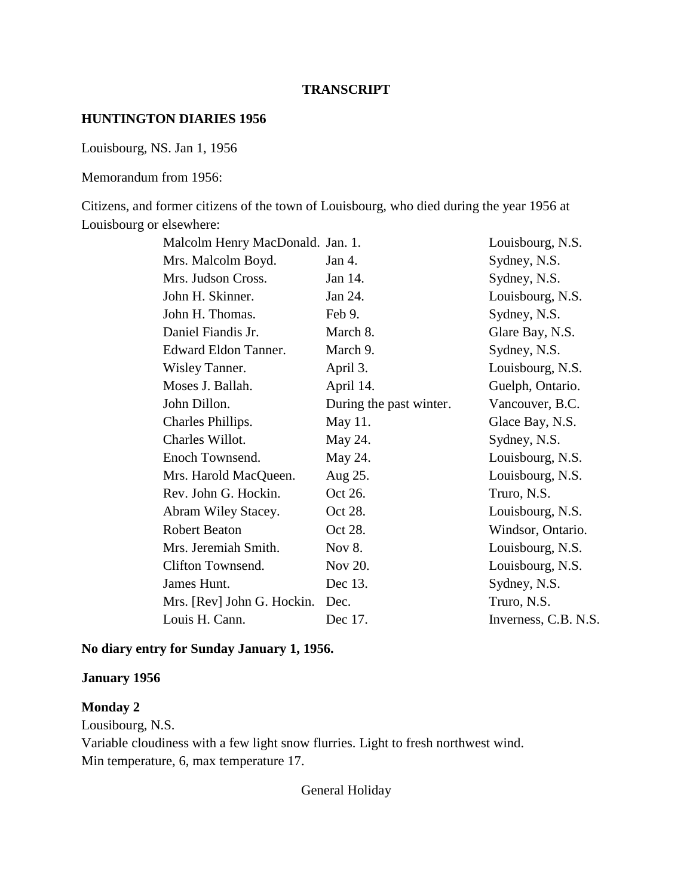#### **TRANSCRIPT**

#### **HUNTINGTON DIARIES 1956**

Louisbourg, NS. Jan 1, 1956

Memorandum from 1956:

Citizens, and former citizens of the town of Louisbourg, who died during the year 1956 at Louisbourg or elsewhere:

| Malcolm Henry MacDonald. Jan. 1. |                         | Louisbourg, N.S.     |
|----------------------------------|-------------------------|----------------------|
| Mrs. Malcolm Boyd.               | Jan 4.                  | Sydney, N.S.         |
| Mrs. Judson Cross.               | Jan 14.                 | Sydney, N.S.         |
| John H. Skinner.                 | Jan 24.                 | Louisbourg, N.S.     |
| John H. Thomas.                  | Feb 9.                  | Sydney, N.S.         |
| Daniel Fiandis Jr.               | March 8.                | Glare Bay, N.S.      |
| Edward Eldon Tanner.             | March 9.                | Sydney, N.S.         |
| Wisley Tanner.                   | April 3.                | Louisbourg, N.S.     |
| Moses J. Ballah.                 | April 14.               | Guelph, Ontario.     |
| John Dillon.                     | During the past winter. | Vancouver, B.C.      |
| Charles Phillips.                | May 11.                 | Glace Bay, N.S.      |
| Charles Willot.                  | May 24.                 | Sydney, N.S.         |
| Enoch Townsend.                  | May 24.                 | Louisbourg, N.S.     |
| Mrs. Harold MacQueen.            | Aug 25.                 | Louisbourg, N.S.     |
| Rev. John G. Hockin.             | Oct 26.                 | Truro, N.S.          |
| Abram Wiley Stacey.              | Oct 28.                 | Louisbourg, N.S.     |
| <b>Robert Beaton</b>             | Oct 28.                 | Windsor, Ontario.    |
| Mrs. Jeremiah Smith.             | Nov 8.                  | Louisbourg, N.S.     |
| Clifton Townsend.                | Nov 20.                 | Louisbourg, N.S.     |
| James Hunt.                      | Dec 13.                 | Sydney, N.S.         |
| Mrs. [Rev] John G. Hockin.       | Dec.                    | Truro, N.S.          |
| Louis H. Cann.                   | Dec 17.                 | Inverness, C.B. N.S. |
|                                  |                         |                      |

### **No diary entry for Sunday January 1, 1956.**

#### **January 1956**

### **Monday 2**

Lousibourg, N.S. Variable cloudiness with a few light snow flurries. Light to fresh northwest wind. Min temperature, 6, max temperature 17.

General Holiday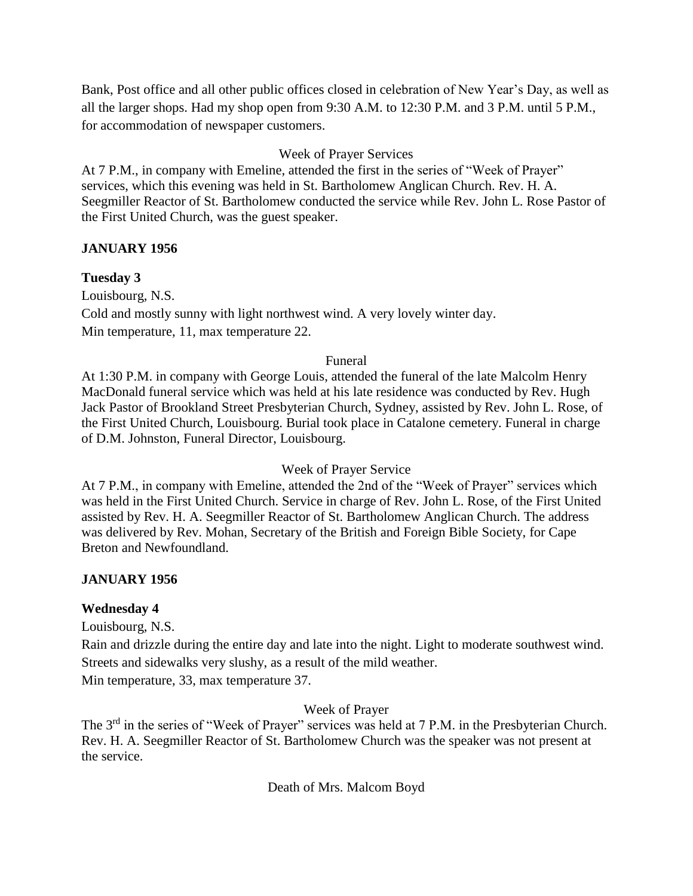Bank, Post office and all other public offices closed in celebration of New Year's Day, as well as all the larger shops. Had my shop open from 9:30 A.M. to 12:30 P.M. and 3 P.M. until 5 P.M., for accommodation of newspaper customers.

# Week of Prayer Services

At 7 P.M., in company with Emeline, attended the first in the series of "Week of Prayer" services, which this evening was held in St. Bartholomew Anglican Church. Rev. H. A. Seegmiller Reactor of St. Bartholomew conducted the service while Rev. John L. Rose Pastor of the First United Church, was the guest speaker.

### **JANUARY 1956**

# **Tuesday 3**

Louisbourg, N.S. Cold and mostly sunny with light northwest wind. A very lovely winter day. Min temperature, 11, max temperature 22.

#### Funeral

At 1:30 P.M. in company with George Louis, attended the funeral of the late Malcolm Henry MacDonald funeral service which was held at his late residence was conducted by Rev. Hugh Jack Pastor of Brookland Street Presbyterian Church, Sydney, assisted by Rev. John L. Rose, of the First United Church, Louisbourg. Burial took place in Catalone cemetery. Funeral in charge of D.M. Johnston, Funeral Director, Louisbourg.

### Week of Prayer Service

At 7 P.M., in company with Emeline, attended the 2nd of the "Week of Prayer" services which was held in the First United Church. Service in charge of Rev. John L. Rose, of the First United assisted by Rev. H. A. Seegmiller Reactor of St. Bartholomew Anglican Church. The address was delivered by Rev. Mohan, Secretary of the British and Foreign Bible Society, for Cape Breton and Newfoundland.

# **JANUARY 1956**

### **Wednesday 4**

Louisbourg, N.S.

Rain and drizzle during the entire day and late into the night. Light to moderate southwest wind. Streets and sidewalks very slushy, as a result of the mild weather.

Min temperature, 33, max temperature 37.

### Week of Prayer

The 3<sup>rd</sup> in the series of "Week of Prayer" services was held at 7 P.M. in the Presbyterian Church. Rev. H. A. Seegmiller Reactor of St. Bartholomew Church was the speaker was not present at the service.

Death of Mrs. Malcom Boyd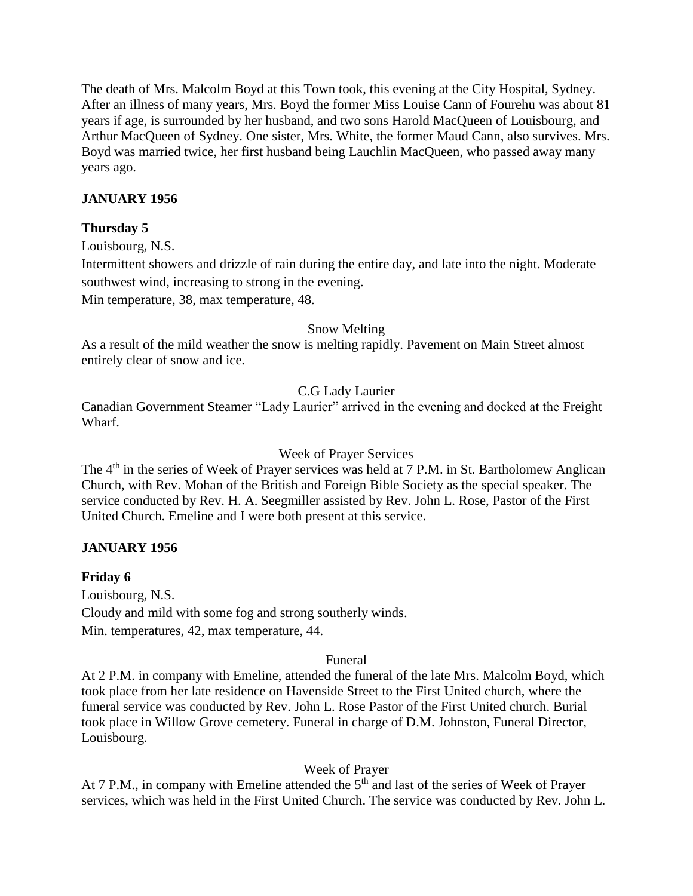The death of Mrs. Malcolm Boyd at this Town took, this evening at the City Hospital, Sydney. After an illness of many years, Mrs. Boyd the former Miss Louise Cann of Fourehu was about 81 years if age, is surrounded by her husband, and two sons Harold MacQueen of Louisbourg, and Arthur MacQueen of Sydney. One sister, Mrs. White, the former Maud Cann, also survives. Mrs. Boyd was married twice, her first husband being Lauchlin MacQueen, who passed away many years ago.

# **JANUARY 1956**

### **Thursday 5**

Louisbourg, N.S.

Intermittent showers and drizzle of rain during the entire day, and late into the night. Moderate southwest wind, increasing to strong in the evening.

Min temperature, 38, max temperature, 48.

#### Snow Melting

As a result of the mild weather the snow is melting rapidly. Pavement on Main Street almost entirely clear of snow and ice.

### C.G Lady Laurier

Canadian Government Steamer "Lady Laurier" arrived in the evening and docked at the Freight Wharf.

#### Week of Prayer Services

The 4<sup>th</sup> in the series of Week of Prayer services was held at 7 P.M. in St. Bartholomew Anglican Church, with Rev. Mohan of the British and Foreign Bible Society as the special speaker. The service conducted by Rev. H. A. Seegmiller assisted by Rev. John L. Rose, Pastor of the First United Church. Emeline and I were both present at this service.

### **JANUARY 1956**

### **Friday 6**

Louisbourg, N.S. Cloudy and mild with some fog and strong southerly winds. Min. temperatures, 42, max temperature, 44.

#### Funeral

At 2 P.M. in company with Emeline, attended the funeral of the late Mrs. Malcolm Boyd, which took place from her late residence on Havenside Street to the First United church, where the funeral service was conducted by Rev. John L. Rose Pastor of the First United church. Burial took place in Willow Grove cemetery. Funeral in charge of D.M. Johnston, Funeral Director, Louisbourg.

### Week of Prayer

At 7 P.M., in company with Emeline attended the  $5<sup>th</sup>$  and last of the series of Week of Prayer services, which was held in the First United Church. The service was conducted by Rev. John L.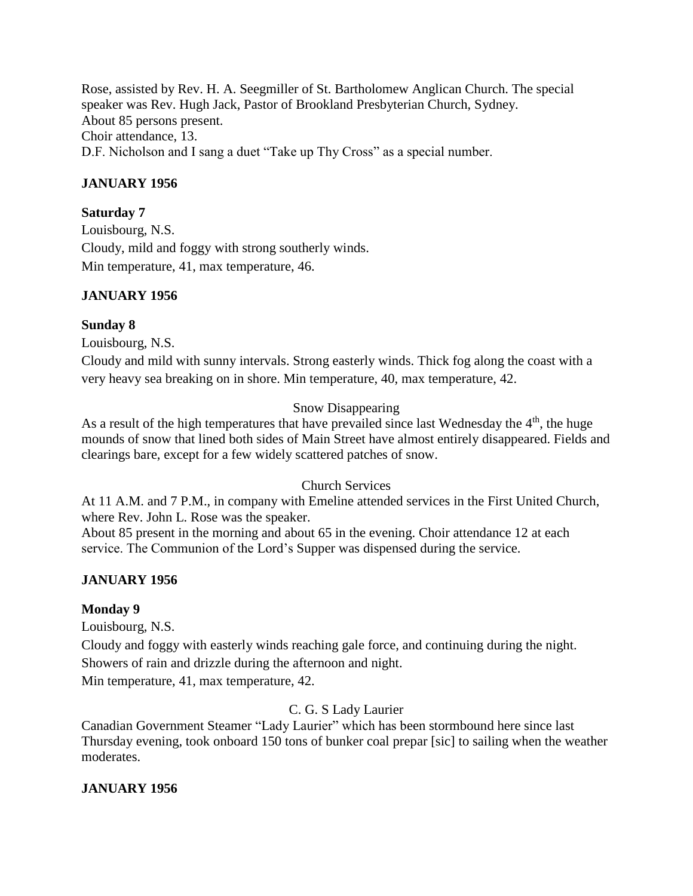Rose, assisted by Rev. H. A. Seegmiller of St. Bartholomew Anglican Church. The special speaker was Rev. Hugh Jack, Pastor of Brookland Presbyterian Church, Sydney. About 85 persons present. Choir attendance, 13. D.F. Nicholson and I sang a duet "Take up Thy Cross" as a special number.

# **JANUARY 1956**

### **Saturday 7**

Louisbourg, N.S. Cloudy, mild and foggy with strong southerly winds. Min temperature, 41, max temperature, 46.

# **JANUARY 1956**

### **Sunday 8**

Louisbourg, N.S.

Cloudy and mild with sunny intervals. Strong easterly winds. Thick fog along the coast with a very heavy sea breaking on in shore. Min temperature, 40, max temperature, 42.

# Snow Disappearing

As a result of the high temperatures that have prevailed since last Wednesday the  $4<sup>th</sup>$ , the huge mounds of snow that lined both sides of Main Street have almost entirely disappeared. Fields and clearings bare, except for a few widely scattered patches of snow.

### Church Services

At 11 A.M. and 7 P.M., in company with Emeline attended services in the First United Church, where Rev. John L. Rose was the speaker.

About 85 present in the morning and about 65 in the evening. Choir attendance 12 at each service. The Communion of the Lord's Supper was dispensed during the service.

# **JANUARY 1956**

### **Monday 9**

Louisbourg, N.S.

Cloudy and foggy with easterly winds reaching gale force, and continuing during the night. Showers of rain and drizzle during the afternoon and night.

Min temperature, 41, max temperature, 42.

# C. G. S Lady Laurier

Canadian Government Steamer "Lady Laurier" which has been stormbound here since last Thursday evening, took onboard 150 tons of bunker coal prepar [sic] to sailing when the weather moderates.

### **JANUARY 1956**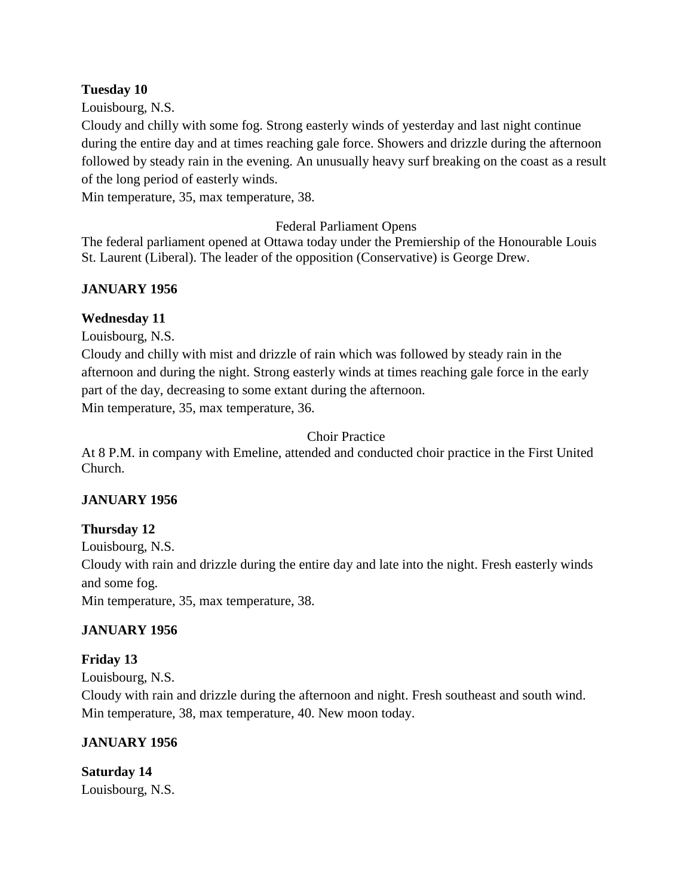#### **Tuesday 10**

Louisbourg, N.S.

Cloudy and chilly with some fog. Strong easterly winds of yesterday and last night continue during the entire day and at times reaching gale force. Showers and drizzle during the afternoon followed by steady rain in the evening. An unusually heavy surf breaking on the coast as a result of the long period of easterly winds.

Min temperature, 35, max temperature, 38.

### Federal Parliament Opens

The federal parliament opened at Ottawa today under the Premiership of the Honourable Louis St. Laurent (Liberal). The leader of the opposition (Conservative) is George Drew.

### **JANUARY 1956**

#### **Wednesday 11**

Louisbourg, N.S.

Cloudy and chilly with mist and drizzle of rain which was followed by steady rain in the afternoon and during the night. Strong easterly winds at times reaching gale force in the early part of the day, decreasing to some extant during the afternoon. Min temperature, 35, max temperature, 36.

#### Choir Practice

At 8 P.M. in company with Emeline, attended and conducted choir practice in the First United Church.

### **JANUARY 1956**

### **Thursday 12**

Louisbourg, N.S.

Cloudy with rain and drizzle during the entire day and late into the night. Fresh easterly winds and some fog.

Min temperature, 35, max temperature, 38.

### **JANUARY 1956**

### **Friday 13**

Louisbourg, N.S.

Cloudy with rain and drizzle during the afternoon and night. Fresh southeast and south wind. Min temperature, 38, max temperature, 40. New moon today.

### **JANUARY 1956**

**Saturday 14** Louisbourg, N.S.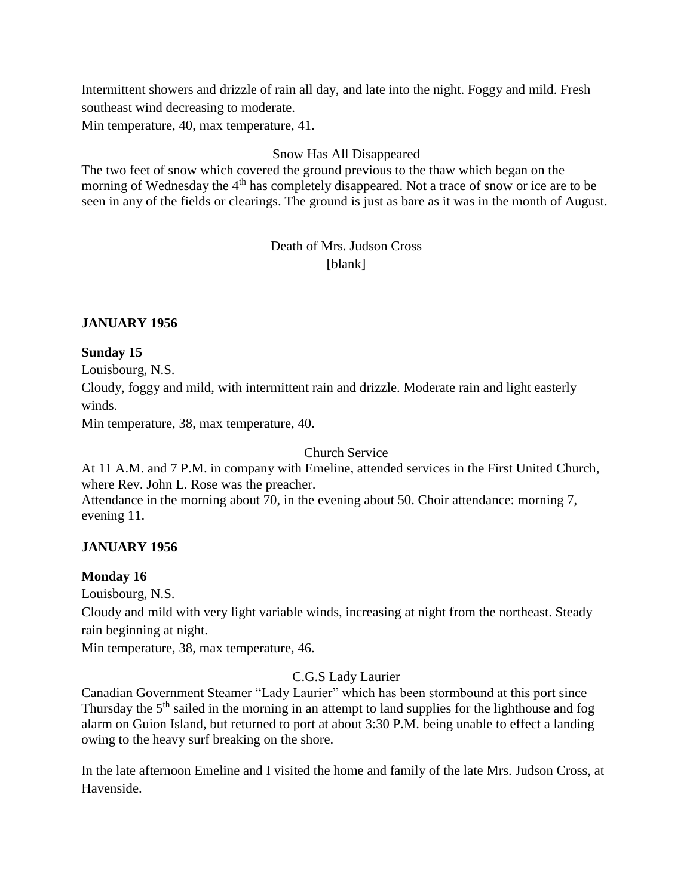Intermittent showers and drizzle of rain all day, and late into the night. Foggy and mild. Fresh southeast wind decreasing to moderate.

Min temperature, 40, max temperature, 41.

# Snow Has All Disappeared

The two feet of snow which covered the ground previous to the thaw which began on the morning of Wednesday the 4<sup>th</sup> has completely disappeared. Not a trace of snow or ice are to be seen in any of the fields or clearings. The ground is just as bare as it was in the month of August.

# Death of Mrs. Judson Cross [blank]

#### **JANUARY 1956**

#### **Sunday 15**

Louisbourg, N.S. Cloudy, foggy and mild, with intermittent rain and drizzle. Moderate rain and light easterly winds.

Min temperature, 38, max temperature, 40.

#### Church Service

At 11 A.M. and 7 P.M. in company with Emeline, attended services in the First United Church, where Rev. John L. Rose was the preacher. Attendance in the morning about 70, in the evening about 50. Choir attendance: morning 7, evening 11.

### **JANUARY 1956**

### **Monday 16**

Louisbourg, N.S.

Cloudy and mild with very light variable winds, increasing at night from the northeast. Steady rain beginning at night.

Min temperature, 38, max temperature, 46.

### C.G.S Lady Laurier

Canadian Government Steamer "Lady Laurier" which has been stormbound at this port since Thursday the 5<sup>th</sup> sailed in the morning in an attempt to land supplies for the lighthouse and fog alarm on Guion Island, but returned to port at about 3:30 P.M. being unable to effect a landing owing to the heavy surf breaking on the shore.

In the late afternoon Emeline and I visited the home and family of the late Mrs. Judson Cross, at Havenside.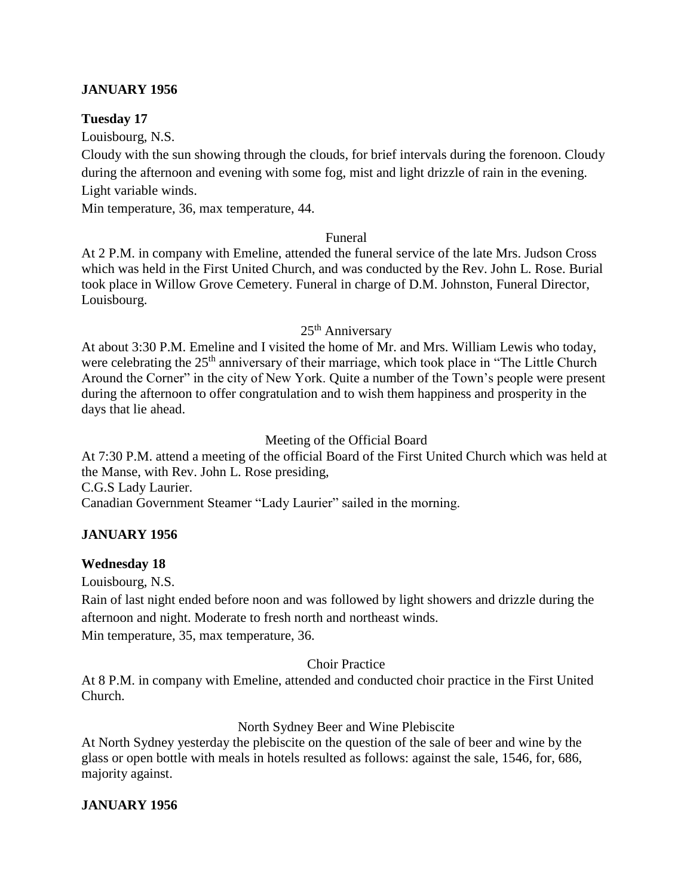### **JANUARY 1956**

#### **Tuesday 17**

Louisbourg, N.S.

Cloudy with the sun showing through the clouds, for brief intervals during the forenoon. Cloudy during the afternoon and evening with some fog, mist and light drizzle of rain in the evening. Light variable winds.

Min temperature, 36, max temperature, 44.

#### Funeral

At 2 P.M. in company with Emeline, attended the funeral service of the late Mrs. Judson Cross which was held in the First United Church, and was conducted by the Rev. John L. Rose. Burial took place in Willow Grove Cemetery. Funeral in charge of D.M. Johnston, Funeral Director, Louisbourg.

#### 25<sup>th</sup> Anniversary

At about 3:30 P.M. Emeline and I visited the home of Mr. and Mrs. William Lewis who today, were celebrating the 25<sup>th</sup> anniversary of their marriage, which took place in "The Little Church" Around the Corner" in the city of New York. Quite a number of the Town's people were present during the afternoon to offer congratulation and to wish them happiness and prosperity in the days that lie ahead.

### Meeting of the Official Board

At 7:30 P.M. attend a meeting of the official Board of the First United Church which was held at the Manse, with Rev. John L. Rose presiding,

C.G.S Lady Laurier.

Canadian Government Steamer "Lady Laurier" sailed in the morning.

### **JANUARY 1956**

### **Wednesday 18**

Louisbourg, N.S.

Rain of last night ended before noon and was followed by light showers and drizzle during the afternoon and night. Moderate to fresh north and northeast winds. Min temperature, 35, max temperature, 36.

### Choir Practice

At 8 P.M. in company with Emeline, attended and conducted choir practice in the First United Church.

### North Sydney Beer and Wine Plebiscite

At North Sydney yesterday the plebiscite on the question of the sale of beer and wine by the glass or open bottle with meals in hotels resulted as follows: against the sale, 1546, for, 686, majority against.

### **JANUARY 1956**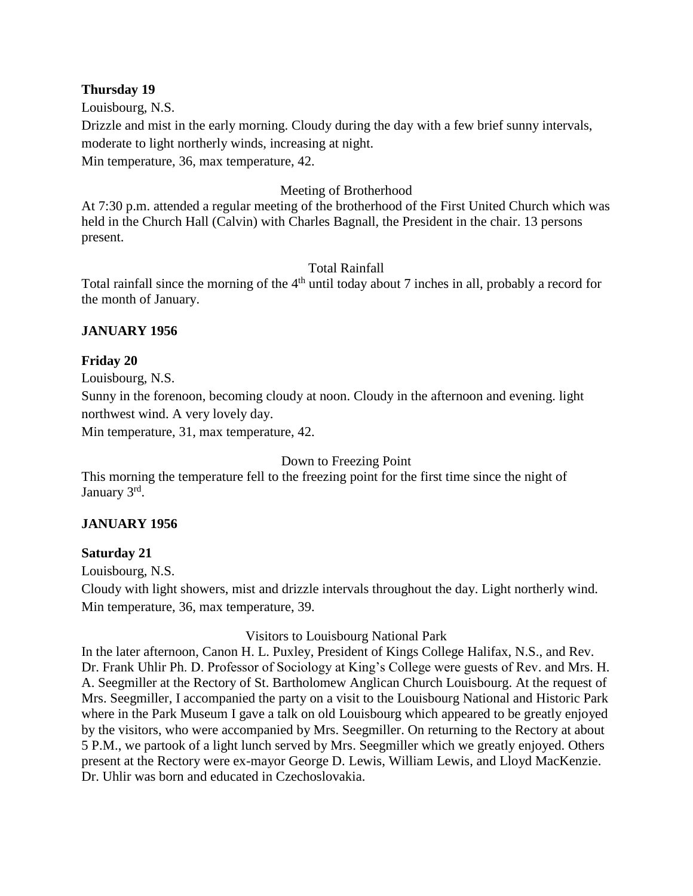#### **Thursday 19**

Louisbourg, N.S. Drizzle and mist in the early morning. Cloudy during the day with a few brief sunny intervals, moderate to light northerly winds, increasing at night. Min temperature, 36, max temperature, 42.

# Meeting of Brotherhood

At 7:30 p.m. attended a regular meeting of the brotherhood of the First United Church which was held in the Church Hall (Calvin) with Charles Bagnall, the President in the chair. 13 persons present.

### Total Rainfall

Total rainfall since the morning of the  $4<sup>th</sup>$  until today about 7 inches in all, probably a record for the month of January.

### **JANUARY 1956**

### **Friday 20**

Louisbourg, N.S.

Sunny in the forenoon, becoming cloudy at noon. Cloudy in the afternoon and evening. light northwest wind. A very lovely day.

Min temperature, 31, max temperature, 42.

### Down to Freezing Point

This morning the temperature fell to the freezing point for the first time since the night of January 3rd.

### **JANUARY 1956**

### **Saturday 21**

Louisbourg, N.S.

Cloudy with light showers, mist and drizzle intervals throughout the day. Light northerly wind. Min temperature, 36, max temperature, 39.

### Visitors to Louisbourg National Park

In the later afternoon, Canon H. L. Puxley, President of Kings College Halifax, N.S., and Rev. Dr. Frank Uhlir Ph. D. Professor of Sociology at King's College were guests of Rev. and Mrs. H. A. Seegmiller at the Rectory of St. Bartholomew Anglican Church Louisbourg. At the request of Mrs. Seegmiller, I accompanied the party on a visit to the Louisbourg National and Historic Park where in the Park Museum I gave a talk on old Louisbourg which appeared to be greatly enjoyed by the visitors, who were accompanied by Mrs. Seegmiller. On returning to the Rectory at about 5 P.M., we partook of a light lunch served by Mrs. Seegmiller which we greatly enjoyed. Others present at the Rectory were ex-mayor George D. Lewis, William Lewis, and Lloyd MacKenzie. Dr. Uhlir was born and educated in Czechoslovakia.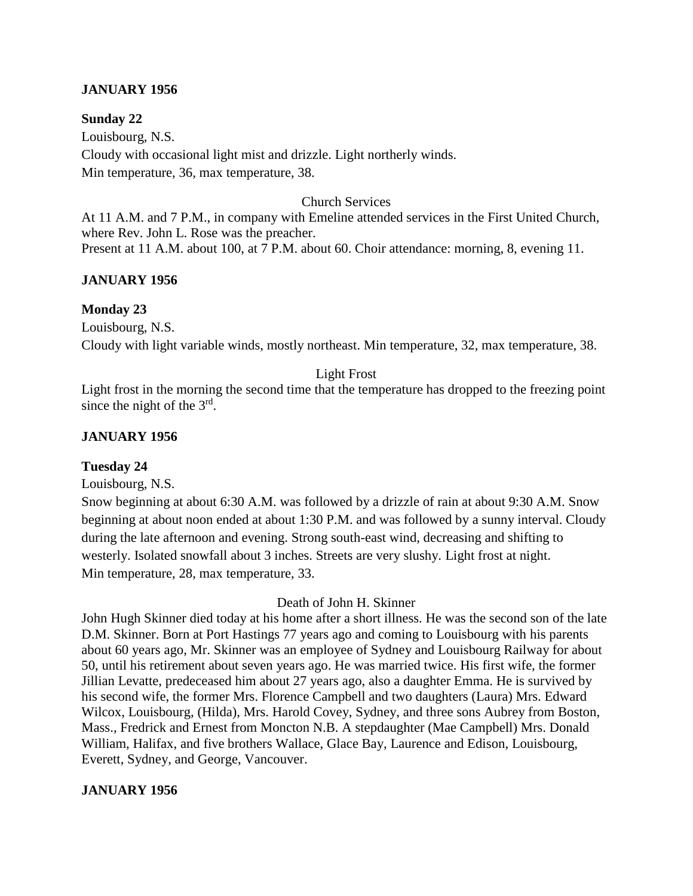#### **JANUARY 1956**

#### **Sunday 22**

Louisbourg, N.S. Cloudy with occasional light mist and drizzle. Light northerly winds. Min temperature, 36, max temperature, 38.

#### Church Services

At 11 A.M. and 7 P.M., in company with Emeline attended services in the First United Church, where Rev. John L. Rose was the preacher. Present at 11 A.M. about 100, at 7 P.M. about 60. Choir attendance: morning, 8, evening 11.

#### **JANUARY 1956**

#### **Monday 23**

Louisbourg, N.S. Cloudy with light variable winds, mostly northeast. Min temperature, 32, max temperature, 38.

# Light Frost

Light frost in the morning the second time that the temperature has dropped to the freezing point since the night of the  $3<sup>rd</sup>$ .

#### **JANUARY 1956**

#### **Tuesday 24**

Louisbourg, N.S.

Snow beginning at about 6:30 A.M. was followed by a drizzle of rain at about 9:30 A.M. Snow beginning at about noon ended at about 1:30 P.M. and was followed by a sunny interval. Cloudy during the late afternoon and evening. Strong south-east wind, decreasing and shifting to westerly. Isolated snowfall about 3 inches. Streets are very slushy. Light frost at night. Min temperature, 28, max temperature, 33.

#### Death of John H. Skinner

John Hugh Skinner died today at his home after a short illness. He was the second son of the late D.M. Skinner. Born at Port Hastings 77 years ago and coming to Louisbourg with his parents about 60 years ago, Mr. Skinner was an employee of Sydney and Louisbourg Railway for about 50, until his retirement about seven years ago. He was married twice. His first wife, the former Jillian Levatte, predeceased him about 27 years ago, also a daughter Emma. He is survived by his second wife, the former Mrs. Florence Campbell and two daughters (Laura) Mrs. Edward Wilcox, Louisbourg, (Hilda), Mrs. Harold Covey, Sydney, and three sons Aubrey from Boston, Mass., Fredrick and Ernest from Moncton N.B. A stepdaughter (Mae Campbell) Mrs. Donald William, Halifax, and five brothers Wallace, Glace Bay, Laurence and Edison, Louisbourg, Everett, Sydney, and George, Vancouver.

#### **JANUARY 1956**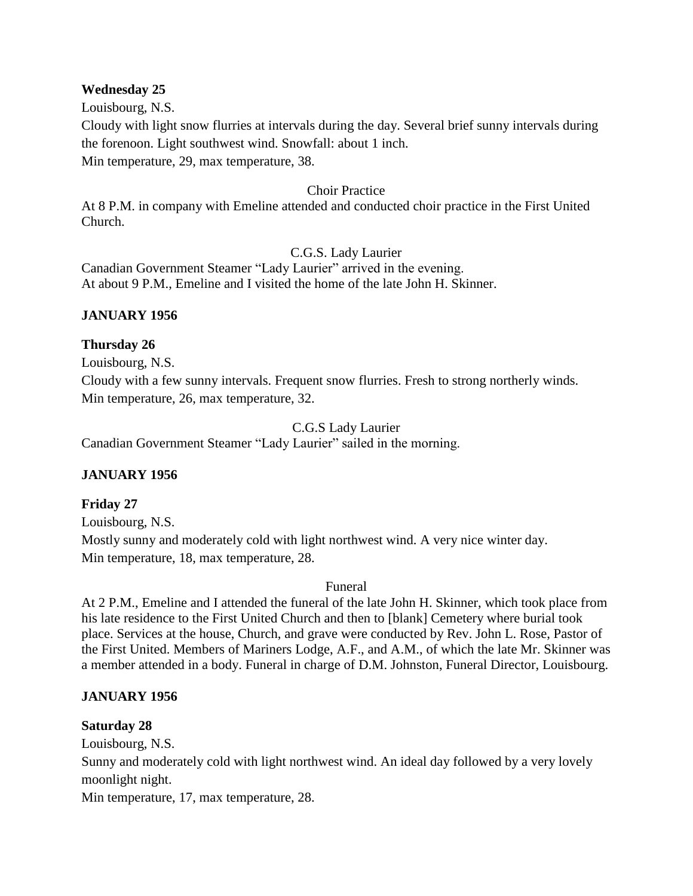#### **Wednesday 25**

Louisbourg, N.S.

Cloudy with light snow flurries at intervals during the day. Several brief sunny intervals during the forenoon. Light southwest wind. Snowfall: about 1 inch. Min temperature, 29, max temperature, 38.

#### Choir Practice

At 8 P.M. in company with Emeline attended and conducted choir practice in the First United Church.

#### C.G.S. Lady Laurier

Canadian Government Steamer "Lady Laurier" arrived in the evening. At about 9 P.M., Emeline and I visited the home of the late John H. Skinner.

#### **JANUARY 1956**

#### **Thursday 26**

Louisbourg, N.S.

Cloudy with a few sunny intervals. Frequent snow flurries. Fresh to strong northerly winds. Min temperature, 26, max temperature, 32.

C.G.S Lady Laurier

Canadian Government Steamer "Lady Laurier" sailed in the morning.

### **JANUARY 1956**

### **Friday 27**

Louisbourg, N.S.

Mostly sunny and moderately cold with light northwest wind. A very nice winter day. Min temperature, 18, max temperature, 28.

#### Funeral

At 2 P.M., Emeline and I attended the funeral of the late John H. Skinner, which took place from his late residence to the First United Church and then to [blank] Cemetery where burial took place. Services at the house, Church, and grave were conducted by Rev. John L. Rose, Pastor of the First United. Members of Mariners Lodge, A.F., and A.M., of which the late Mr. Skinner was a member attended in a body. Funeral in charge of D.M. Johnston, Funeral Director, Louisbourg.

### **JANUARY 1956**

### **Saturday 28**

Louisbourg, N.S.

Sunny and moderately cold with light northwest wind. An ideal day followed by a very lovely moonlight night.

Min temperature, 17, max temperature, 28.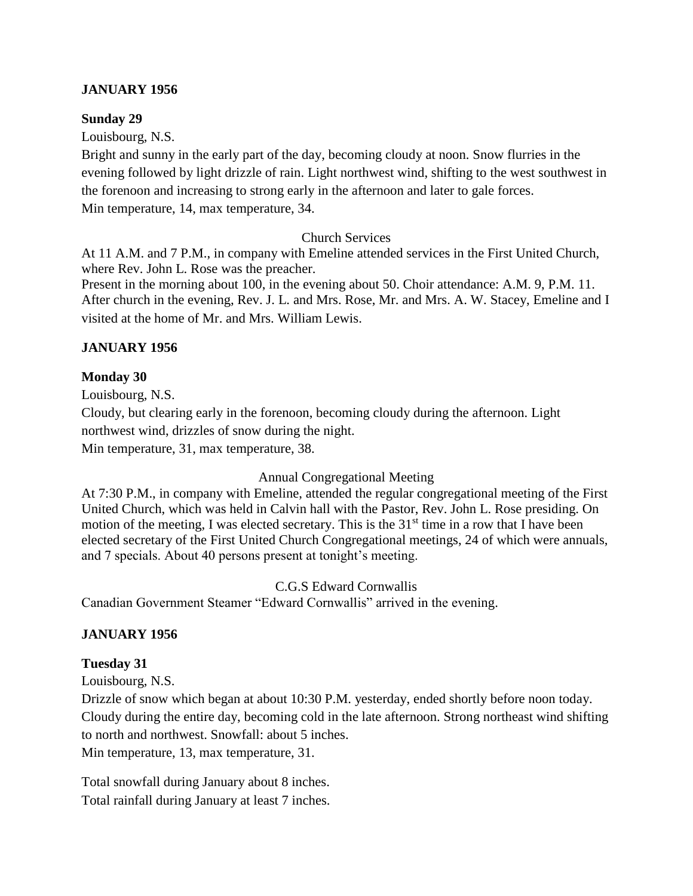#### **JANUARY 1956**

#### **Sunday 29**

Louisbourg, N.S.

Bright and sunny in the early part of the day, becoming cloudy at noon. Snow flurries in the evening followed by light drizzle of rain. Light northwest wind, shifting to the west southwest in the forenoon and increasing to strong early in the afternoon and later to gale forces. Min temperature, 14, max temperature, 34.

#### Church Services

At 11 A.M. and 7 P.M., in company with Emeline attended services in the First United Church, where Rev. John L. Rose was the preacher.

Present in the morning about 100, in the evening about 50. Choir attendance: A.M. 9, P.M. 11. After church in the evening, Rev. J. L. and Mrs. Rose, Mr. and Mrs. A. W. Stacey, Emeline and I visited at the home of Mr. and Mrs. William Lewis.

### **JANUARY 1956**

#### **Monday 30**

Louisbourg, N.S. Cloudy, but clearing early in the forenoon, becoming cloudy during the afternoon. Light northwest wind, drizzles of snow during the night. Min temperature, 31, max temperature, 38.

### Annual Congregational Meeting

At 7:30 P.M., in company with Emeline, attended the regular congregational meeting of the First United Church, which was held in Calvin hall with the Pastor, Rev. John L. Rose presiding. On motion of the meeting, I was elected secretary. This is the  $31<sup>st</sup>$  time in a row that I have been elected secretary of the First United Church Congregational meetings, 24 of which were annuals, and 7 specials. About 40 persons present at tonight's meeting.

C.G.S Edward Cornwallis

Canadian Government Steamer "Edward Cornwallis" arrived in the evening.

### **JANUARY 1956**

### **Tuesday 31**

Louisbourg, N.S.

Drizzle of snow which began at about 10:30 P.M. yesterday, ended shortly before noon today. Cloudy during the entire day, becoming cold in the late afternoon. Strong northeast wind shifting to north and northwest. Snowfall: about 5 inches.

Min temperature, 13, max temperature, 31.

Total snowfall during January about 8 inches. Total rainfall during January at least 7 inches.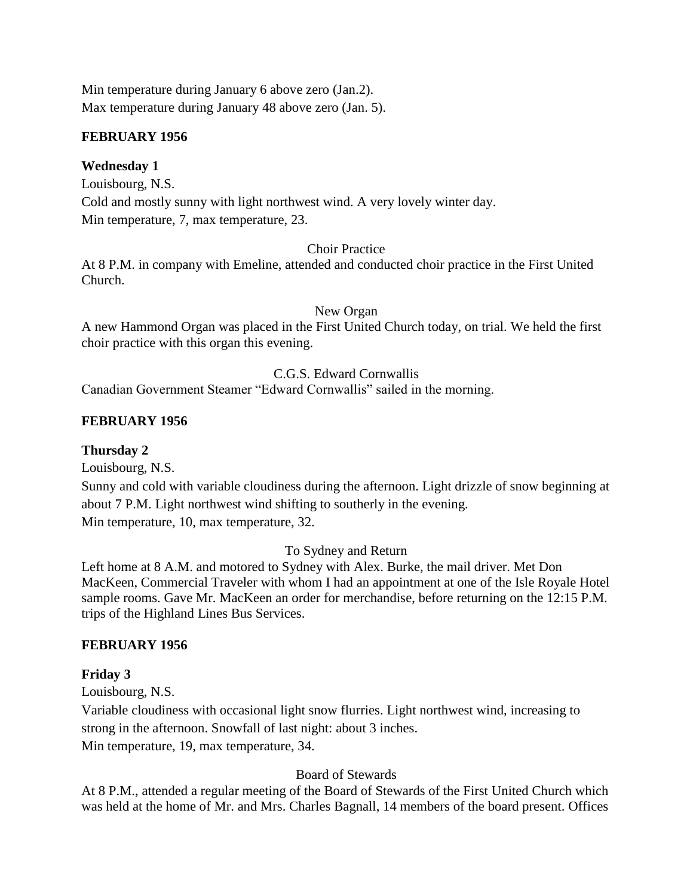Min temperature during January 6 above zero (Jan.2). Max temperature during January 48 above zero (Jan. 5).

### **FEBRUARY 1956**

# **Wednesday 1**

Louisbourg, N.S. Cold and mostly sunny with light northwest wind. A very lovely winter day. Min temperature, 7, max temperature, 23.

### Choir Practice

At 8 P.M. in company with Emeline, attended and conducted choir practice in the First United Church.

New Organ

A new Hammond Organ was placed in the First United Church today, on trial. We held the first choir practice with this organ this evening.

### C.G.S. Edward Cornwallis

Canadian Government Steamer "Edward Cornwallis" sailed in the morning.

### **FEBRUARY 1956**

### **Thursday 2**

Louisbourg, N.S.

Sunny and cold with variable cloudiness during the afternoon. Light drizzle of snow beginning at about 7 P.M. Light northwest wind shifting to southerly in the evening. Min temperature, 10, max temperature, 32.

### To Sydney and Return

Left home at 8 A.M. and motored to Sydney with Alex. Burke, the mail driver. Met Don MacKeen, Commercial Traveler with whom I had an appointment at one of the Isle Royale Hotel sample rooms. Gave Mr. MacKeen an order for merchandise, before returning on the 12:15 P.M. trips of the Highland Lines Bus Services.

### **FEBRUARY 1956**

### **Friday 3**

Louisbourg, N.S.

Variable cloudiness with occasional light snow flurries. Light northwest wind, increasing to strong in the afternoon. Snowfall of last night: about 3 inches. Min temperature, 19, max temperature, 34.

### Board of Stewards

At 8 P.M., attended a regular meeting of the Board of Stewards of the First United Church which was held at the home of Mr. and Mrs. Charles Bagnall, 14 members of the board present. Offices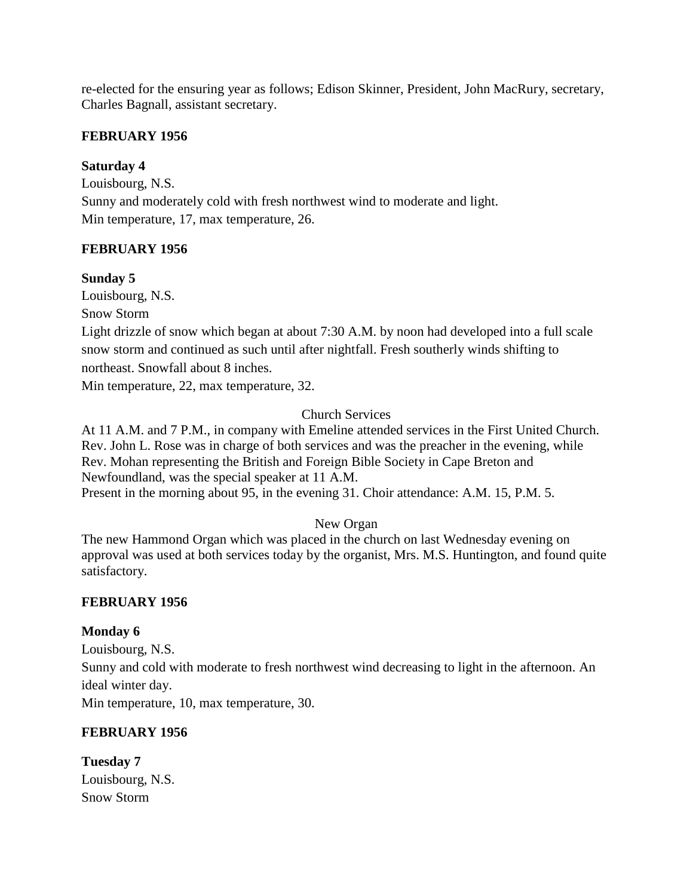re-elected for the ensuring year as follows; Edison Skinner, President, John MacRury, secretary, Charles Bagnall, assistant secretary.

# **FEBRUARY 1956**

# **Saturday 4**

Louisbourg, N.S. Sunny and moderately cold with fresh northwest wind to moderate and light. Min temperature, 17, max temperature, 26.

# **FEBRUARY 1956**

# **Sunday 5**

Louisbourg, N.S.

Snow Storm

Light drizzle of snow which began at about 7:30 A.M. by noon had developed into a full scale snow storm and continued as such until after nightfall. Fresh southerly winds shifting to northeast. Snowfall about 8 inches.

Min temperature, 22, max temperature, 32.

# Church Services

At 11 A.M. and 7 P.M., in company with Emeline attended services in the First United Church. Rev. John L. Rose was in charge of both services and was the preacher in the evening, while Rev. Mohan representing the British and Foreign Bible Society in Cape Breton and Newfoundland, was the special speaker at 11 A.M. Present in the morning about 95, in the evening 31. Choir attendance: A.M. 15, P.M. 5.

# New Organ

The new Hammond Organ which was placed in the church on last Wednesday evening on approval was used at both services today by the organist, Mrs. M.S. Huntington, and found quite satisfactory.

# **FEBRUARY 1956**

### **Monday 6**

Louisbourg, N.S. Sunny and cold with moderate to fresh northwest wind decreasing to light in the afternoon. An ideal winter day.

Min temperature, 10, max temperature, 30.

# **FEBRUARY 1956**

**Tuesday 7** Louisbourg, N.S. Snow Storm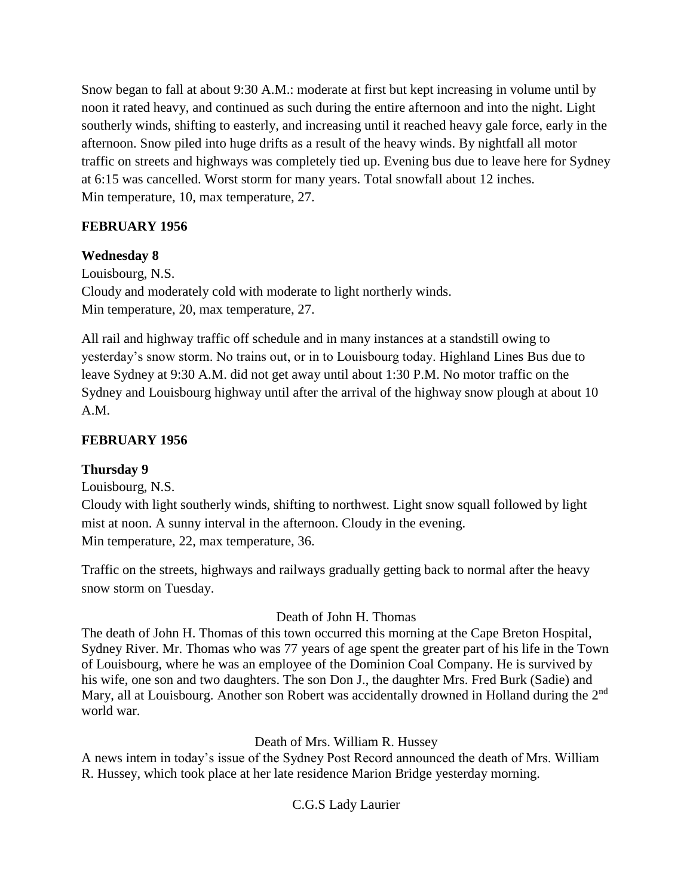Snow began to fall at about 9:30 A.M.: moderate at first but kept increasing in volume until by noon it rated heavy, and continued as such during the entire afternoon and into the night. Light southerly winds, shifting to easterly, and increasing until it reached heavy gale force, early in the afternoon. Snow piled into huge drifts as a result of the heavy winds. By nightfall all motor traffic on streets and highways was completely tied up. Evening bus due to leave here for Sydney at 6:15 was cancelled. Worst storm for many years. Total snowfall about 12 inches. Min temperature, 10, max temperature, 27.

# **FEBRUARY 1956**

# **Wednesday 8**

Louisbourg, N.S. Cloudy and moderately cold with moderate to light northerly winds. Min temperature, 20, max temperature, 27.

All rail and highway traffic off schedule and in many instances at a standstill owing to yesterday's snow storm. No trains out, or in to Louisbourg today. Highland Lines Bus due to leave Sydney at 9:30 A.M. did not get away until about 1:30 P.M. No motor traffic on the Sydney and Louisbourg highway until after the arrival of the highway snow plough at about 10 A.M.

# **FEBRUARY 1956**

# **Thursday 9**

Louisbourg, N.S.

Cloudy with light southerly winds, shifting to northwest. Light snow squall followed by light mist at noon. A sunny interval in the afternoon. Cloudy in the evening. Min temperature, 22, max temperature, 36.

Traffic on the streets, highways and railways gradually getting back to normal after the heavy snow storm on Tuesday.

# Death of John H. Thomas

The death of John H. Thomas of this town occurred this morning at the Cape Breton Hospital, Sydney River. Mr. Thomas who was 77 years of age spent the greater part of his life in the Town of Louisbourg, where he was an employee of the Dominion Coal Company. He is survived by his wife, one son and two daughters. The son Don J., the daughter Mrs. Fred Burk (Sadie) and Mary, all at Louisbourg. Another son Robert was accidentally drowned in Holland during the 2<sup>nd</sup> world war.

Death of Mrs. William R. Hussey

A news intem in today's issue of the Sydney Post Record announced the death of Mrs. William R. Hussey, which took place at her late residence Marion Bridge yesterday morning.

# C.G.S Lady Laurier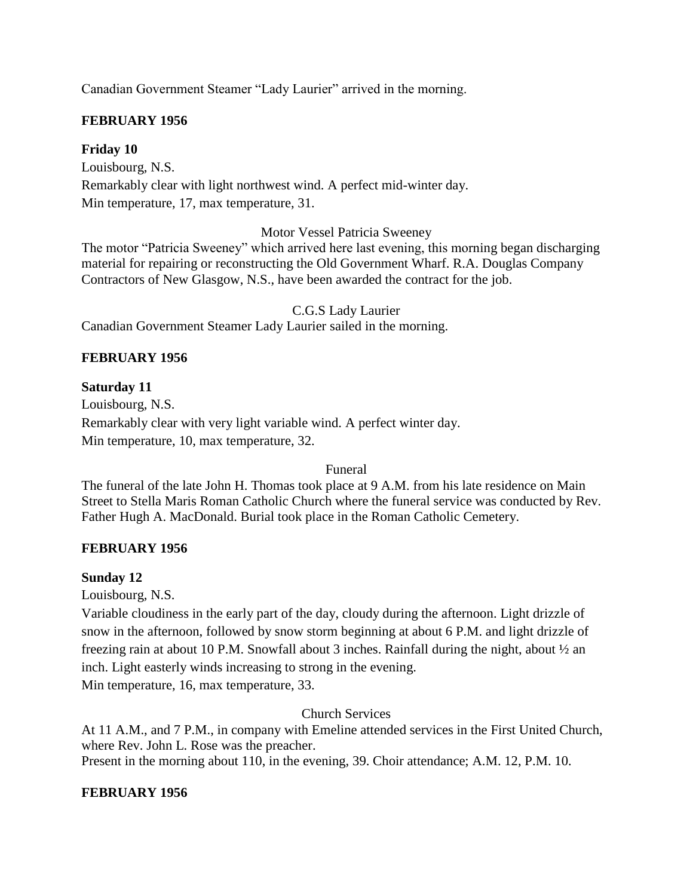Canadian Government Steamer "Lady Laurier" arrived in the morning.

#### **FEBRUARY 1956**

#### **Friday 10**

Louisbourg, N.S. Remarkably clear with light northwest wind. A perfect mid-winter day. Min temperature, 17, max temperature, 31.

Motor Vessel Patricia Sweeney

The motor "Patricia Sweeney" which arrived here last evening, this morning began discharging material for repairing or reconstructing the Old Government Wharf. R.A. Douglas Company Contractors of New Glasgow, N.S., have been awarded the contract for the job.

C.G.S Lady Laurier Canadian Government Steamer Lady Laurier sailed in the morning.

#### **FEBRUARY 1956**

#### **Saturday 11**

Louisbourg, N.S. Remarkably clear with very light variable wind. A perfect winter day. Min temperature, 10, max temperature, 32.

Funeral

The funeral of the late John H. Thomas took place at 9 A.M. from his late residence on Main Street to Stella Maris Roman Catholic Church where the funeral service was conducted by Rev. Father Hugh A. MacDonald. Burial took place in the Roman Catholic Cemetery.

#### **FEBRUARY 1956**

#### **Sunday 12**

Louisbourg, N.S.

Variable cloudiness in the early part of the day, cloudy during the afternoon. Light drizzle of snow in the afternoon, followed by snow storm beginning at about 6 P.M. and light drizzle of freezing rain at about 10 P.M. Snowfall about 3 inches. Rainfall during the night, about ½ an inch. Light easterly winds increasing to strong in the evening.

Min temperature, 16, max temperature, 33.

#### Church Services

At 11 A.M., and 7 P.M., in company with Emeline attended services in the First United Church, where Rev. John L. Rose was the preacher. Present in the morning about 110, in the evening, 39. Choir attendance; A.M. 12, P.M. 10.

#### **FEBRUARY 1956**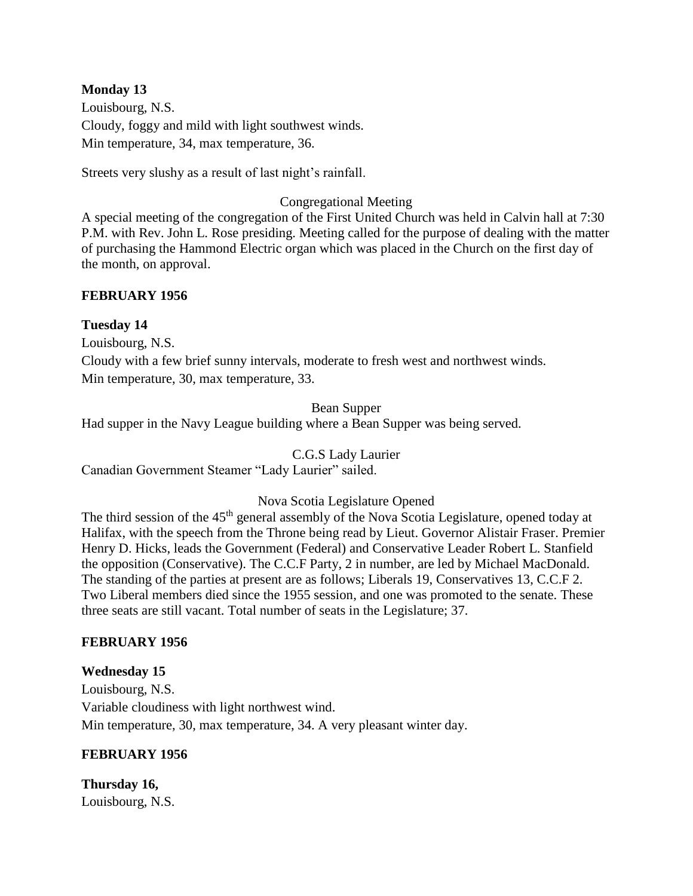#### **Monday 13**

Louisbourg, N.S. Cloudy, foggy and mild with light southwest winds. Min temperature, 34, max temperature, 36.

Streets very slushy as a result of last night's rainfall.

#### Congregational Meeting

A special meeting of the congregation of the First United Church was held in Calvin hall at 7:30 P.M. with Rev. John L. Rose presiding. Meeting called for the purpose of dealing with the matter of purchasing the Hammond Electric organ which was placed in the Church on the first day of the month, on approval.

#### **FEBRUARY 1956**

#### **Tuesday 14**

Louisbourg, N.S.

Cloudy with a few brief sunny intervals, moderate to fresh west and northwest winds. Min temperature, 30, max temperature, 33.

#### Bean Supper

Had supper in the Navy League building where a Bean Supper was being served.

C.G.S Lady Laurier

Canadian Government Steamer "Lady Laurier" sailed.

#### Nova Scotia Legislature Opened

The third session of the 45<sup>th</sup> general assembly of the Nova Scotia Legislature, opened today at Halifax, with the speech from the Throne being read by Lieut. Governor Alistair Fraser. Premier Henry D. Hicks, leads the Government (Federal) and Conservative Leader Robert L. Stanfield the opposition (Conservative). The C.C.F Party, 2 in number, are led by Michael MacDonald. The standing of the parties at present are as follows; Liberals 19, Conservatives 13, C.C.F 2. Two Liberal members died since the 1955 session, and one was promoted to the senate. These three seats are still vacant. Total number of seats in the Legislature; 37.

### **FEBRUARY 1956**

**Wednesday 15** Louisbourg, N.S. Variable cloudiness with light northwest wind. Min temperature, 30, max temperature, 34. A very pleasant winter day.

#### **FEBRUARY 1956**

**Thursday 16,** Louisbourg, N.S.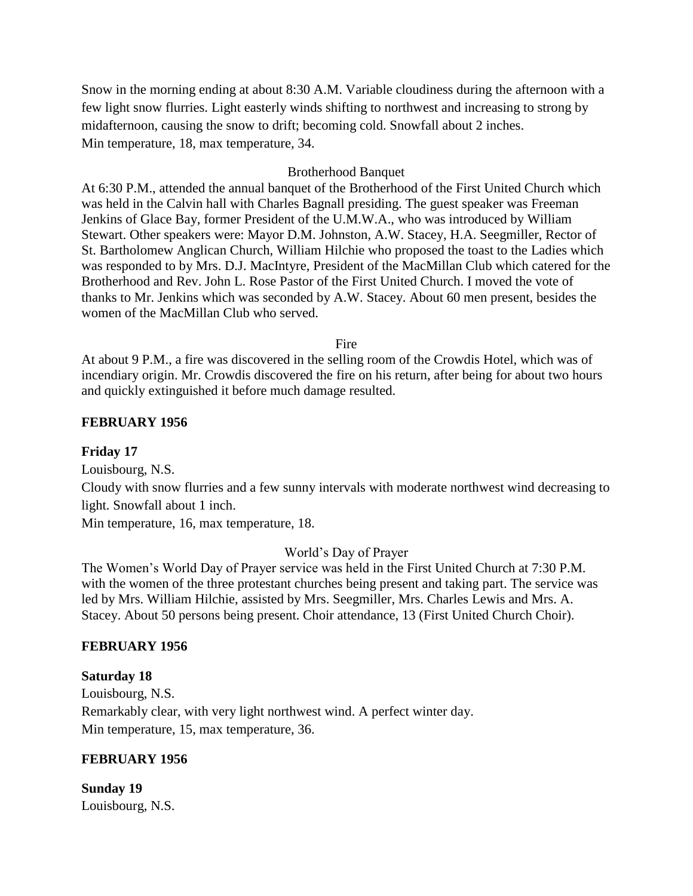Snow in the morning ending at about 8:30 A.M. Variable cloudiness during the afternoon with a few light snow flurries. Light easterly winds shifting to northwest and increasing to strong by midafternoon, causing the snow to drift; becoming cold. Snowfall about 2 inches. Min temperature, 18, max temperature, 34.

#### Brotherhood Banquet

At 6:30 P.M., attended the annual banquet of the Brotherhood of the First United Church which was held in the Calvin hall with Charles Bagnall presiding. The guest speaker was Freeman Jenkins of Glace Bay, former President of the U.M.W.A., who was introduced by William Stewart. Other speakers were: Mayor D.M. Johnston, A.W. Stacey, H.A. Seegmiller, Rector of St. Bartholomew Anglican Church, William Hilchie who proposed the toast to the Ladies which was responded to by Mrs. D.J. MacIntyre, President of the MacMillan Club which catered for the Brotherhood and Rev. John L. Rose Pastor of the First United Church. I moved the vote of thanks to Mr. Jenkins which was seconded by A.W. Stacey. About 60 men present, besides the women of the MacMillan Club who served.

Fire

At about 9 P.M., a fire was discovered in the selling room of the Crowdis Hotel, which was of incendiary origin. Mr. Crowdis discovered the fire on his return, after being for about two hours and quickly extinguished it before much damage resulted.

#### **FEBRUARY 1956**

#### **Friday 17**

Louisbourg, N.S.

Cloudy with snow flurries and a few sunny intervals with moderate northwest wind decreasing to light. Snowfall about 1 inch.

Min temperature, 16, max temperature, 18.

#### World's Day of Prayer

The Women's World Day of Prayer service was held in the First United Church at 7:30 P.M. with the women of the three protestant churches being present and taking part. The service was led by Mrs. William Hilchie, assisted by Mrs. Seegmiller, Mrs. Charles Lewis and Mrs. A. Stacey. About 50 persons being present. Choir attendance, 13 (First United Church Choir).

#### **FEBRUARY 1956**

#### **Saturday 18**

Louisbourg, N.S. Remarkably clear, with very light northwest wind. A perfect winter day. Min temperature, 15, max temperature, 36.

#### **FEBRUARY 1956**

**Sunday 19** Louisbourg, N.S.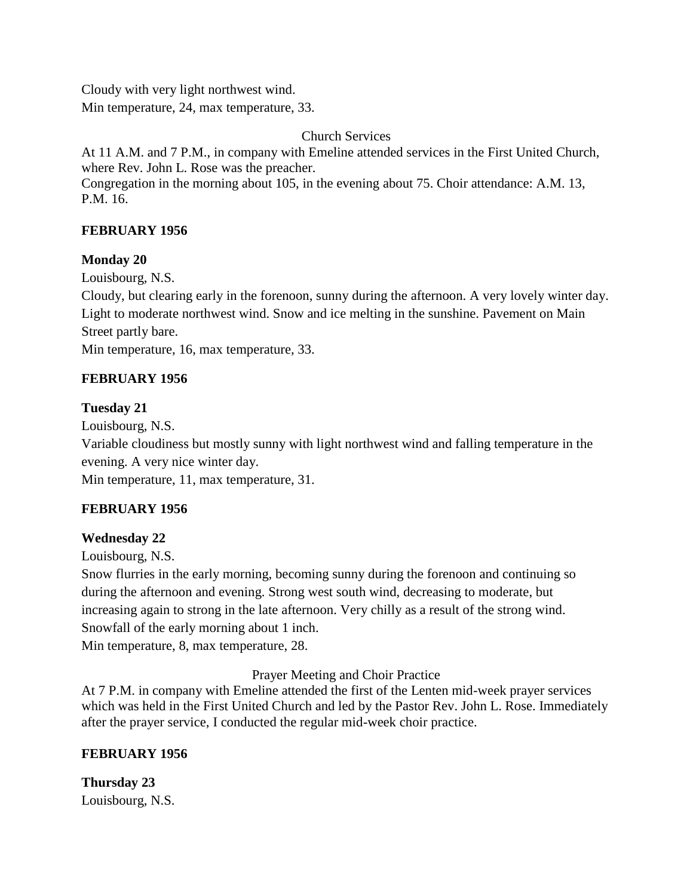Cloudy with very light northwest wind. Min temperature, 24, max temperature, 33.

Church Services

At 11 A.M. and 7 P.M., in company with Emeline attended services in the First United Church, where Rev. John L. Rose was the preacher. Congregation in the morning about 105, in the evening about 75. Choir attendance: A.M. 13, P.M. 16.

# **FEBRUARY 1956**

# **Monday 20**

Louisbourg, N.S.

Cloudy, but clearing early in the forenoon, sunny during the afternoon. A very lovely winter day. Light to moderate northwest wind. Snow and ice melting in the sunshine. Pavement on Main Street partly bare.

Min temperature, 16, max temperature, 33.

# **FEBRUARY 1956**

# **Tuesday 21**

Louisbourg, N.S.

Variable cloudiness but mostly sunny with light northwest wind and falling temperature in the evening. A very nice winter day.

Min temperature, 11, max temperature, 31.

# **FEBRUARY 1956**

# **Wednesday 22**

Louisbourg, N.S.

Snow flurries in the early morning, becoming sunny during the forenoon and continuing so during the afternoon and evening. Strong west south wind, decreasing to moderate, but increasing again to strong in the late afternoon. Very chilly as a result of the strong wind. Snowfall of the early morning about 1 inch.

Min temperature, 8, max temperature, 28.

Prayer Meeting and Choir Practice

At 7 P.M. in company with Emeline attended the first of the Lenten mid-week prayer services which was held in the First United Church and led by the Pastor Rev. John L. Rose. Immediately after the prayer service, I conducted the regular mid-week choir practice.

# **FEBRUARY 1956**

**Thursday 23** Louisbourg, N.S.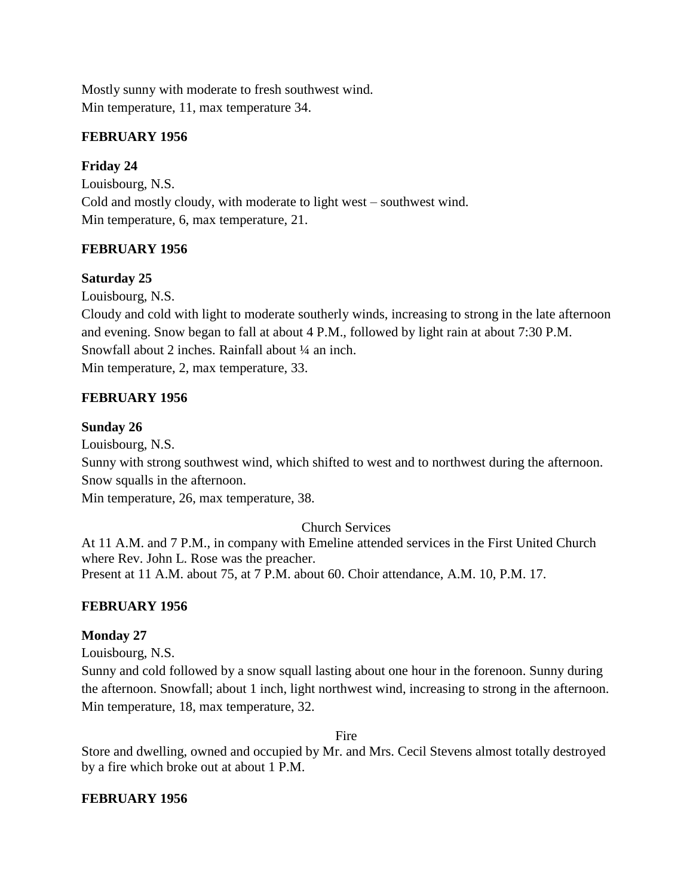Mostly sunny with moderate to fresh southwest wind. Min temperature, 11, max temperature 34.

# **FEBRUARY 1956**

# **Friday 24**

Louisbourg, N.S. Cold and mostly cloudy, with moderate to light west – southwest wind. Min temperature, 6, max temperature, 21.

# **FEBRUARY 1956**

# **Saturday 25**

Louisbourg, N.S.

Cloudy and cold with light to moderate southerly winds, increasing to strong in the late afternoon and evening. Snow began to fall at about 4 P.M., followed by light rain at about 7:30 P.M. Snowfall about 2 inches. Rainfall about  $\frac{1}{4}$  an inch. Min temperature, 2, max temperature, 33.

# **FEBRUARY 1956**

### **Sunday 26**

Louisbourg, N.S.

Sunny with strong southwest wind, which shifted to west and to northwest during the afternoon. Snow squalls in the afternoon.

Min temperature, 26, max temperature, 38.

### Church Services

At 11 A.M. and 7 P.M., in company with Emeline attended services in the First United Church where Rev. John L. Rose was the preacher. Present at 11 A.M. about 75, at 7 P.M. about 60. Choir attendance, A.M. 10, P.M. 17.

# **FEBRUARY 1956**

### **Monday 27**

Louisbourg, N.S.

Sunny and cold followed by a snow squall lasting about one hour in the forenoon. Sunny during the afternoon. Snowfall; about 1 inch, light northwest wind, increasing to strong in the afternoon. Min temperature, 18, max temperature, 32.

Fire

Store and dwelling, owned and occupied by Mr. and Mrs. Cecil Stevens almost totally destroyed by a fire which broke out at about 1 P.M.

### **FEBRUARY 1956**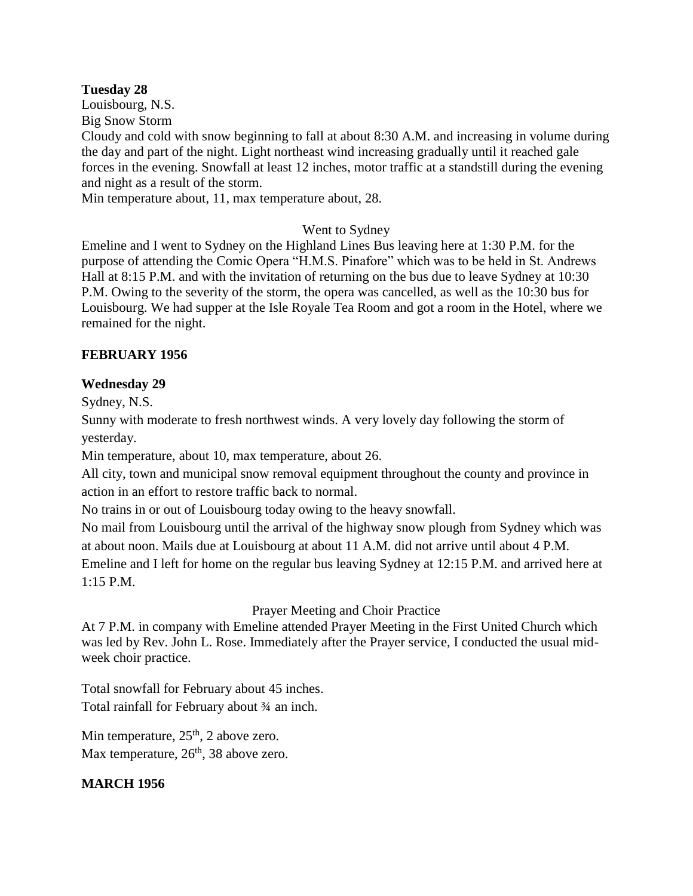#### **Tuesday 28**

Louisbourg, N.S. Big Snow Storm

Cloudy and cold with snow beginning to fall at about 8:30 A.M. and increasing in volume during the day and part of the night. Light northeast wind increasing gradually until it reached gale forces in the evening. Snowfall at least 12 inches, motor traffic at a standstill during the evening and night as a result of the storm.

Min temperature about, 11, max temperature about, 28.

### Went to Sydney

Emeline and I went to Sydney on the Highland Lines Bus leaving here at 1:30 P.M. for the purpose of attending the Comic Opera "H.M.S. Pinafore" which was to be held in St. Andrews Hall at 8:15 P.M. and with the invitation of returning on the bus due to leave Sydney at 10:30 P.M. Owing to the severity of the storm, the opera was cancelled, as well as the 10:30 bus for Louisbourg. We had supper at the Isle Royale Tea Room and got a room in the Hotel, where we remained for the night.

### **FEBRUARY 1956**

### **Wednesday 29**

Sydney, N.S.

Sunny with moderate to fresh northwest winds. A very lovely day following the storm of yesterday.

Min temperature, about 10, max temperature, about 26.

All city, town and municipal snow removal equipment throughout the county and province in action in an effort to restore traffic back to normal.

No trains in or out of Louisbourg today owing to the heavy snowfall.

No mail from Louisbourg until the arrival of the highway snow plough from Sydney which was at about noon. Mails due at Louisbourg at about 11 A.M. did not arrive until about 4 P.M. Emeline and I left for home on the regular bus leaving Sydney at 12:15 P.M. and arrived here at 1:15 P.M.

### Prayer Meeting and Choir Practice

At 7 P.M. in company with Emeline attended Prayer Meeting in the First United Church which was led by Rev. John L. Rose. Immediately after the Prayer service, I conducted the usual midweek choir practice.

Total snowfall for February about 45 inches. Total rainfall for February about ¾ an inch.

Min temperature,  $25<sup>th</sup>$ , 2 above zero. Max temperature,  $26<sup>th</sup>$ , 38 above zero.

# **MARCH 1956**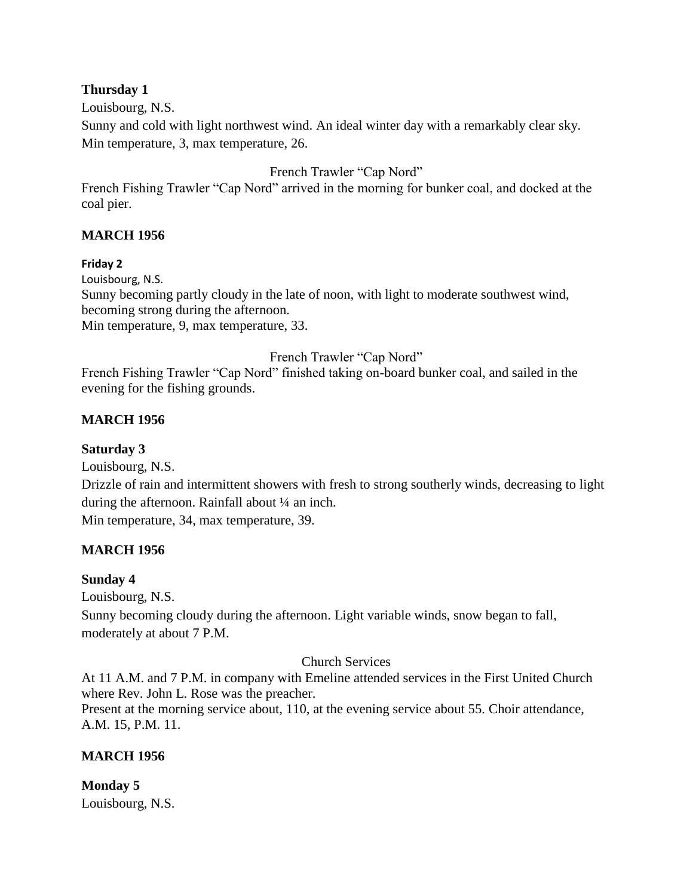### **Thursday 1**

Louisbourg, N.S.

Sunny and cold with light northwest wind. An ideal winter day with a remarkably clear sky. Min temperature, 3, max temperature, 26.

French Trawler "Cap Nord"

French Fishing Trawler "Cap Nord" arrived in the morning for bunker coal, and docked at the coal pier.

### **MARCH 1956**

#### **Friday 2**

Louisbourg, N.S. Sunny becoming partly cloudy in the late of noon, with light to moderate southwest wind, becoming strong during the afternoon. Min temperature, 9, max temperature, 33.

French Trawler "Cap Nord"

French Fishing Trawler "Cap Nord" finished taking on-board bunker coal, and sailed in the evening for the fishing grounds.

### **MARCH 1956**

#### **Saturday 3**

Louisbourg, N.S.

Drizzle of rain and intermittent showers with fresh to strong southerly winds, decreasing to light during the afternoon. Rainfall about ¼ an inch.

Min temperature, 34, max temperature, 39.

### **MARCH 1956**

#### **Sunday 4**

Louisbourg, N.S.

Sunny becoming cloudy during the afternoon. Light variable winds, snow began to fall, moderately at about 7 P.M.

#### Church Services

At 11 A.M. and 7 P.M. in company with Emeline attended services in the First United Church where Rev. John L. Rose was the preacher.

Present at the morning service about, 110, at the evening service about 55. Choir attendance, A.M. 15, P.M. 11.

### **MARCH 1956**

#### **Monday 5** Louisbourg, N.S.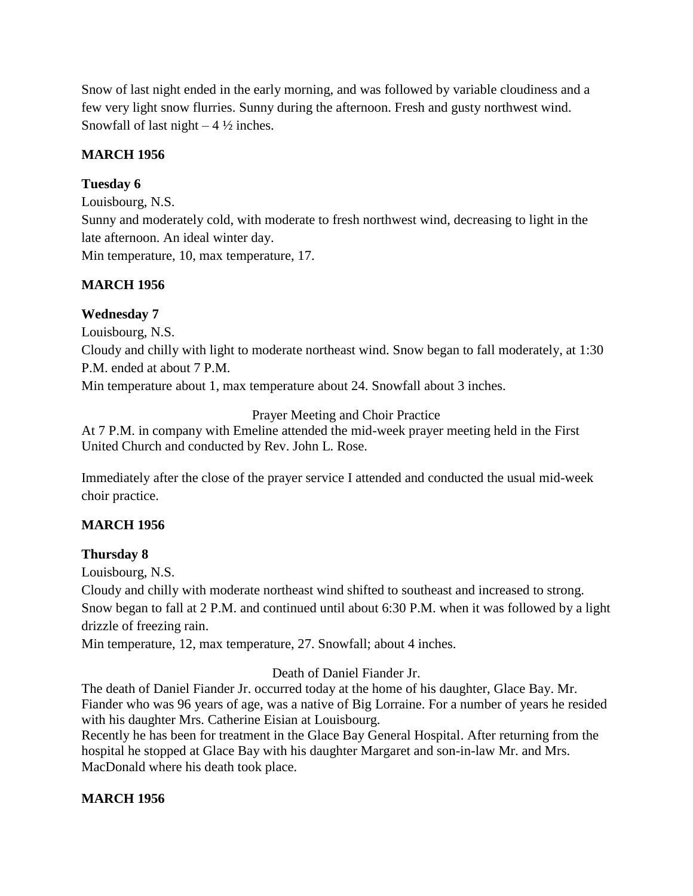Snow of last night ended in the early morning, and was followed by variable cloudiness and a few very light snow flurries. Sunny during the afternoon. Fresh and gusty northwest wind. Snowfall of last night  $-4\frac{1}{2}$  inches.

### **MARCH 1956**

# **Tuesday 6**

Louisbourg, N.S.

Sunny and moderately cold, with moderate to fresh northwest wind, decreasing to light in the late afternoon. An ideal winter day.

Min temperature, 10, max temperature, 17.

# **MARCH 1956**

# **Wednesday 7**

Louisbourg, N.S.

Cloudy and chilly with light to moderate northeast wind. Snow began to fall moderately, at 1:30 P.M. ended at about 7 P.M.

Min temperature about 1, max temperature about 24. Snowfall about 3 inches.

Prayer Meeting and Choir Practice

At 7 P.M. in company with Emeline attended the mid-week prayer meeting held in the First United Church and conducted by Rev. John L. Rose.

Immediately after the close of the prayer service I attended and conducted the usual mid-week choir practice.

# **MARCH 1956**

### **Thursday 8**

Louisbourg, N.S.

Cloudy and chilly with moderate northeast wind shifted to southeast and increased to strong. Snow began to fall at 2 P.M. and continued until about 6:30 P.M. when it was followed by a light drizzle of freezing rain.

Min temperature, 12, max temperature, 27. Snowfall; about 4 inches.

### Death of Daniel Fiander Jr.

The death of Daniel Fiander Jr. occurred today at the home of his daughter, Glace Bay. Mr. Fiander who was 96 years of age, was a native of Big Lorraine. For a number of years he resided with his daughter Mrs. Catherine Eisian at Louisbourg.

Recently he has been for treatment in the Glace Bay General Hospital. After returning from the hospital he stopped at Glace Bay with his daughter Margaret and son-in-law Mr. and Mrs. MacDonald where his death took place.

### **MARCH 1956**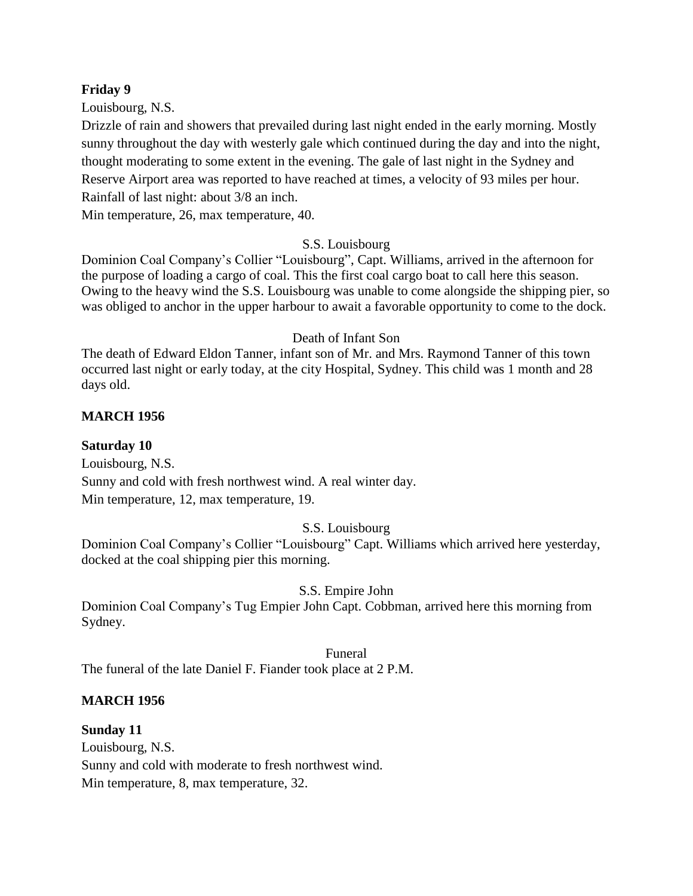#### **Friday 9**

Louisbourg, N.S.

Drizzle of rain and showers that prevailed during last night ended in the early morning. Mostly sunny throughout the day with westerly gale which continued during the day and into the night, thought moderating to some extent in the evening. The gale of last night in the Sydney and Reserve Airport area was reported to have reached at times, a velocity of 93 miles per hour. Rainfall of last night: about 3/8 an inch.

Min temperature, 26, max temperature, 40.

#### S.S. Louisbourg

Dominion Coal Company's Collier "Louisbourg", Capt. Williams, arrived in the afternoon for the purpose of loading a cargo of coal. This the first coal cargo boat to call here this season. Owing to the heavy wind the S.S. Louisbourg was unable to come alongside the shipping pier, so was obliged to anchor in the upper harbour to await a favorable opportunity to come to the dock.

#### Death of Infant Son

The death of Edward Eldon Tanner, infant son of Mr. and Mrs. Raymond Tanner of this town occurred last night or early today, at the city Hospital, Sydney. This child was 1 month and 28 days old.

#### **MARCH 1956**

#### **Saturday 10**

Louisbourg, N.S. Sunny and cold with fresh northwest wind. A real winter day. Min temperature, 12, max temperature, 19.

### S.S. Louisbourg

Dominion Coal Company's Collier "Louisbourg" Capt. Williams which arrived here yesterday, docked at the coal shipping pier this morning.

#### S.S. Empire John

Dominion Coal Company's Tug Empier John Capt. Cobbman, arrived here this morning from Sydney.

#### Funeral

The funeral of the late Daniel F. Fiander took place at 2 P.M.

#### **MARCH 1956**

**Sunday 11** Louisbourg, N.S. Sunny and cold with moderate to fresh northwest wind. Min temperature, 8, max temperature, 32.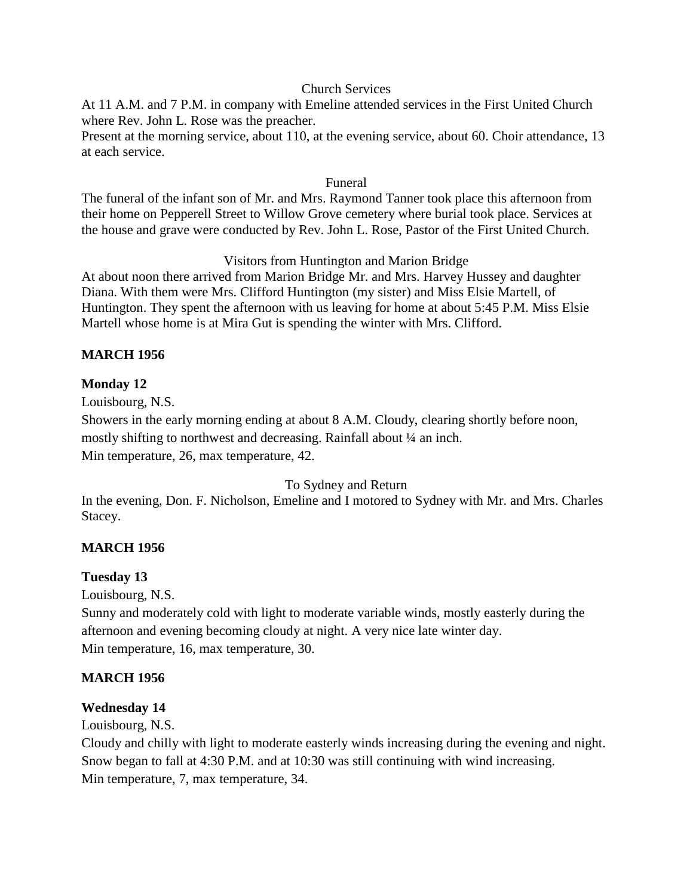#### Church Services

At 11 A.M. and 7 P.M. in company with Emeline attended services in the First United Church where Rev. John L. Rose was the preacher.

Present at the morning service, about 110, at the evening service, about 60. Choir attendance, 13 at each service.

#### Funeral

The funeral of the infant son of Mr. and Mrs. Raymond Tanner took place this afternoon from their home on Pepperell Street to Willow Grove cemetery where burial took place. Services at the house and grave were conducted by Rev. John L. Rose, Pastor of the First United Church.

#### Visitors from Huntington and Marion Bridge

At about noon there arrived from Marion Bridge Mr. and Mrs. Harvey Hussey and daughter Diana. With them were Mrs. Clifford Huntington (my sister) and Miss Elsie Martell, of Huntington. They spent the afternoon with us leaving for home at about 5:45 P.M. Miss Elsie Martell whose home is at Mira Gut is spending the winter with Mrs. Clifford.

#### **MARCH 1956**

#### **Monday 12**

Louisbourg, N.S.

Showers in the early morning ending at about 8 A.M. Cloudy, clearing shortly before noon, mostly shifting to northwest and decreasing. Rainfall about ¼ an inch. Min temperature, 26, max temperature, 42.

#### To Sydney and Return

In the evening, Don. F. Nicholson, Emeline and I motored to Sydney with Mr. and Mrs. Charles Stacey.

### **MARCH 1956**

### **Tuesday 13**

Louisbourg, N.S.

Sunny and moderately cold with light to moderate variable winds, mostly easterly during the afternoon and evening becoming cloudy at night. A very nice late winter day. Min temperature, 16, max temperature, 30.

### **MARCH 1956**

### **Wednesday 14**

Louisbourg, N.S.

Cloudy and chilly with light to moderate easterly winds increasing during the evening and night. Snow began to fall at 4:30 P.M. and at 10:30 was still continuing with wind increasing. Min temperature, 7, max temperature, 34.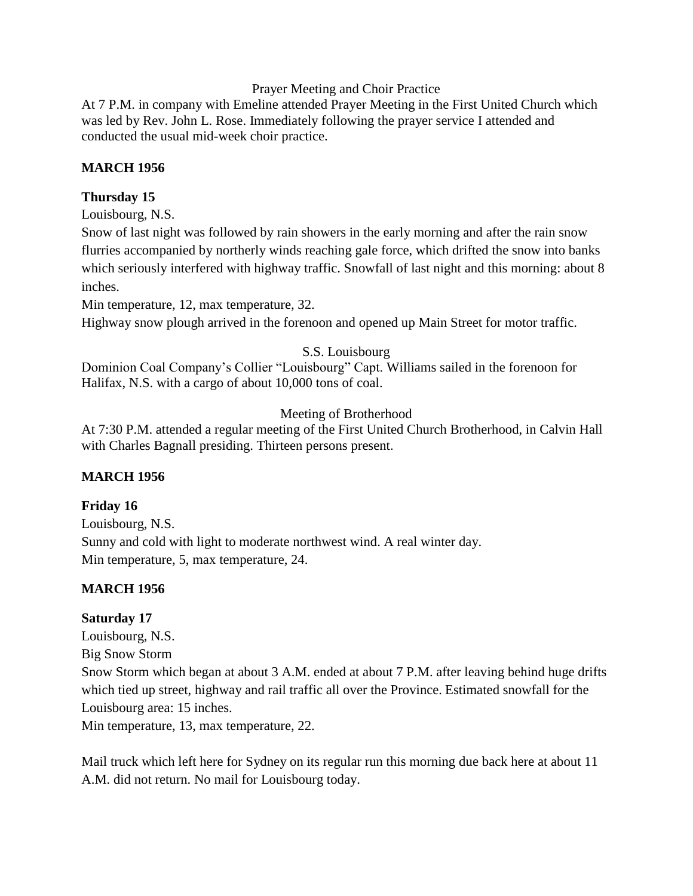#### Prayer Meeting and Choir Practice

At 7 P.M. in company with Emeline attended Prayer Meeting in the First United Church which was led by Rev. John L. Rose. Immediately following the prayer service I attended and conducted the usual mid-week choir practice.

### **MARCH 1956**

### **Thursday 15**

Louisbourg, N.S.

Snow of last night was followed by rain showers in the early morning and after the rain snow flurries accompanied by northerly winds reaching gale force, which drifted the snow into banks which seriously interfered with highway traffic. Snowfall of last night and this morning: about 8 inches.

Min temperature, 12, max temperature, 32.

Highway snow plough arrived in the forenoon and opened up Main Street for motor traffic.

# S.S. Louisbourg

Dominion Coal Company's Collier "Louisbourg" Capt. Williams sailed in the forenoon for Halifax, N.S. with a cargo of about 10,000 tons of coal.

# Meeting of Brotherhood

At 7:30 P.M. attended a regular meeting of the First United Church Brotherhood, in Calvin Hall with Charles Bagnall presiding. Thirteen persons present.

# **MARCH 1956**

### **Friday 16**

Louisbourg, N.S. Sunny and cold with light to moderate northwest wind. A real winter day. Min temperature, 5, max temperature, 24.

# **MARCH 1956**

### **Saturday 17**

Louisbourg, N.S. Big Snow Storm Snow Storm which began at about 3 A.M. ended at about 7 P.M. after leaving behind huge drifts which tied up street, highway and rail traffic all over the Province. Estimated snowfall for the Louisbourg area: 15 inches. Min temperature, 13, max temperature, 22.

Mail truck which left here for Sydney on its regular run this morning due back here at about 11 A.M. did not return. No mail for Louisbourg today.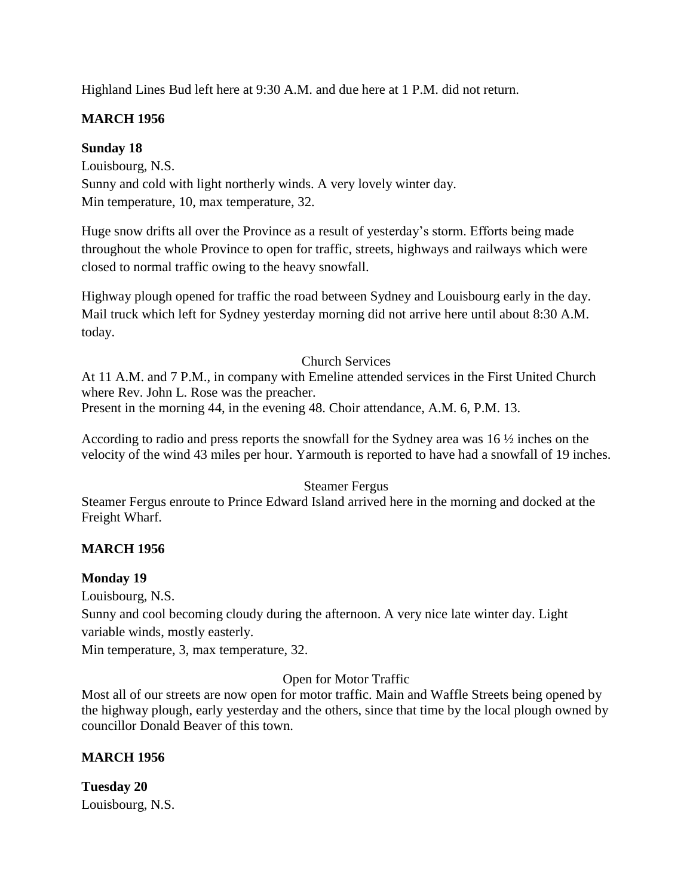Highland Lines Bud left here at 9:30 A.M. and due here at 1 P.M. did not return.

# **MARCH 1956**

# **Sunday 18**

Louisbourg, N.S. Sunny and cold with light northerly winds. A very lovely winter day. Min temperature, 10, max temperature, 32.

Huge snow drifts all over the Province as a result of yesterday's storm. Efforts being made throughout the whole Province to open for traffic, streets, highways and railways which were closed to normal traffic owing to the heavy snowfall.

Highway plough opened for traffic the road between Sydney and Louisbourg early in the day. Mail truck which left for Sydney yesterday morning did not arrive here until about 8:30 A.M. today.

# Church Services

At 11 A.M. and 7 P.M., in company with Emeline attended services in the First United Church where Rev. John L. Rose was the preacher.

Present in the morning 44, in the evening 48. Choir attendance, A.M. 6, P.M. 13.

According to radio and press reports the snowfall for the Sydney area was 16 ½ inches on the velocity of the wind 43 miles per hour. Yarmouth is reported to have had a snowfall of 19 inches.

# Steamer Fergus

Steamer Fergus enroute to Prince Edward Island arrived here in the morning and docked at the Freight Wharf.

# **MARCH 1956**

# **Monday 19**

Louisbourg, N.S.

Sunny and cool becoming cloudy during the afternoon. A very nice late winter day. Light variable winds, mostly easterly.

Min temperature, 3, max temperature, 32.

# Open for Motor Traffic

Most all of our streets are now open for motor traffic. Main and Waffle Streets being opened by the highway plough, early yesterday and the others, since that time by the local plough owned by councillor Donald Beaver of this town.

# **MARCH 1956**

**Tuesday 20** Louisbourg, N.S.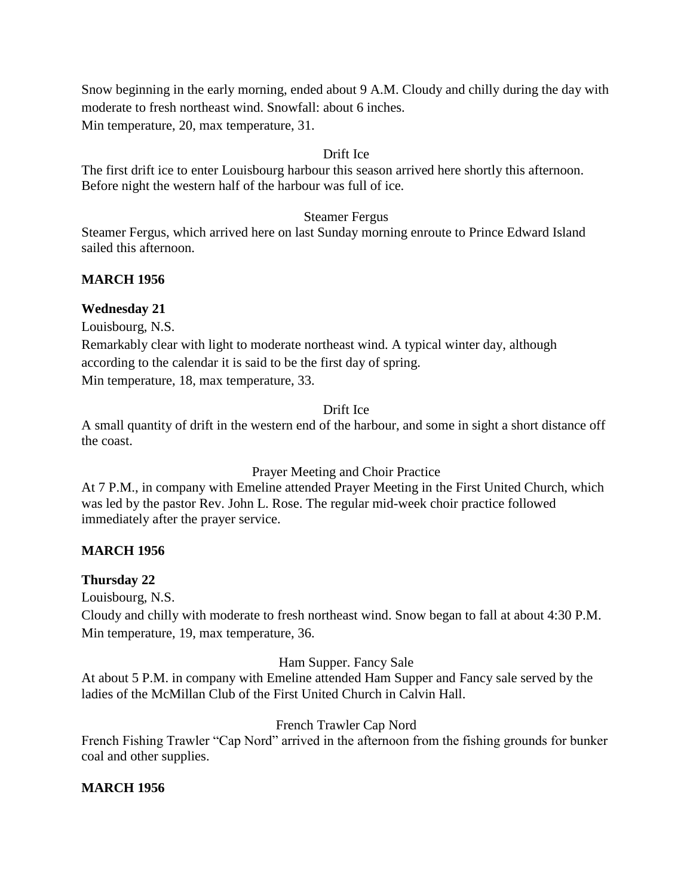Snow beginning in the early morning, ended about 9 A.M. Cloudy and chilly during the day with moderate to fresh northeast wind. Snowfall: about 6 inches. Min temperature, 20, max temperature, 31.

#### Drift Ice

The first drift ice to enter Louisbourg harbour this season arrived here shortly this afternoon. Before night the western half of the harbour was full of ice.

#### Steamer Fergus

Steamer Fergus, which arrived here on last Sunday morning enroute to Prince Edward Island sailed this afternoon.

### **MARCH 1956**

#### **Wednesday 21**

Louisbourg, N.S.

Remarkably clear with light to moderate northeast wind. A typical winter day, although according to the calendar it is said to be the first day of spring. Min temperature, 18, max temperature, 33.

#### Drift Ice

A small quantity of drift in the western end of the harbour, and some in sight a short distance off the coast.

#### Prayer Meeting and Choir Practice

At 7 P.M., in company with Emeline attended Prayer Meeting in the First United Church, which was led by the pastor Rev. John L. Rose. The regular mid-week choir practice followed immediately after the prayer service.

### **MARCH 1956**

### **Thursday 22**

Louisbourg, N.S.

Cloudy and chilly with moderate to fresh northeast wind. Snow began to fall at about 4:30 P.M. Min temperature, 19, max temperature, 36.

#### Ham Supper. Fancy Sale

At about 5 P.M. in company with Emeline attended Ham Supper and Fancy sale served by the ladies of the McMillan Club of the First United Church in Calvin Hall.

### French Trawler Cap Nord

French Fishing Trawler "Cap Nord" arrived in the afternoon from the fishing grounds for bunker coal and other supplies.

#### **MARCH 1956**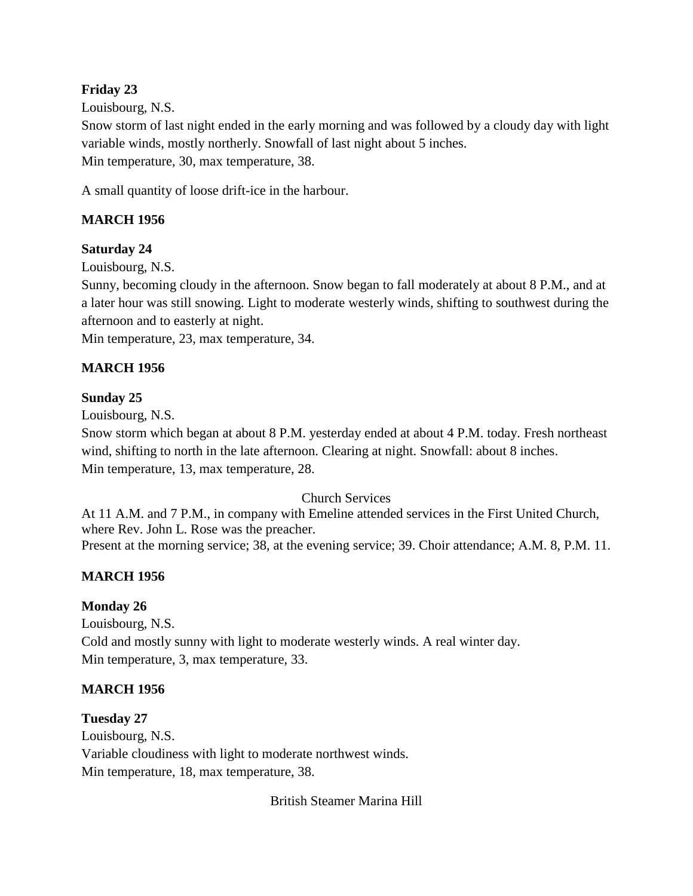### **Friday 23**

Louisbourg, N.S.

Snow storm of last night ended in the early morning and was followed by a cloudy day with light variable winds, mostly northerly. Snowfall of last night about 5 inches. Min temperature, 30, max temperature, 38.

A small quantity of loose drift-ice in the harbour.

# **MARCH 1956**

# **Saturday 24**

Louisbourg, N.S.

Sunny, becoming cloudy in the afternoon. Snow began to fall moderately at about 8 P.M., and at a later hour was still snowing. Light to moderate westerly winds, shifting to southwest during the afternoon and to easterly at night.

Min temperature, 23, max temperature, 34.

# **MARCH 1956**

# **Sunday 25**

Louisbourg, N.S.

Snow storm which began at about 8 P.M. yesterday ended at about 4 P.M. today. Fresh northeast wind, shifting to north in the late afternoon. Clearing at night. Snowfall: about 8 inches. Min temperature, 13, max temperature, 28.

### Church Services

At 11 A.M. and 7 P.M., in company with Emeline attended services in the First United Church, where Rev. John L. Rose was the preacher. Present at the morning service; 38, at the evening service; 39. Choir attendance; A.M. 8, P.M. 11.

# **MARCH 1956**

### **Monday 26**

Louisbourg, N.S. Cold and mostly sunny with light to moderate westerly winds. A real winter day. Min temperature, 3, max temperature, 33.

### **MARCH 1956**

### **Tuesday 27**

Louisbourg, N.S. Variable cloudiness with light to moderate northwest winds. Min temperature, 18, max temperature, 38.

British Steamer Marina Hill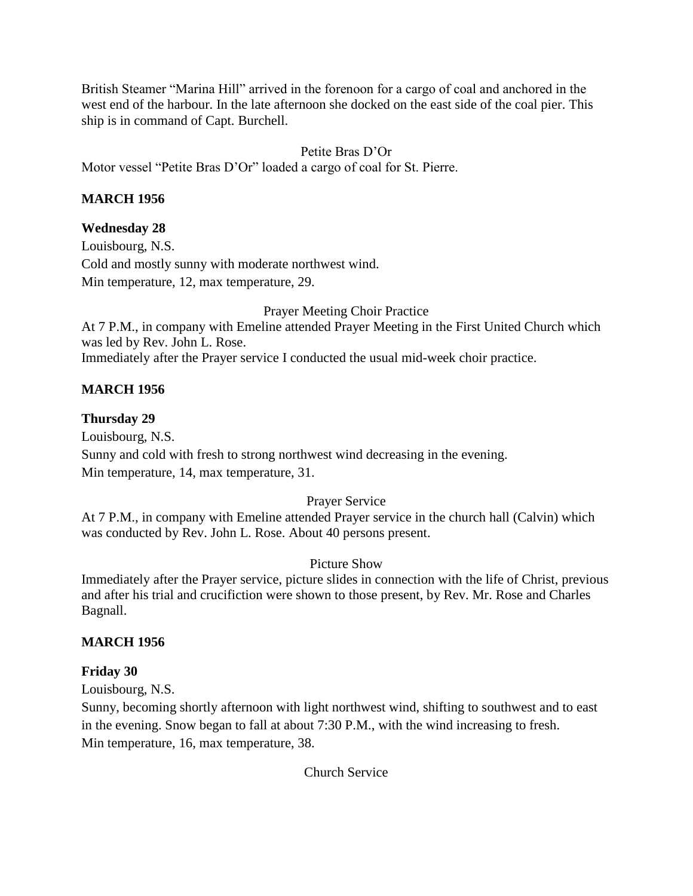British Steamer "Marina Hill" arrived in the forenoon for a cargo of coal and anchored in the west end of the harbour. In the late afternoon she docked on the east side of the coal pier. This ship is in command of Capt. Burchell.

# Petite Bras D'Or

Motor vessel "Petite Bras D'Or" loaded a cargo of coal for St. Pierre.

### **MARCH 1956**

### **Wednesday 28**

Louisbourg, N.S. Cold and mostly sunny with moderate northwest wind. Min temperature, 12, max temperature, 29.

Prayer Meeting Choir Practice

At 7 P.M., in company with Emeline attended Prayer Meeting in the First United Church which was led by Rev. John L. Rose. Immediately after the Prayer service I conducted the usual mid-week choir practice.

### **MARCH 1956**

### **Thursday 29**

Louisbourg, N.S. Sunny and cold with fresh to strong northwest wind decreasing in the evening. Min temperature, 14, max temperature, 31.

### Prayer Service

At 7 P.M., in company with Emeline attended Prayer service in the church hall (Calvin) which was conducted by Rev. John L. Rose. About 40 persons present.

### Picture Show

Immediately after the Prayer service, picture slides in connection with the life of Christ, previous and after his trial and crucifiction were shown to those present, by Rev. Mr. Rose and Charles Bagnall.

### **MARCH 1956**

### **Friday 30**

Louisbourg, N.S.

Sunny, becoming shortly afternoon with light northwest wind, shifting to southwest and to east in the evening. Snow began to fall at about 7:30 P.M., with the wind increasing to fresh. Min temperature, 16, max temperature, 38.

Church Service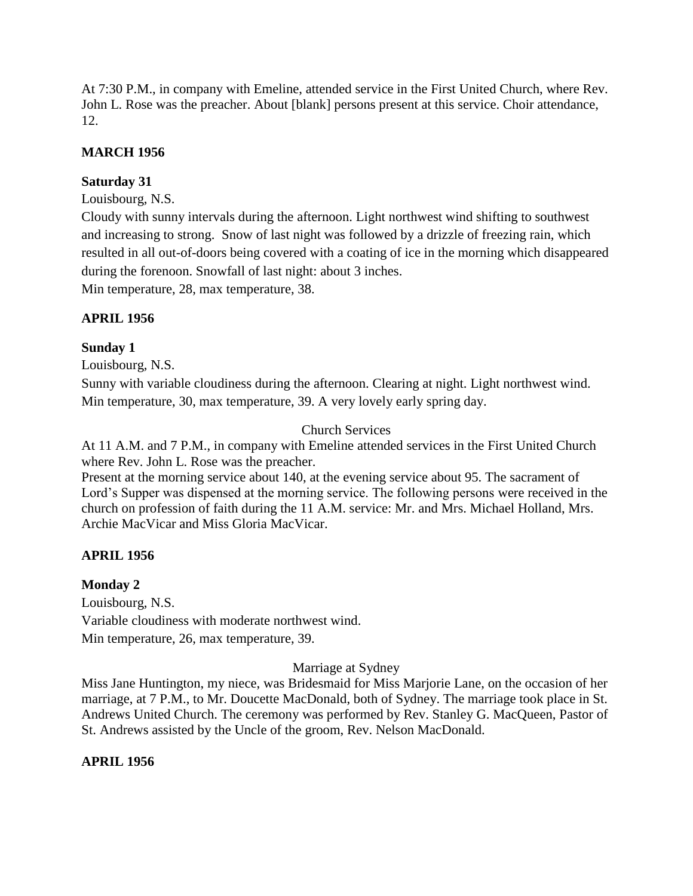At 7:30 P.M., in company with Emeline, attended service in the First United Church, where Rev. John L. Rose was the preacher. About [blank] persons present at this service. Choir attendance, 12.

### **MARCH 1956**

### **Saturday 31**

Louisbourg, N.S.

Cloudy with sunny intervals during the afternoon. Light northwest wind shifting to southwest and increasing to strong. Snow of last night was followed by a drizzle of freezing rain, which resulted in all out-of-doors being covered with a coating of ice in the morning which disappeared during the forenoon. Snowfall of last night: about 3 inches.

Min temperature, 28, max temperature, 38.

# **APRIL 1956**

### **Sunday 1**

Louisbourg, N.S.

Sunny with variable cloudiness during the afternoon. Clearing at night. Light northwest wind. Min temperature, 30, max temperature, 39. A very lovely early spring day.

# Church Services

At 11 A.M. and 7 P.M., in company with Emeline attended services in the First United Church where Rev. John L. Rose was the preacher.

Present at the morning service about 140, at the evening service about 95. The sacrament of Lord's Supper was dispensed at the morning service. The following persons were received in the church on profession of faith during the 11 A.M. service: Mr. and Mrs. Michael Holland, Mrs. Archie MacVicar and Miss Gloria MacVicar.

### **APRIL 1956**

**Monday 2**

Louisbourg, N.S. Variable cloudiness with moderate northwest wind. Min temperature, 26, max temperature, 39.

### Marriage at Sydney

Miss Jane Huntington, my niece, was Bridesmaid for Miss Marjorie Lane, on the occasion of her marriage, at 7 P.M., to Mr. Doucette MacDonald, both of Sydney. The marriage took place in St. Andrews United Church. The ceremony was performed by Rev. Stanley G. MacQueen, Pastor of St. Andrews assisted by the Uncle of the groom, Rev. Nelson MacDonald.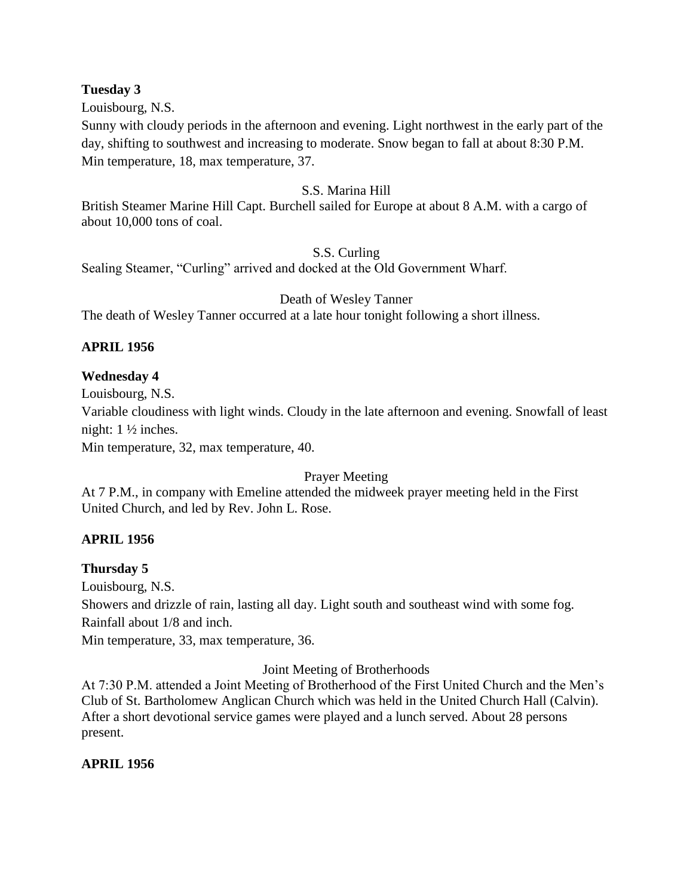#### **Tuesday 3**

Louisbourg, N.S.

Sunny with cloudy periods in the afternoon and evening. Light northwest in the early part of the day, shifting to southwest and increasing to moderate. Snow began to fall at about 8:30 P.M. Min temperature, 18, max temperature, 37.

#### S.S. Marina Hill

British Steamer Marine Hill Capt. Burchell sailed for Europe at about 8 A.M. with a cargo of about 10,000 tons of coal.

#### S.S. Curling

Sealing Steamer, "Curling" arrived and docked at the Old Government Wharf.

#### Death of Wesley Tanner

The death of Wesley Tanner occurred at a late hour tonight following a short illness.

### **APRIL 1956**

### **Wednesday 4**

Louisbourg, N.S.

Variable cloudiness with light winds. Cloudy in the late afternoon and evening. Snowfall of least night: 1 ½ inches.

Min temperature, 32, max temperature, 40.

### Prayer Meeting

At 7 P.M., in company with Emeline attended the midweek prayer meeting held in the First United Church, and led by Rev. John L. Rose.

### **APRIL 1956**

### **Thursday 5**

Louisbourg, N.S.

Showers and drizzle of rain, lasting all day. Light south and southeast wind with some fog. Rainfall about 1/8 and inch.

Min temperature, 33, max temperature, 36.

### Joint Meeting of Brotherhoods

At 7:30 P.M. attended a Joint Meeting of Brotherhood of the First United Church and the Men's Club of St. Bartholomew Anglican Church which was held in the United Church Hall (Calvin). After a short devotional service games were played and a lunch served. About 28 persons present.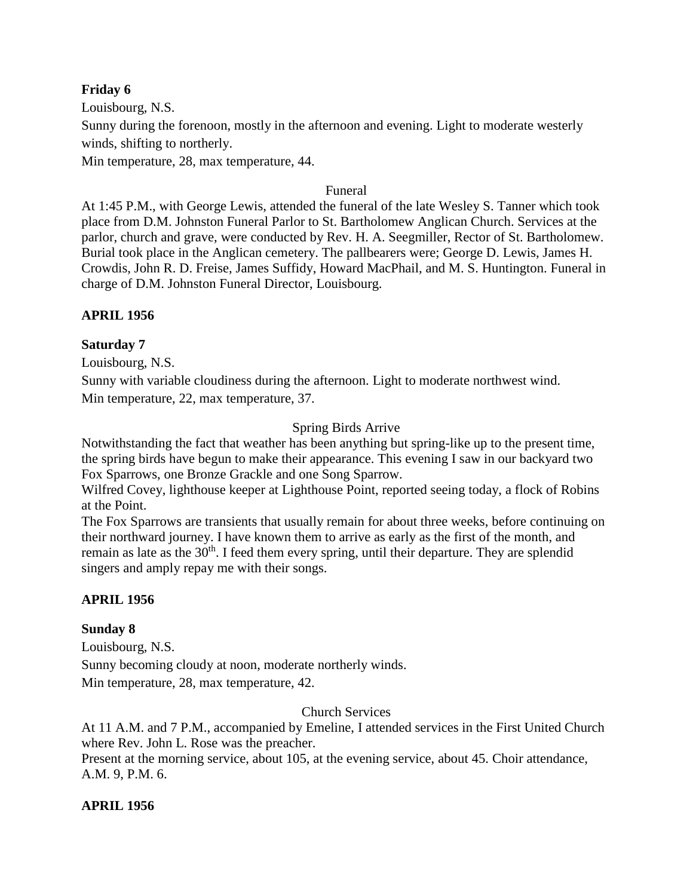#### **Friday 6**

Louisbourg, N.S. Sunny during the forenoon, mostly in the afternoon and evening. Light to moderate westerly winds, shifting to northerly. Min temperature, 28, max temperature, 44.

#### Funeral

At 1:45 P.M., with George Lewis, attended the funeral of the late Wesley S. Tanner which took place from D.M. Johnston Funeral Parlor to St. Bartholomew Anglican Church. Services at the parlor, church and grave, were conducted by Rev. H. A. Seegmiller, Rector of St. Bartholomew. Burial took place in the Anglican cemetery. The pallbearers were; George D. Lewis, James H. Crowdis, John R. D. Freise, James Suffidy, Howard MacPhail, and M. S. Huntington. Funeral in charge of D.M. Johnston Funeral Director, Louisbourg.

#### **APRIL 1956**

#### **Saturday 7**

Louisbourg, N.S.

Sunny with variable cloudiness during the afternoon. Light to moderate northwest wind. Min temperature, 22, max temperature, 37.

#### Spring Birds Arrive

Notwithstanding the fact that weather has been anything but spring-like up to the present time, the spring birds have begun to make their appearance. This evening I saw in our backyard two Fox Sparrows, one Bronze Grackle and one Song Sparrow.

Wilfred Covey, lighthouse keeper at Lighthouse Point, reported seeing today, a flock of Robins at the Point.

The Fox Sparrows are transients that usually remain for about three weeks, before continuing on their northward journey. I have known them to arrive as early as the first of the month, and remain as late as the 30<sup>th</sup>. I feed them every spring, until their departure. They are splendid singers and amply repay me with their songs.

#### **APRIL 1956**

#### **Sunday 8**

Louisbourg, N.S. Sunny becoming cloudy at noon, moderate northerly winds. Min temperature, 28, max temperature, 42.

#### Church Services

At 11 A.M. and 7 P.M., accompanied by Emeline, I attended services in the First United Church where Rev. John L. Rose was the preacher. Present at the morning service, about 105, at the evening service, about 45. Choir attendance, A.M. 9, P.M. 6.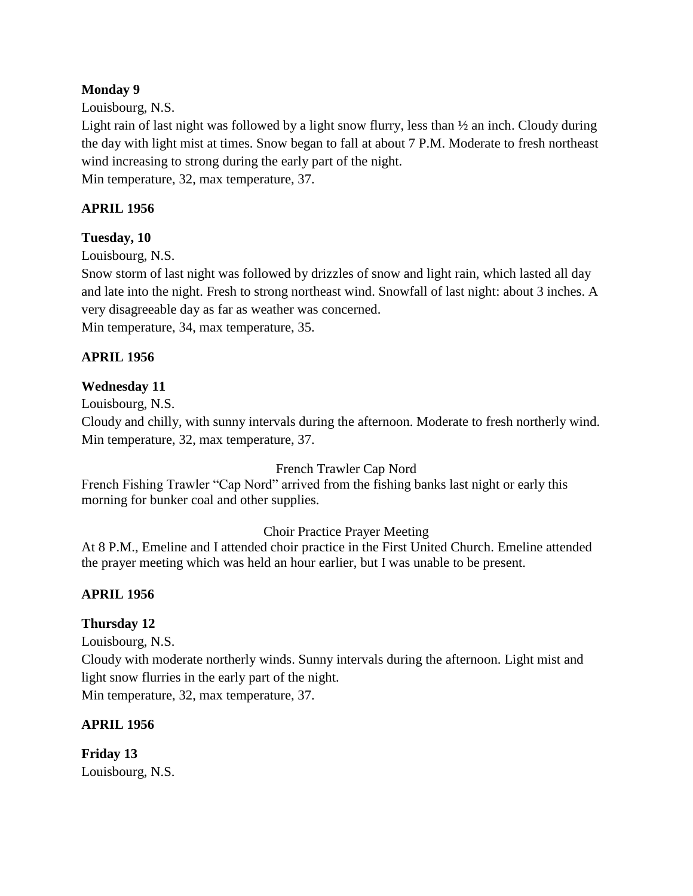### **Monday 9**

Louisbourg, N.S.

Light rain of last night was followed by a light snow flurry, less than  $\frac{1}{2}$  an inch. Cloudy during the day with light mist at times. Snow began to fall at about 7 P.M. Moderate to fresh northeast wind increasing to strong during the early part of the night. Min temperature, 32, max temperature, 37.

#### **APRIL 1956**

#### **Tuesday, 10**

Louisbourg, N.S.

Snow storm of last night was followed by drizzles of snow and light rain, which lasted all day and late into the night. Fresh to strong northeast wind. Snowfall of last night: about 3 inches. A very disagreeable day as far as weather was concerned.

Min temperature, 34, max temperature, 35.

#### **APRIL 1956**

#### **Wednesday 11**

Louisbourg, N.S.

Cloudy and chilly, with sunny intervals during the afternoon. Moderate to fresh northerly wind. Min temperature, 32, max temperature, 37.

#### French Trawler Cap Nord

French Fishing Trawler "Cap Nord" arrived from the fishing banks last night or early this morning for bunker coal and other supplies.

#### Choir Practice Prayer Meeting

At 8 P.M., Emeline and I attended choir practice in the First United Church. Emeline attended the prayer meeting which was held an hour earlier, but I was unable to be present.

### **APRIL 1956**

### **Thursday 12**

Louisbourg, N.S.

Cloudy with moderate northerly winds. Sunny intervals during the afternoon. Light mist and light snow flurries in the early part of the night.

Min temperature, 32, max temperature, 37.

#### **APRIL 1956**

**Friday 13** Louisbourg, N.S.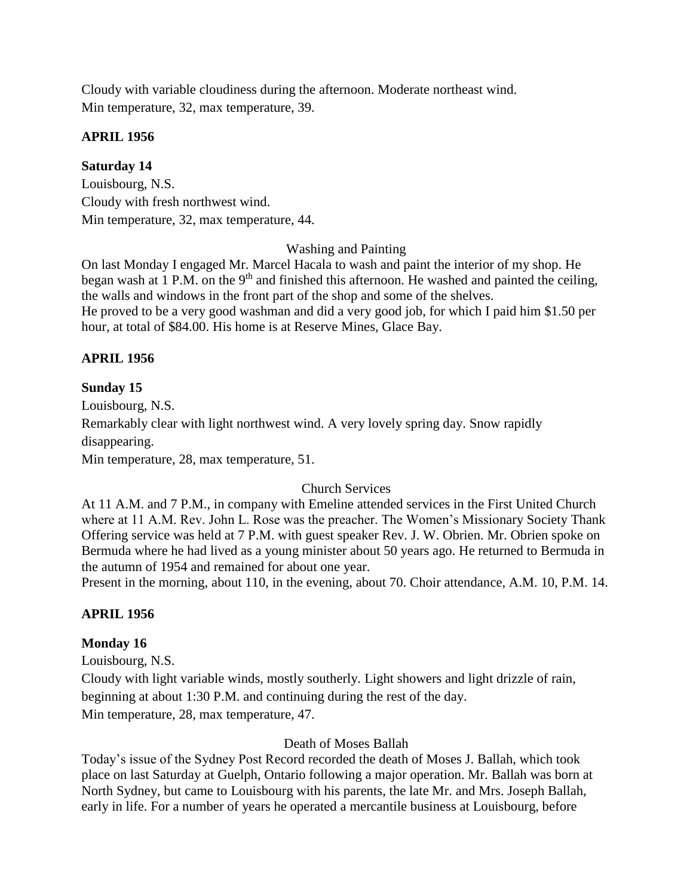Cloudy with variable cloudiness during the afternoon. Moderate northeast wind. Min temperature, 32, max temperature, 39.

### **APRIL 1956**

### **Saturday 14**

Louisbourg, N.S. Cloudy with fresh northwest wind. Min temperature, 32, max temperature, 44.

Washing and Painting

On last Monday I engaged Mr. Marcel Hacala to wash and paint the interior of my shop. He began wash at 1 P.M. on the  $9<sup>th</sup>$  and finished this afternoon. He washed and painted the ceiling, the walls and windows in the front part of the shop and some of the shelves. He proved to be a very good washman and did a very good job, for which I paid him \$1.50 per hour, at total of \$84.00. His home is at Reserve Mines, Glace Bay.

# **APRIL 1956**

# **Sunday 15**

Louisbourg, N.S. Remarkably clear with light northwest wind. A very lovely spring day. Snow rapidly disappearing. Min temperature, 28, max temperature, 51.

Church Services

At 11 A.M. and 7 P.M., in company with Emeline attended services in the First United Church where at 11 A.M. Rev. John L. Rose was the preacher. The Women's Missionary Society Thank Offering service was held at 7 P.M. with guest speaker Rev. J. W. Obrien. Mr. Obrien spoke on Bermuda where he had lived as a young minister about 50 years ago. He returned to Bermuda in the autumn of 1954 and remained for about one year.

Present in the morning, about 110, in the evening, about 70. Choir attendance, A.M. 10, P.M. 14.

# **APRIL 1956**

### **Monday 16**

Louisbourg, N.S.

Cloudy with light variable winds, mostly southerly. Light showers and light drizzle of rain, beginning at about 1:30 P.M. and continuing during the rest of the day. Min temperature, 28, max temperature, 47.

### Death of Moses Ballah

Today's issue of the Sydney Post Record recorded the death of Moses J. Ballah, which took place on last Saturday at Guelph, Ontario following a major operation. Mr. Ballah was born at North Sydney, but came to Louisbourg with his parents, the late Mr. and Mrs. Joseph Ballah, early in life. For a number of years he operated a mercantile business at Louisbourg, before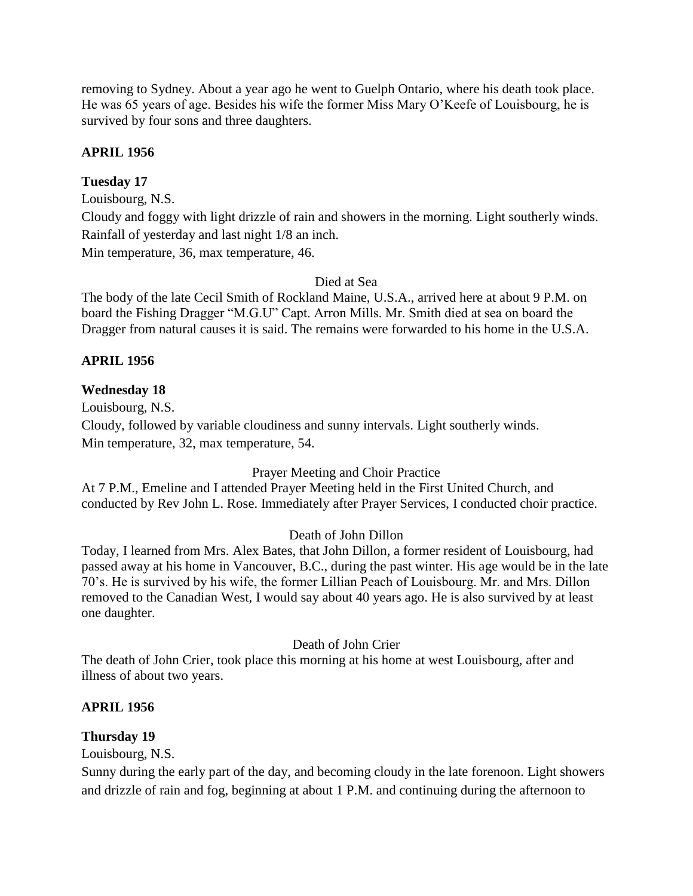removing to Sydney. About a year ago he went to Guelph Ontario, where his death took place. He was 65 years of age. Besides his wife the former Miss Mary O'Keefe of Louisbourg, he is survived by four sons and three daughters.

# **APRIL 1956**

### **Tuesday 17**

Louisbourg, N.S.

Cloudy and foggy with light drizzle of rain and showers in the morning. Light southerly winds. Rainfall of yesterday and last night 1/8 an inch.

Min temperature, 36, max temperature, 46.

Died at Sea

The body of the late Cecil Smith of Rockland Maine, U.S.A., arrived here at about 9 P.M. on board the Fishing Dragger "M.G.U" Capt. Arron Mills. Mr. Smith died at sea on board the Dragger from natural causes it is said. The remains were forwarded to his home in the U.S.A.

### **APRIL 1956**

#### **Wednesday 18**

Louisbourg, N.S. Cloudy, followed by variable cloudiness and sunny intervals. Light southerly winds. Min temperature, 32, max temperature, 54.

### Prayer Meeting and Choir Practice

At 7 P.M., Emeline and I attended Prayer Meeting held in the First United Church, and conducted by Rev John L. Rose. Immediately after Prayer Services, I conducted choir practice.

#### Death of John Dillon

Today, I learned from Mrs. Alex Bates, that John Dillon, a former resident of Louisbourg, had passed away at his home in Vancouver, B.C., during the past winter. His age would be in the late 70's. He is survived by his wife, the former Lillian Peach of Louisbourg. Mr. and Mrs. Dillon removed to the Canadian West, I would say about 40 years ago. He is also survived by at least one daughter.

#### Death of John Crier

The death of John Crier, took place this morning at his home at west Louisbourg, after and illness of about two years.

#### **APRIL 1956**

### **Thursday 19**

Louisbourg, N.S.

Sunny during the early part of the day, and becoming cloudy in the late forenoon. Light showers and drizzle of rain and fog, beginning at about 1 P.M. and continuing during the afternoon to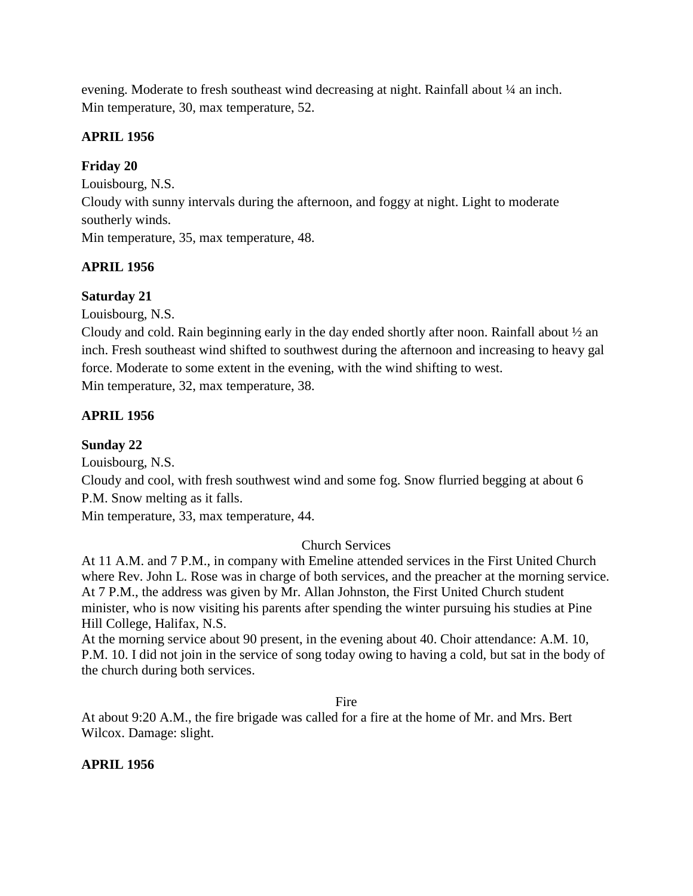evening. Moderate to fresh southeast wind decreasing at night. Rainfall about ¼ an inch. Min temperature, 30, max temperature, 52.

# **APRIL 1956**

# **Friday 20**

Louisbourg, N.S.

Cloudy with sunny intervals during the afternoon, and foggy at night. Light to moderate southerly winds.

Min temperature, 35, max temperature, 48.

# **APRIL 1956**

# **Saturday 21**

Louisbourg, N.S.

Cloudy and cold. Rain beginning early in the day ended shortly after noon. Rainfall about ½ an inch. Fresh southeast wind shifted to southwest during the afternoon and increasing to heavy gal force. Moderate to some extent in the evening, with the wind shifting to west. Min temperature, 32, max temperature, 38.

# **APRIL 1956**

# **Sunday 22**

Louisbourg, N.S.

Cloudy and cool, with fresh southwest wind and some fog. Snow flurried begging at about 6 P.M. Snow melting as it falls.

Min temperature, 33, max temperature, 44.

# Church Services

At 11 A.M. and 7 P.M., in company with Emeline attended services in the First United Church where Rev. John L. Rose was in charge of both services, and the preacher at the morning service. At 7 P.M., the address was given by Mr. Allan Johnston, the First United Church student minister, who is now visiting his parents after spending the winter pursuing his studies at Pine Hill College, Halifax, N.S.

At the morning service about 90 present, in the evening about 40. Choir attendance: A.M. 10, P.M. 10. I did not join in the service of song today owing to having a cold, but sat in the body of the church during both services.

Fire

At about 9:20 A.M., the fire brigade was called for a fire at the home of Mr. and Mrs. Bert Wilcox. Damage: slight.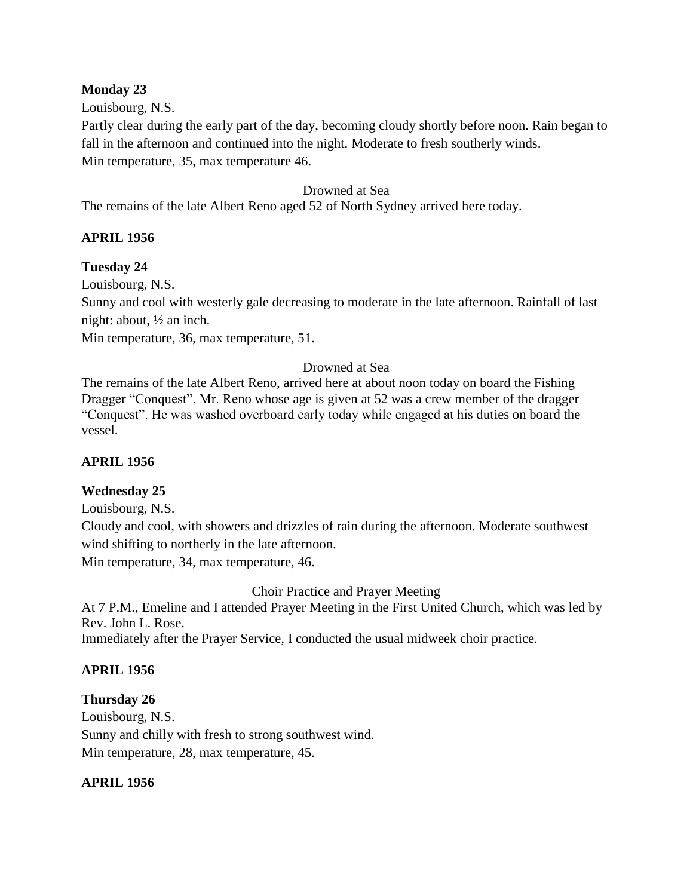## **Monday 23**

## Louisbourg, N.S.

Partly clear during the early part of the day, becoming cloudy shortly before noon. Rain began to fall in the afternoon and continued into the night. Moderate to fresh southerly winds. Min temperature, 35, max temperature 46.

#### Drowned at Sea

The remains of the late Albert Reno aged 52 of North Sydney arrived here today.

## **APRIL 1956**

#### **Tuesday 24**

Louisbourg, N.S.

Sunny and cool with westerly gale decreasing to moderate in the late afternoon. Rainfall of last night: about, ½ an inch.

Min temperature, 36, max temperature, 51.

## Drowned at Sea

The remains of the late Albert Reno, arrived here at about noon today on board the Fishing Dragger "Conquest". Mr. Reno whose age is given at 52 was a crew member of the dragger "Conquest". He was washed overboard early today while engaged at his duties on board the vessel.

## **APRIL 1956**

## **Wednesday 25**

Louisbourg, N.S.

Cloudy and cool, with showers and drizzles of rain during the afternoon. Moderate southwest wind shifting to northerly in the late afternoon.

Min temperature, 34, max temperature, 46.

Choir Practice and Prayer Meeting

At 7 P.M., Emeline and I attended Prayer Meeting in the First United Church, which was led by Rev. John L. Rose.

Immediately after the Prayer Service, I conducted the usual midweek choir practice.

## **APRIL 1956**

**Thursday 26** Louisbourg, N.S. Sunny and chilly with fresh to strong southwest wind. Min temperature, 28, max temperature, 45.

## **APRIL 1956**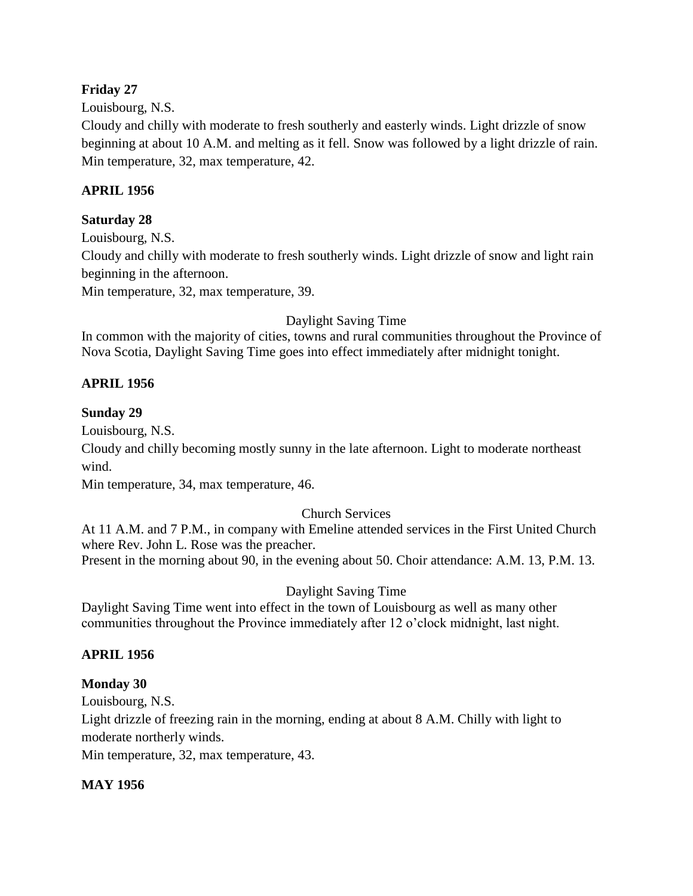## **Friday 27**

Louisbourg, N.S.

Cloudy and chilly with moderate to fresh southerly and easterly winds. Light drizzle of snow beginning at about 10 A.M. and melting as it fell. Snow was followed by a light drizzle of rain. Min temperature, 32, max temperature, 42.

## **APRIL 1956**

# **Saturday 28**

Louisbourg, N.S. Cloudy and chilly with moderate to fresh southerly winds. Light drizzle of snow and light rain beginning in the afternoon.

Min temperature, 32, max temperature, 39.

Daylight Saving Time

In common with the majority of cities, towns and rural communities throughout the Province of Nova Scotia, Daylight Saving Time goes into effect immediately after midnight tonight.

## **APRIL 1956**

## **Sunday 29**

Louisbourg, N.S.

Cloudy and chilly becoming mostly sunny in the late afternoon. Light to moderate northeast wind.

Min temperature, 34, max temperature, 46.

## Church Services

At 11 A.M. and 7 P.M., in company with Emeline attended services in the First United Church where Rev. John L. Rose was the preacher.

Present in the morning about 90, in the evening about 50. Choir attendance: A.M. 13, P.M. 13.

Daylight Saving Time

Daylight Saving Time went into effect in the town of Louisbourg as well as many other communities throughout the Province immediately after 12 o'clock midnight, last night.

## **APRIL 1956**

## **Monday 30**

Louisbourg, N.S.

Light drizzle of freezing rain in the morning, ending at about 8 A.M. Chilly with light to moderate northerly winds.

Min temperature, 32, max temperature, 43.

## **MAY 1956**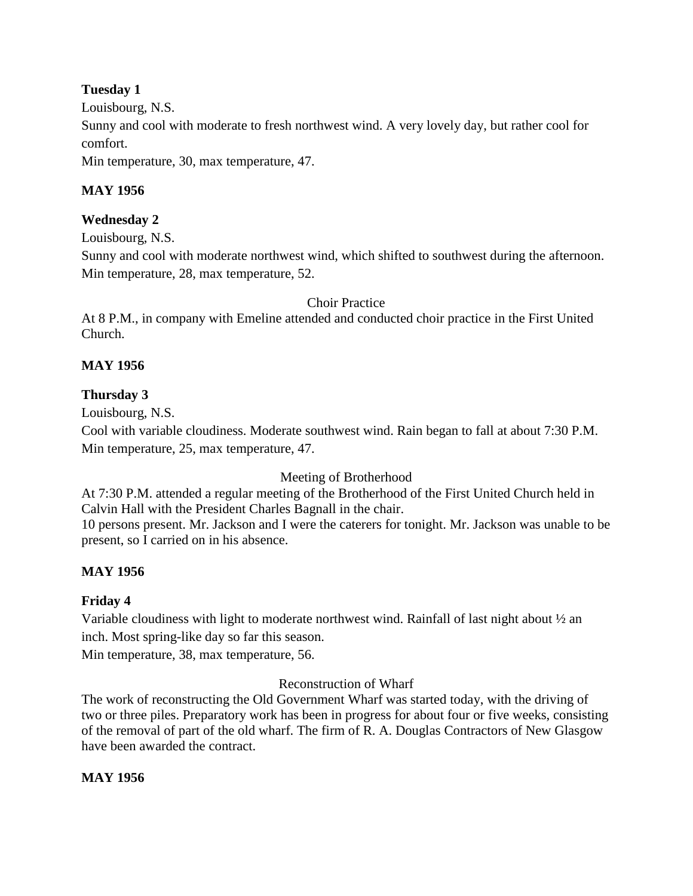## **Tuesday 1**

Louisbourg, N.S.

Sunny and cool with moderate to fresh northwest wind. A very lovely day, but rather cool for comfort.

Min temperature, 30, max temperature, 47.

## **MAY 1956**

## **Wednesday 2**

Louisbourg, N.S.

Sunny and cool with moderate northwest wind, which shifted to southwest during the afternoon. Min temperature, 28, max temperature, 52.

## Choir Practice

At 8 P.M., in company with Emeline attended and conducted choir practice in the First United Church.

# **MAY 1956**

## **Thursday 3**

Louisbourg, N.S.

Cool with variable cloudiness. Moderate southwest wind. Rain began to fall at about 7:30 P.M. Min temperature, 25, max temperature, 47.

Meeting of Brotherhood

At 7:30 P.M. attended a regular meeting of the Brotherhood of the First United Church held in Calvin Hall with the President Charles Bagnall in the chair.

10 persons present. Mr. Jackson and I were the caterers for tonight. Mr. Jackson was unable to be present, so I carried on in his absence.

# **MAY 1956**

## **Friday 4**

Variable cloudiness with light to moderate northwest wind. Rainfall of last night about ½ an inch. Most spring-like day so far this season.

Min temperature, 38, max temperature, 56.

## Reconstruction of Wharf

The work of reconstructing the Old Government Wharf was started today, with the driving of two or three piles. Preparatory work has been in progress for about four or five weeks, consisting of the removal of part of the old wharf. The firm of R. A. Douglas Contractors of New Glasgow have been awarded the contract.

## **MAY 1956**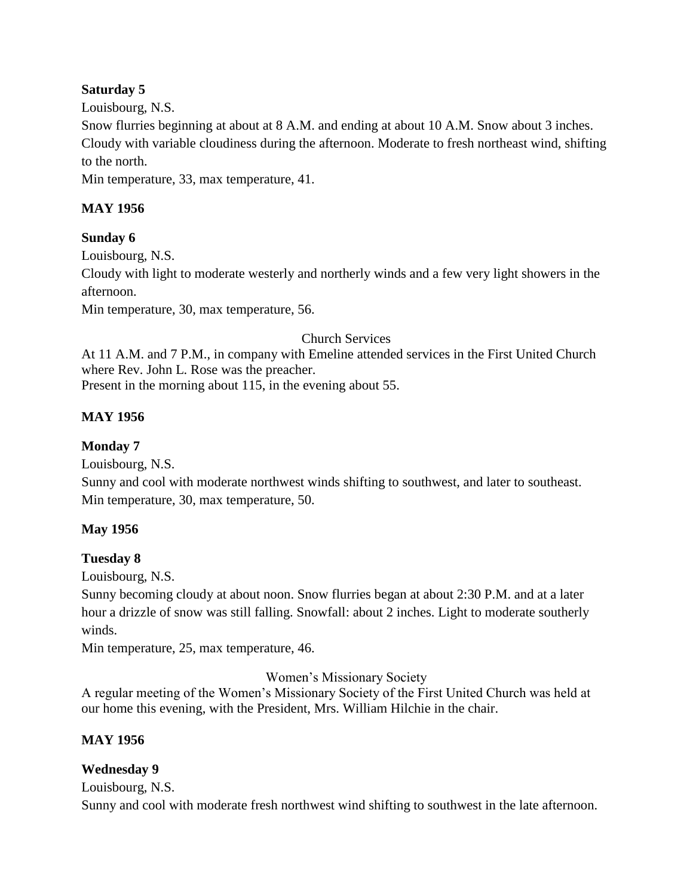## **Saturday 5**

Louisbourg, N.S.

Snow flurries beginning at about at 8 A.M. and ending at about 10 A.M. Snow about 3 inches. Cloudy with variable cloudiness during the afternoon. Moderate to fresh northeast wind, shifting to the north.

Min temperature, 33, max temperature, 41.

## **MAY 1956**

## **Sunday 6**

Louisbourg, N.S. Cloudy with light to moderate westerly and northerly winds and a few very light showers in the afternoon.

Min temperature, 30, max temperature, 56.

## Church Services

At 11 A.M. and 7 P.M., in company with Emeline attended services in the First United Church where Rev. John L. Rose was the preacher. Present in the morning about 115, in the evening about 55.

# **MAY 1956**

**Monday 7**

Louisbourg, N.S.

Sunny and cool with moderate northwest winds shifting to southwest, and later to southeast. Min temperature, 30, max temperature, 50.

## **May 1956**

## **Tuesday 8**

Louisbourg, N.S.

Sunny becoming cloudy at about noon. Snow flurries began at about 2:30 P.M. and at a later hour a drizzle of snow was still falling. Snowfall: about 2 inches. Light to moderate southerly winds.

Min temperature, 25, max temperature, 46.

Women's Missionary Society

A regular meeting of the Women's Missionary Society of the First United Church was held at our home this evening, with the President, Mrs. William Hilchie in the chair.

## **MAY 1956**

## **Wednesday 9**

Louisbourg, N.S.

Sunny and cool with moderate fresh northwest wind shifting to southwest in the late afternoon.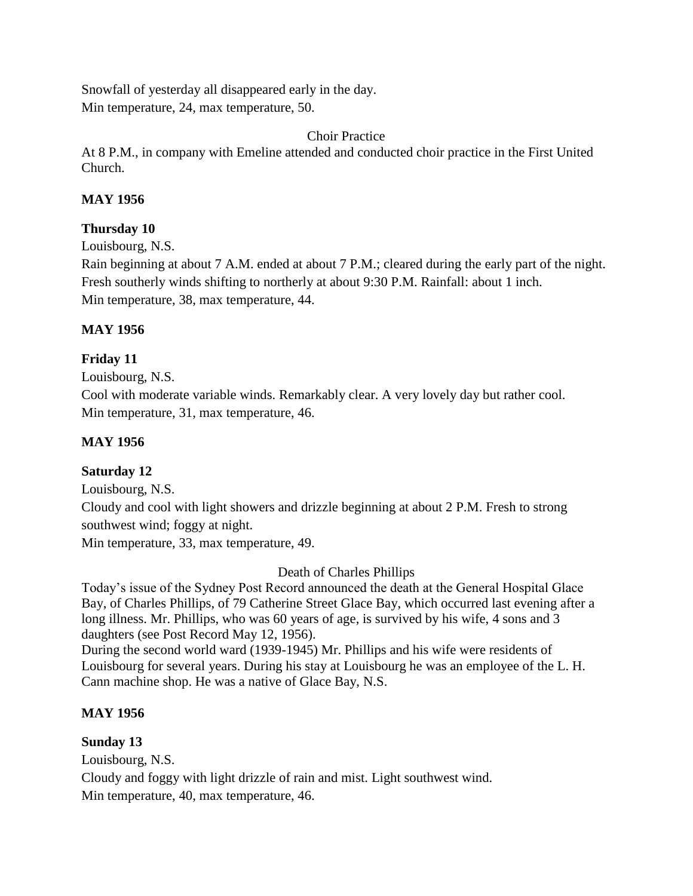Snowfall of yesterday all disappeared early in the day. Min temperature, 24, max temperature, 50.

## Choir Practice

At 8 P.M., in company with Emeline attended and conducted choir practice in the First United Church.

## **MAY 1956**

## **Thursday 10**

Louisbourg, N.S.

Rain beginning at about 7 A.M. ended at about 7 P.M.; cleared during the early part of the night. Fresh southerly winds shifting to northerly at about 9:30 P.M. Rainfall: about 1 inch. Min temperature, 38, max temperature, 44.

## **MAY 1956**

## **Friday 11**

Louisbourg, N.S.

Cool with moderate variable winds. Remarkably clear. A very lovely day but rather cool. Min temperature, 31, max temperature, 46.

## **MAY 1956**

## **Saturday 12**

Louisbourg, N.S. Cloudy and cool with light showers and drizzle beginning at about 2 P.M. Fresh to strong southwest wind; foggy at night. Min temperature, 33, max temperature, 49.

## Death of Charles Phillips

Today's issue of the Sydney Post Record announced the death at the General Hospital Glace Bay, of Charles Phillips, of 79 Catherine Street Glace Bay, which occurred last evening after a long illness. Mr. Phillips, who was 60 years of age, is survived by his wife, 4 sons and 3 daughters (see Post Record May 12, 1956).

During the second world ward (1939-1945) Mr. Phillips and his wife were residents of Louisbourg for several years. During his stay at Louisbourg he was an employee of the L. H. Cann machine shop. He was a native of Glace Bay, N.S.

## **MAY 1956**

## **Sunday 13**

Louisbourg, N.S. Cloudy and foggy with light drizzle of rain and mist. Light southwest wind. Min temperature, 40, max temperature, 46.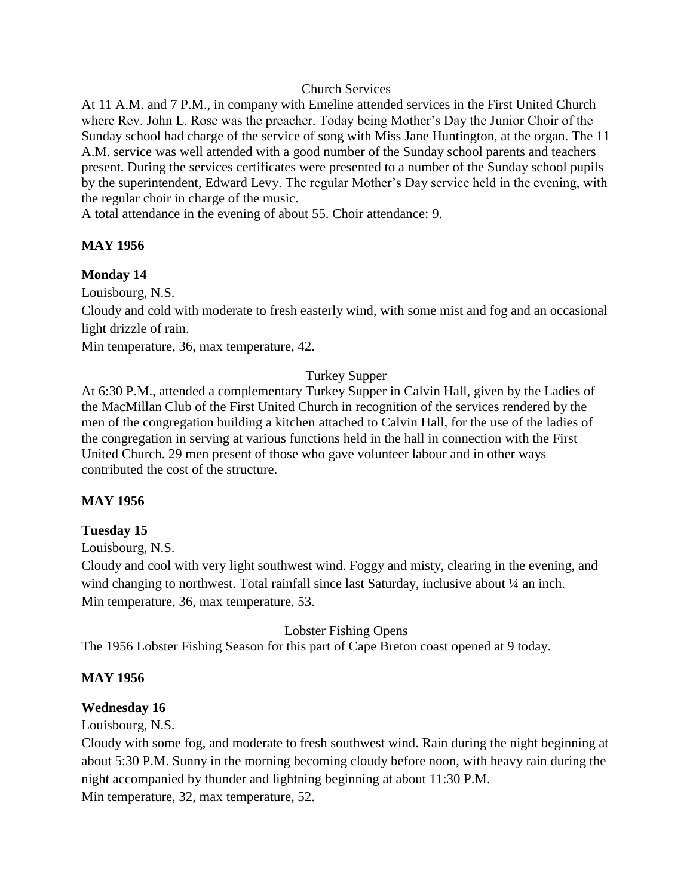#### Church Services

At 11 A.M. and 7 P.M., in company with Emeline attended services in the First United Church where Rev. John L. Rose was the preacher. Today being Mother's Day the Junior Choir of the Sunday school had charge of the service of song with Miss Jane Huntington, at the organ. The 11 A.M. service was well attended with a good number of the Sunday school parents and teachers present. During the services certificates were presented to a number of the Sunday school pupils by the superintendent, Edward Levy. The regular Mother's Day service held in the evening, with the regular choir in charge of the music.

A total attendance in the evening of about 55. Choir attendance: 9.

## **MAY 1956**

## **Monday 14**

Louisbourg, N.S.

Cloudy and cold with moderate to fresh easterly wind, with some mist and fog and an occasional light drizzle of rain.

Min temperature, 36, max temperature, 42.

## Turkey Supper

At 6:30 P.M., attended a complementary Turkey Supper in Calvin Hall, given by the Ladies of the MacMillan Club of the First United Church in recognition of the services rendered by the men of the congregation building a kitchen attached to Calvin Hall, for the use of the ladies of the congregation in serving at various functions held in the hall in connection with the First United Church. 29 men present of those who gave volunteer labour and in other ways contributed the cost of the structure.

## **MAY 1956**

## **Tuesday 15**

Louisbourg, N.S.

Cloudy and cool with very light southwest wind. Foggy and misty, clearing in the evening, and wind changing to northwest. Total rainfall since last Saturday, inclusive about  $\frac{1}{4}$  an inch. Min temperature, 36, max temperature, 53.

Lobster Fishing Opens

The 1956 Lobster Fishing Season for this part of Cape Breton coast opened at 9 today.

## **MAY 1956**

## **Wednesday 16**

Louisbourg, N.S.

Cloudy with some fog, and moderate to fresh southwest wind. Rain during the night beginning at about 5:30 P.M. Sunny in the morning becoming cloudy before noon, with heavy rain during the night accompanied by thunder and lightning beginning at about 11:30 P.M.

Min temperature, 32, max temperature, 52.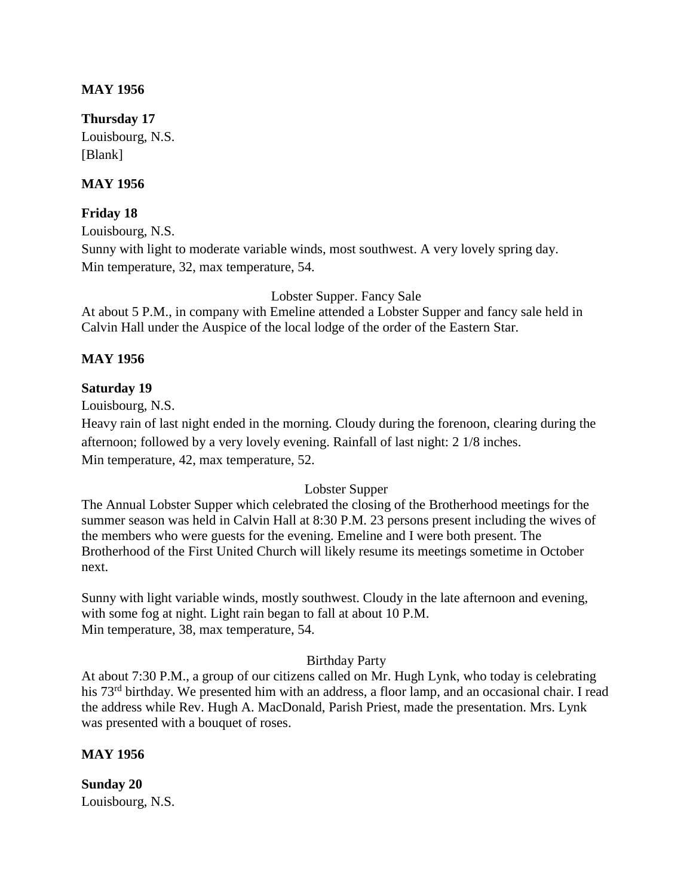#### **MAY 1956**

#### **Thursday 17**

Louisbourg, N.S. [Blank]

## **MAY 1956**

## **Friday 18**

Louisbourg, N.S. Sunny with light to moderate variable winds, most southwest. A very lovely spring day. Min temperature, 32, max temperature, 54.

Lobster Supper. Fancy Sale

At about 5 P.M., in company with Emeline attended a Lobster Supper and fancy sale held in Calvin Hall under the Auspice of the local lodge of the order of the Eastern Star.

#### **MAY 1956**

#### **Saturday 19**

Louisbourg, N.S.

Heavy rain of last night ended in the morning. Cloudy during the forenoon, clearing during the afternoon; followed by a very lovely evening. Rainfall of last night: 2 1/8 inches. Min temperature, 42, max temperature, 52.

## Lobster Supper

The Annual Lobster Supper which celebrated the closing of the Brotherhood meetings for the summer season was held in Calvin Hall at 8:30 P.M. 23 persons present including the wives of the members who were guests for the evening. Emeline and I were both present. The Brotherhood of the First United Church will likely resume its meetings sometime in October next.

Sunny with light variable winds, mostly southwest. Cloudy in the late afternoon and evening, with some fog at night. Light rain began to fall at about 10 P.M. Min temperature, 38, max temperature, 54.

#### Birthday Party

At about 7:30 P.M., a group of our citizens called on Mr. Hugh Lynk, who today is celebrating his 73<sup>rd</sup> birthday. We presented him with an address, a floor lamp, and an occasional chair. I read the address while Rev. Hugh A. MacDonald, Parish Priest, made the presentation. Mrs. Lynk was presented with a bouquet of roses.

#### **MAY 1956**

**Sunday 20** Louisbourg, N.S.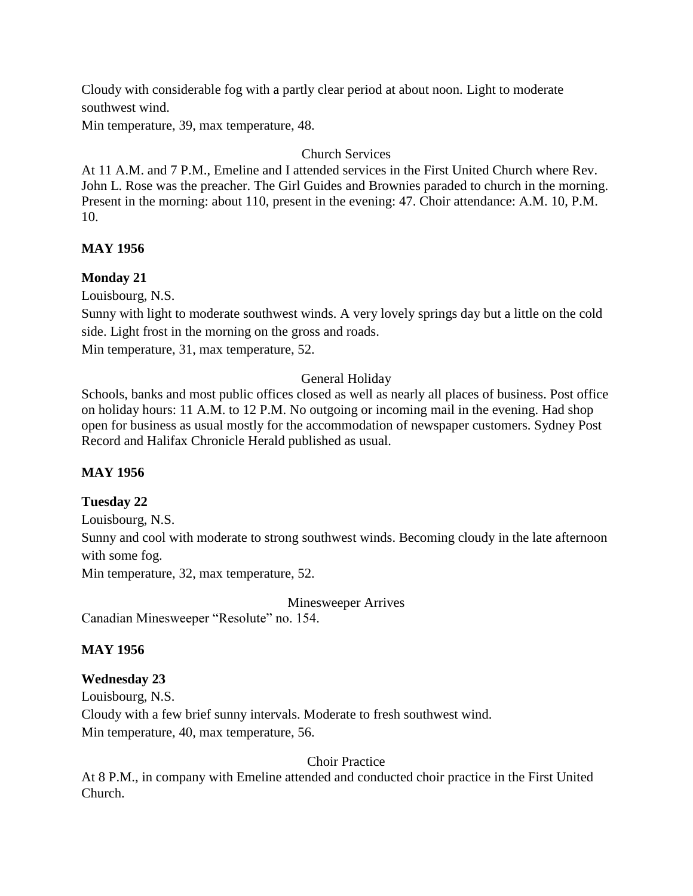Cloudy with considerable fog with a partly clear period at about noon. Light to moderate southwest wind.

Min temperature, 39, max temperature, 48.

## Church Services

At 11 A.M. and 7 P.M., Emeline and I attended services in the First United Church where Rev. John L. Rose was the preacher. The Girl Guides and Brownies paraded to church in the morning. Present in the morning: about 110, present in the evening: 47. Choir attendance: A.M. 10, P.M. 10.

## **MAY 1956**

## **Monday 21**

Louisbourg, N.S.

Sunny with light to moderate southwest winds. A very lovely springs day but a little on the cold side. Light frost in the morning on the gross and roads.

Min temperature, 31, max temperature, 52.

## General Holiday

Schools, banks and most public offices closed as well as nearly all places of business. Post office on holiday hours: 11 A.M. to 12 P.M. No outgoing or incoming mail in the evening. Had shop open for business as usual mostly for the accommodation of newspaper customers. Sydney Post Record and Halifax Chronicle Herald published as usual.

## **MAY 1956**

## **Tuesday 22**

Louisbourg, N.S. Sunny and cool with moderate to strong southwest winds. Becoming cloudy in the late afternoon with some fog.

Min temperature, 32, max temperature, 52.

Minesweeper Arrives

Canadian Minesweeper "Resolute" no. 154.

## **MAY 1956**

## **Wednesday 23**

Louisbourg, N.S.

Cloudy with a few brief sunny intervals. Moderate to fresh southwest wind.

Min temperature, 40, max temperature, 56.

Choir Practice

At 8 P.M., in company with Emeline attended and conducted choir practice in the First United Church.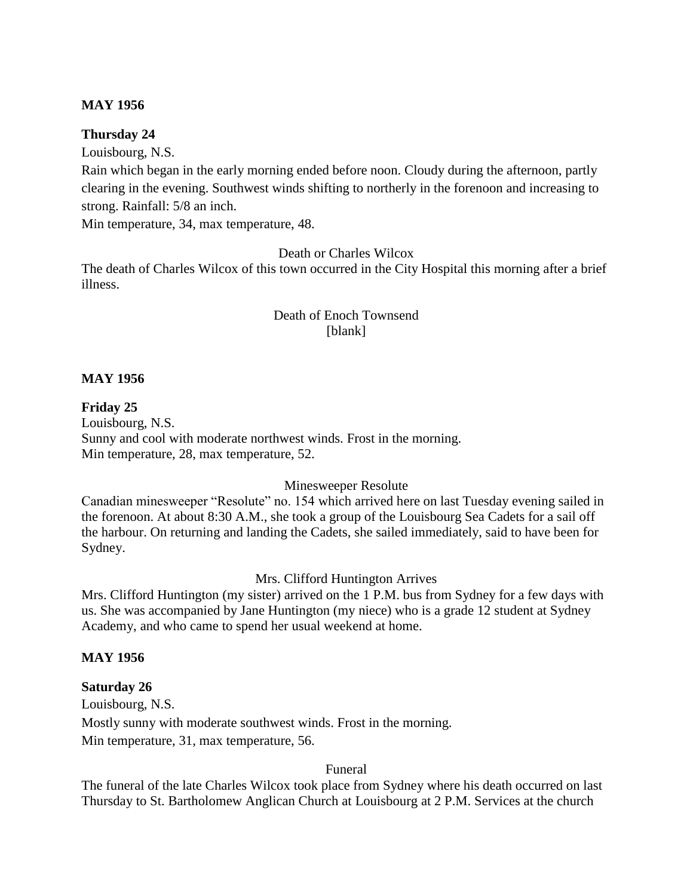#### **MAY 1956**

#### **Thursday 24**

Louisbourg, N.S.

Rain which began in the early morning ended before noon. Cloudy during the afternoon, partly clearing in the evening. Southwest winds shifting to northerly in the forenoon and increasing to strong. Rainfall: 5/8 an inch.

Min temperature, 34, max temperature, 48.

Death or Charles Wilcox

The death of Charles Wilcox of this town occurred in the City Hospital this morning after a brief illness.

## Death of Enoch Townsend [blank]

#### **MAY 1956**

**Friday 25** Louisbourg, N.S. Sunny and cool with moderate northwest winds. Frost in the morning. Min temperature, 28, max temperature, 52.

## Minesweeper Resolute

Canadian minesweeper "Resolute" no. 154 which arrived here on last Tuesday evening sailed in the forenoon. At about 8:30 A.M., she took a group of the Louisbourg Sea Cadets for a sail off the harbour. On returning and landing the Cadets, she sailed immediately, said to have been for Sydney.

## Mrs. Clifford Huntington Arrives

Mrs. Clifford Huntington (my sister) arrived on the 1 P.M. bus from Sydney for a few days with us. She was accompanied by Jane Huntington (my niece) who is a grade 12 student at Sydney Academy, and who came to spend her usual weekend at home.

#### **MAY 1956**

#### **Saturday 26**

Louisbourg, N.S. Mostly sunny with moderate southwest winds. Frost in the morning. Min temperature, 31, max temperature, 56.

Funeral

The funeral of the late Charles Wilcox took place from Sydney where his death occurred on last Thursday to St. Bartholomew Anglican Church at Louisbourg at 2 P.M. Services at the church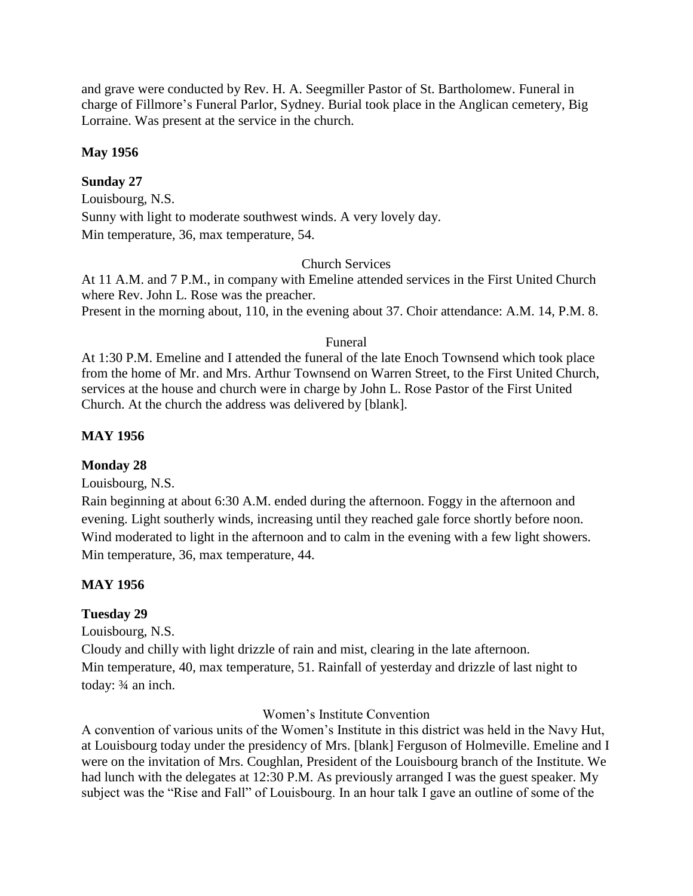and grave were conducted by Rev. H. A. Seegmiller Pastor of St. Bartholomew. Funeral in charge of Fillmore's Funeral Parlor, Sydney. Burial took place in the Anglican cemetery, Big Lorraine. Was present at the service in the church.

#### **May 1956**

## **Sunday 27**

Louisbourg, N.S. Sunny with light to moderate southwest winds. A very lovely day. Min temperature, 36, max temperature, 54.

#### Church Services

At 11 A.M. and 7 P.M., in company with Emeline attended services in the First United Church where Rev. John L. Rose was the preacher. Present in the morning about, 110, in the evening about 37. Choir attendance: A.M. 14, P.M. 8.

#### Funeral

At 1:30 P.M. Emeline and I attended the funeral of the late Enoch Townsend which took place from the home of Mr. and Mrs. Arthur Townsend on Warren Street, to the First United Church, services at the house and church were in charge by John L. Rose Pastor of the First United Church. At the church the address was delivered by [blank].

## **MAY 1956**

## **Monday 28**

Louisbourg, N.S.

Rain beginning at about 6:30 A.M. ended during the afternoon. Foggy in the afternoon and evening. Light southerly winds, increasing until they reached gale force shortly before noon. Wind moderated to light in the afternoon and to calm in the evening with a few light showers. Min temperature, 36, max temperature, 44.

## **MAY 1956**

## **Tuesday 29**

Louisbourg, N.S.

Cloudy and chilly with light drizzle of rain and mist, clearing in the late afternoon. Min temperature, 40, max temperature, 51. Rainfall of yesterday and drizzle of last night to today: ¾ an inch.

#### Women's Institute Convention

A convention of various units of the Women's Institute in this district was held in the Navy Hut, at Louisbourg today under the presidency of Mrs. [blank] Ferguson of Holmeville. Emeline and I were on the invitation of Mrs. Coughlan, President of the Louisbourg branch of the Institute. We had lunch with the delegates at 12:30 P.M. As previously arranged I was the guest speaker. My subject was the "Rise and Fall" of Louisbourg. In an hour talk I gave an outline of some of the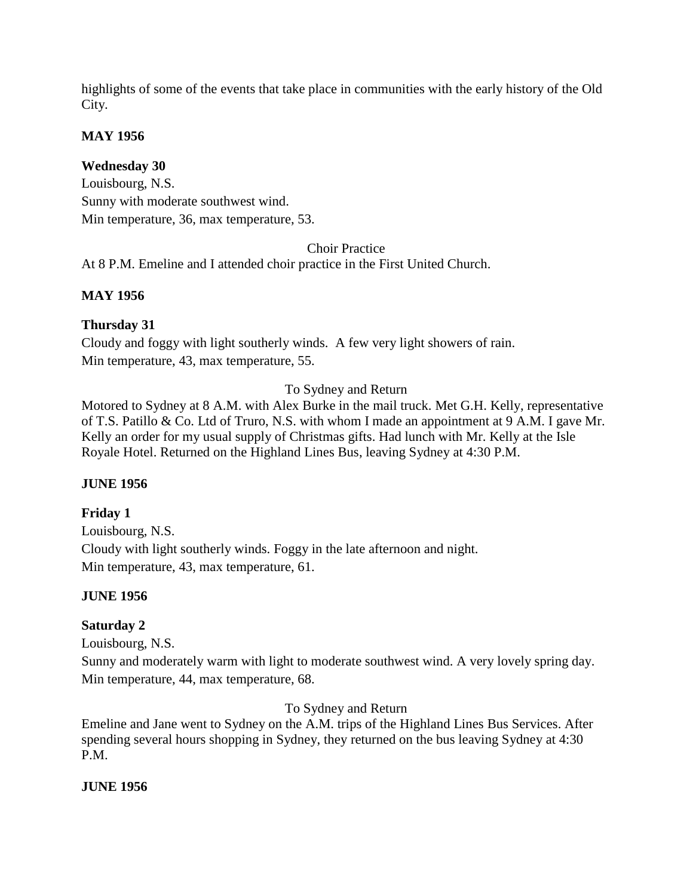highlights of some of the events that take place in communities with the early history of the Old City.

## **MAY 1956**

## **Wednesday 30**

Louisbourg, N.S. Sunny with moderate southwest wind. Min temperature, 36, max temperature, 53.

Choir Practice

At 8 P.M. Emeline and I attended choir practice in the First United Church.

## **MAY 1956**

## **Thursday 31**

Cloudy and foggy with light southerly winds. A few very light showers of rain. Min temperature, 43, max temperature, 55.

## To Sydney and Return

Motored to Sydney at 8 A.M. with Alex Burke in the mail truck. Met G.H. Kelly, representative of T.S. Patillo & Co. Ltd of Truro, N.S. with whom I made an appointment at 9 A.M. I gave Mr. Kelly an order for my usual supply of Christmas gifts. Had lunch with Mr. Kelly at the Isle Royale Hotel. Returned on the Highland Lines Bus, leaving Sydney at 4:30 P.M.

## **JUNE 1956**

## **Friday 1**

Louisbourg, N.S. Cloudy with light southerly winds. Foggy in the late afternoon and night. Min temperature, 43, max temperature, 61.

## **JUNE 1956**

## **Saturday 2**

Louisbourg, N.S.

Sunny and moderately warm with light to moderate southwest wind. A very lovely spring day. Min temperature, 44, max temperature, 68.

To Sydney and Return

Emeline and Jane went to Sydney on the A.M. trips of the Highland Lines Bus Services. After spending several hours shopping in Sydney, they returned on the bus leaving Sydney at 4:30 P.M.

## **JUNE 1956**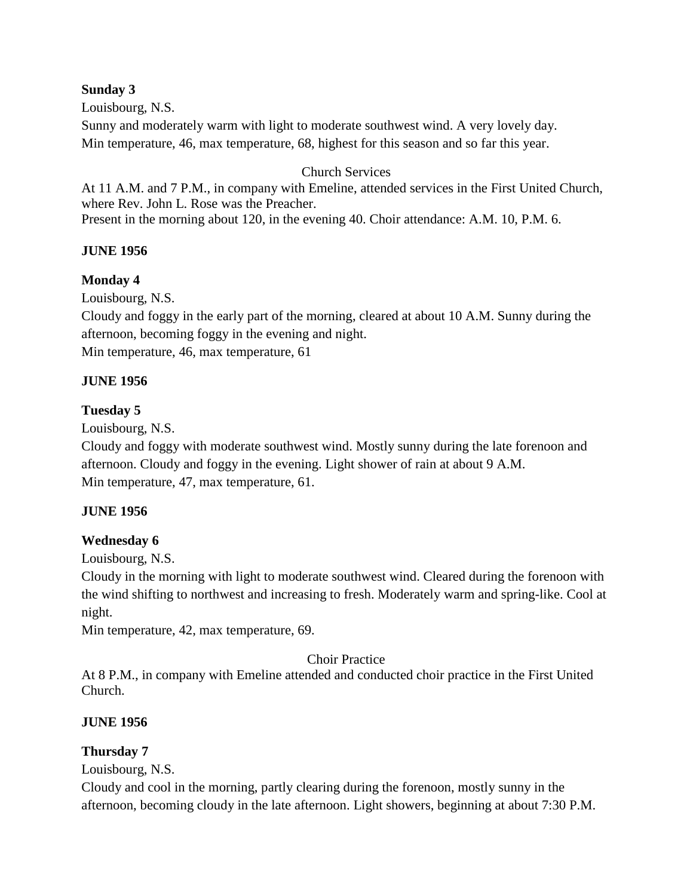## **Sunday 3**

Louisbourg, N.S.

Sunny and moderately warm with light to moderate southwest wind. A very lovely day. Min temperature, 46, max temperature, 68, highest for this season and so far this year.

#### Church Services

At 11 A.M. and 7 P.M., in company with Emeline, attended services in the First United Church, where Rev. John L. Rose was the Preacher. Present in the morning about 120, in the evening 40. Choir attendance: A.M. 10, P.M. 6.

**JUNE 1956**

#### **Monday 4**

Louisbourg, N.S.

Cloudy and foggy in the early part of the morning, cleared at about 10 A.M. Sunny during the afternoon, becoming foggy in the evening and night.

Min temperature, 46, max temperature, 61

#### **JUNE 1956**

#### **Tuesday 5**

Louisbourg, N.S.

Cloudy and foggy with moderate southwest wind. Mostly sunny during the late forenoon and afternoon. Cloudy and foggy in the evening. Light shower of rain at about 9 A.M. Min temperature, 47, max temperature, 61.

#### **JUNE 1956**

#### **Wednesday 6**

Louisbourg, N.S.

Cloudy in the morning with light to moderate southwest wind. Cleared during the forenoon with the wind shifting to northwest and increasing to fresh. Moderately warm and spring-like. Cool at night.

Min temperature, 42, max temperature, 69.

Choir Practice

At 8 P.M., in company with Emeline attended and conducted choir practice in the First United Church.

#### **JUNE 1956**

#### **Thursday 7**

Louisbourg, N.S.

Cloudy and cool in the morning, partly clearing during the forenoon, mostly sunny in the afternoon, becoming cloudy in the late afternoon. Light showers, beginning at about 7:30 P.M.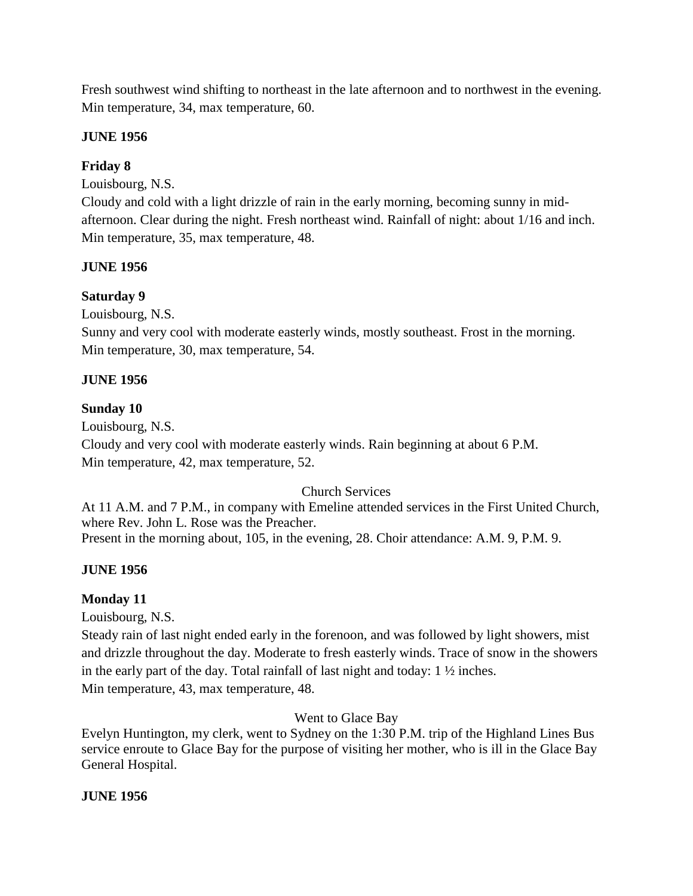Fresh southwest wind shifting to northeast in the late afternoon and to northwest in the evening. Min temperature, 34, max temperature, 60.

## **JUNE 1956**

## **Friday 8**

Louisbourg, N.S.

Cloudy and cold with a light drizzle of rain in the early morning, becoming sunny in midafternoon. Clear during the night. Fresh northeast wind. Rainfall of night: about 1/16 and inch. Min temperature, 35, max temperature, 48.

## **JUNE 1956**

## **Saturday 9**

Louisbourg, N.S.

Sunny and very cool with moderate easterly winds, mostly southeast. Frost in the morning. Min temperature, 30, max temperature, 54.

## **JUNE 1956**

## **Sunday 10**

Louisbourg, N.S.

Cloudy and very cool with moderate easterly winds. Rain beginning at about 6 P.M. Min temperature, 42, max temperature, 52.

## Church Services

At 11 A.M. and 7 P.M., in company with Emeline attended services in the First United Church, where Rev. John L. Rose was the Preacher. Present in the morning about, 105, in the evening, 28. Choir attendance: A.M. 9, P.M. 9.

## **JUNE 1956**

## **Monday 11**

Louisbourg, N.S.

Steady rain of last night ended early in the forenoon, and was followed by light showers, mist and drizzle throughout the day. Moderate to fresh easterly winds. Trace of snow in the showers in the early part of the day. Total rainfall of last night and today:  $1\frac{1}{2}$  inches. Min temperature, 43, max temperature, 48.

## Went to Glace Bay

Evelyn Huntington, my clerk, went to Sydney on the 1:30 P.M. trip of the Highland Lines Bus service enroute to Glace Bay for the purpose of visiting her mother, who is ill in the Glace Bay General Hospital.

## **JUNE 1956**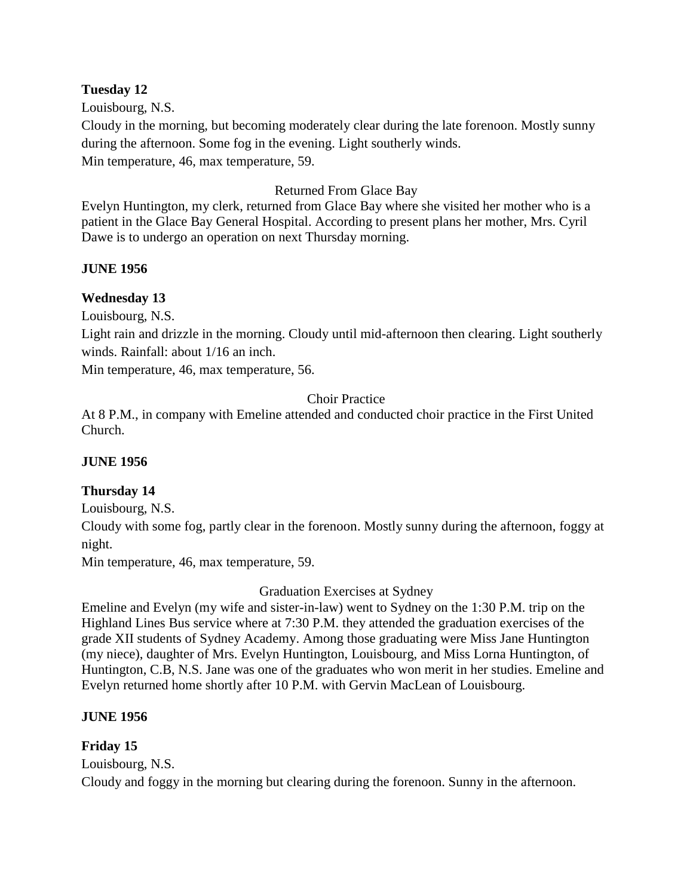#### **Tuesday 12**

Louisbourg, N.S. Cloudy in the morning, but becoming moderately clear during the late forenoon. Mostly sunny during the afternoon. Some fog in the evening. Light southerly winds. Min temperature, 46, max temperature, 59.

# Returned From Glace Bay

Evelyn Huntington, my clerk, returned from Glace Bay where she visited her mother who is a patient in the Glace Bay General Hospital. According to present plans her mother, Mrs. Cyril Dawe is to undergo an operation on next Thursday morning.

# **JUNE 1956**

# **Wednesday 13**

Louisbourg, N.S.

Light rain and drizzle in the morning. Cloudy until mid-afternoon then clearing. Light southerly winds. Rainfall: about 1/16 an inch.

Min temperature, 46, max temperature, 56.

## Choir Practice

At 8 P.M., in company with Emeline attended and conducted choir practice in the First United Church.

## **JUNE 1956**

## **Thursday 14**

Louisbourg, N.S.

Cloudy with some fog, partly clear in the forenoon. Mostly sunny during the afternoon, foggy at night.

Min temperature, 46, max temperature, 59.

Graduation Exercises at Sydney

Emeline and Evelyn (my wife and sister-in-law) went to Sydney on the 1:30 P.M. trip on the Highland Lines Bus service where at 7:30 P.M. they attended the graduation exercises of the grade XII students of Sydney Academy. Among those graduating were Miss Jane Huntington (my niece), daughter of Mrs. Evelyn Huntington, Louisbourg, and Miss Lorna Huntington, of Huntington, C.B, N.S. Jane was one of the graduates who won merit in her studies. Emeline and Evelyn returned home shortly after 10 P.M. with Gervin MacLean of Louisbourg.

## **JUNE 1956**

## **Friday 15**

Louisbourg, N.S.

Cloudy and foggy in the morning but clearing during the forenoon. Sunny in the afternoon.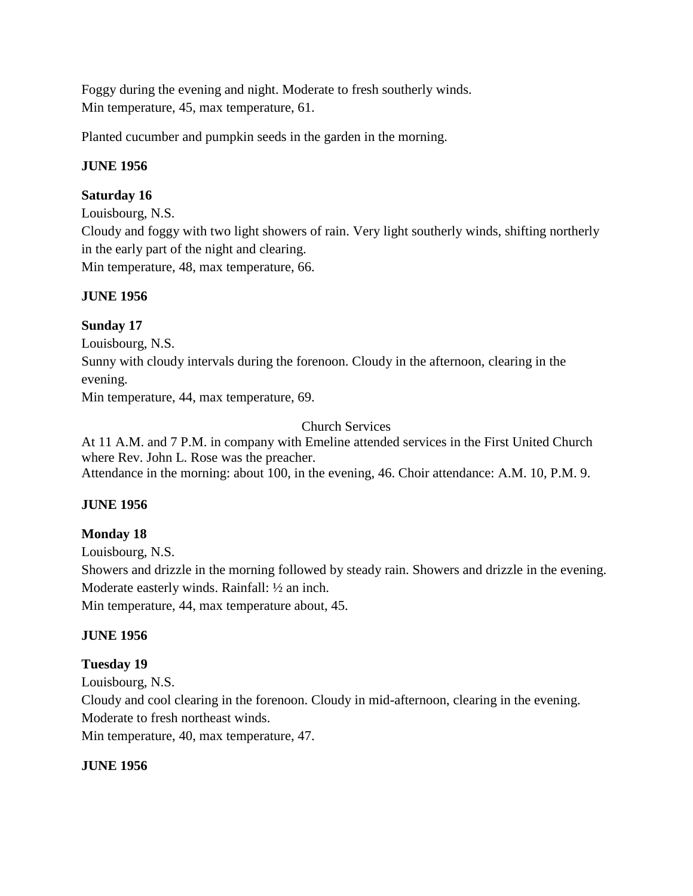Foggy during the evening and night. Moderate to fresh southerly winds. Min temperature, 45, max temperature, 61.

Planted cucumber and pumpkin seeds in the garden in the morning.

## **JUNE 1956**

## **Saturday 16**

Louisbourg, N.S.

Cloudy and foggy with two light showers of rain. Very light southerly winds, shifting northerly in the early part of the night and clearing. Min temperature, 48, max temperature, 66.

## **JUNE 1956**

## **Sunday 17**

Louisbourg, N.S.

Sunny with cloudy intervals during the forenoon. Cloudy in the afternoon, clearing in the evening.

Min temperature, 44, max temperature, 69.

Church Services

At 11 A.M. and 7 P.M. in company with Emeline attended services in the First United Church where Rev. John L. Rose was the preacher. Attendance in the morning: about 100, in the evening, 46. Choir attendance: A.M. 10, P.M. 9.

## **JUNE 1956**

## **Monday 18**

Louisbourg, N.S. Showers and drizzle in the morning followed by steady rain. Showers and drizzle in the evening. Moderate easterly winds. Rainfall: ½ an inch. Min temperature, 44, max temperature about, 45.

## **JUNE 1956**

## **Tuesday 19**

Louisbourg, N.S. Cloudy and cool clearing in the forenoon. Cloudy in mid-afternoon, clearing in the evening. Moderate to fresh northeast winds. Min temperature, 40, max temperature, 47.

## **JUNE 1956**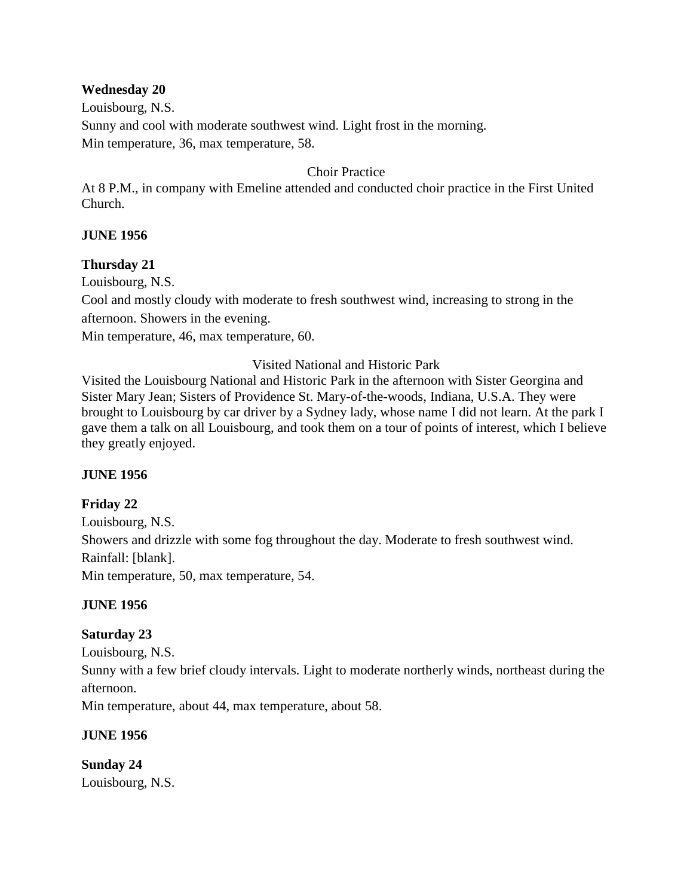#### **Wednesday 20**

Louisbourg, N.S. Sunny and cool with moderate southwest wind. Light frost in the morning. Min temperature, 36, max temperature, 58.

#### Choir Practice

At 8 P.M., in company with Emeline attended and conducted choir practice in the First United Church.

#### **JUNE 1956**

#### **Thursday 21**

Louisbourg, N.S.

Cool and mostly cloudy with moderate to fresh southwest wind, increasing to strong in the afternoon. Showers in the evening.

Min temperature, 46, max temperature, 60.

Visited National and Historic Park

Visited the Louisbourg National and Historic Park in the afternoon with Sister Georgina and Sister Mary Jean; Sisters of Providence St. Mary-of-the-woods, Indiana, U.S.A. They were brought to Louisbourg by car driver by a Sydney lady, whose name I did not learn. At the park I gave them a talk on all Louisbourg, and took them on a tour of points of interest, which I believe they greatly enjoyed.

#### **JUNE 1956**

## **Friday 22**

Louisbourg, N.S. Showers and drizzle with some fog throughout the day. Moderate to fresh southwest wind. Rainfall: [blank]. Min temperature, 50, max temperature, 54.

## **JUNE 1956**

## **Saturday 23**

Louisbourg, N.S.

Sunny with a few brief cloudy intervals. Light to moderate northerly winds, northeast during the afternoon.

Min temperature, about 44, max temperature, about 58.

## **JUNE 1956**

**Sunday 24** Louisbourg, N.S.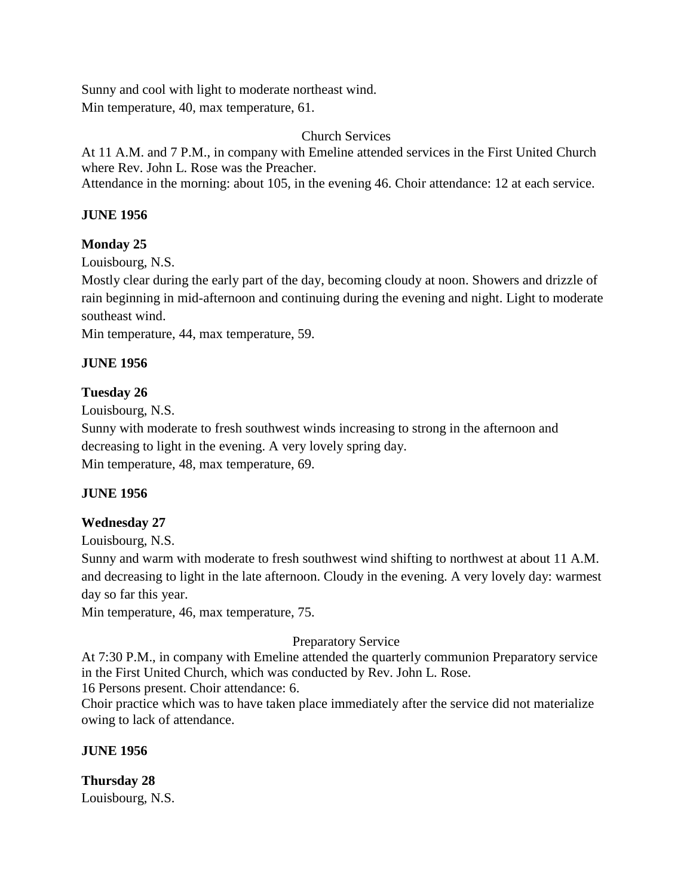Sunny and cool with light to moderate northeast wind. Min temperature, 40, max temperature, 61.

## Church Services

At 11 A.M. and 7 P.M., in company with Emeline attended services in the First United Church where Rev. John L. Rose was the Preacher.

Attendance in the morning: about 105, in the evening 46. Choir attendance: 12 at each service.

#### **JUNE 1956**

## **Monday 25**

Louisbourg, N.S.

Mostly clear during the early part of the day, becoming cloudy at noon. Showers and drizzle of rain beginning in mid-afternoon and continuing during the evening and night. Light to moderate southeast wind.

Min temperature, 44, max temperature, 59.

#### **JUNE 1956**

#### **Tuesday 26**

Louisbourg, N.S.

Sunny with moderate to fresh southwest winds increasing to strong in the afternoon and decreasing to light in the evening. A very lovely spring day. Min temperature, 48, max temperature, 69.

#### **JUNE 1956**

## **Wednesday 27**

Louisbourg, N.S.

Sunny and warm with moderate to fresh southwest wind shifting to northwest at about 11 A.M. and decreasing to light in the late afternoon. Cloudy in the evening. A very lovely day: warmest day so far this year.

Min temperature, 46, max temperature, 75.

## Preparatory Service

At 7:30 P.M., in company with Emeline attended the quarterly communion Preparatory service in the First United Church, which was conducted by Rev. John L. Rose.

16 Persons present. Choir attendance: 6.

Choir practice which was to have taken place immediately after the service did not materialize owing to lack of attendance.

#### **JUNE 1956**

**Thursday 28** Louisbourg, N.S.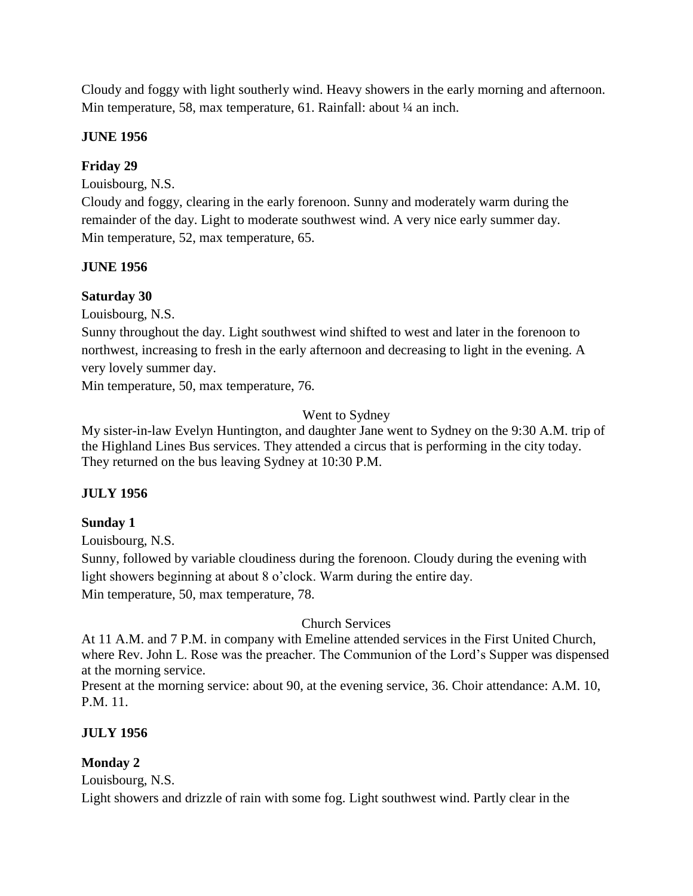Cloudy and foggy with light southerly wind. Heavy showers in the early morning and afternoon. Min temperature, 58, max temperature, 61. Rainfall: about 1/4 an inch.

#### **JUNE 1956**

## **Friday 29**

Louisbourg, N.S.

Cloudy and foggy, clearing in the early forenoon. Sunny and moderately warm during the remainder of the day. Light to moderate southwest wind. A very nice early summer day. Min temperature, 52, max temperature, 65.

## **JUNE 1956**

## **Saturday 30**

Louisbourg, N.S.

Sunny throughout the day. Light southwest wind shifted to west and later in the forenoon to northwest, increasing to fresh in the early afternoon and decreasing to light in the evening. A very lovely summer day.

Min temperature, 50, max temperature, 76.

## Went to Sydney

My sister-in-law Evelyn Huntington, and daughter Jane went to Sydney on the 9:30 A.M. trip of the Highland Lines Bus services. They attended a circus that is performing in the city today. They returned on the bus leaving Sydney at 10:30 P.M.

## **JULY 1956**

## **Sunday 1**

Louisbourg, N.S.

Sunny, followed by variable cloudiness during the forenoon. Cloudy during the evening with light showers beginning at about 8 o'clock. Warm during the entire day. Min temperature, 50, max temperature, 78.

## Church Services

At 11 A.M. and 7 P.M. in company with Emeline attended services in the First United Church, where Rev. John L. Rose was the preacher. The Communion of the Lord's Supper was dispensed at the morning service.

Present at the morning service: about 90, at the evening service, 36. Choir attendance: A.M. 10, P.M. 11.

## **JULY 1956**

## **Monday 2**

Louisbourg, N.S.

Light showers and drizzle of rain with some fog. Light southwest wind. Partly clear in the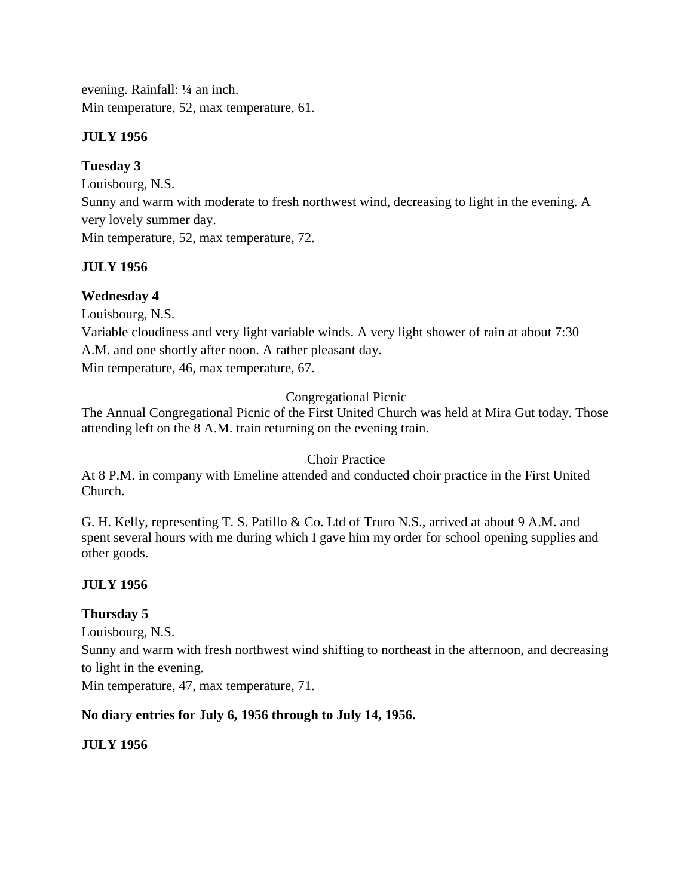evening. Rainfall: ¼ an inch. Min temperature, 52, max temperature, 61.

## **JULY 1956**

# **Tuesday 3**

Louisbourg, N.S. Sunny and warm with moderate to fresh northwest wind, decreasing to light in the evening. A very lovely summer day. Min temperature, 52, max temperature, 72.

## **JULY 1956**

## **Wednesday 4**

Louisbourg, N.S.

Variable cloudiness and very light variable winds. A very light shower of rain at about 7:30 A.M. and one shortly after noon. A rather pleasant day.

Min temperature, 46, max temperature, 67.

Congregational Picnic

The Annual Congregational Picnic of the First United Church was held at Mira Gut today. Those attending left on the 8 A.M. train returning on the evening train.

Choir Practice

At 8 P.M. in company with Emeline attended and conducted choir practice in the First United Church.

G. H. Kelly, representing T. S. Patillo & Co. Ltd of Truro N.S., arrived at about 9 A.M. and spent several hours with me during which I gave him my order for school opening supplies and other goods.

## **JULY 1956**

## **Thursday 5**

Louisbourg, N.S.

Sunny and warm with fresh northwest wind shifting to northeast in the afternoon, and decreasing to light in the evening.

Min temperature, 47, max temperature, 71.

## **No diary entries for July 6, 1956 through to July 14, 1956.**

## **JULY 1956**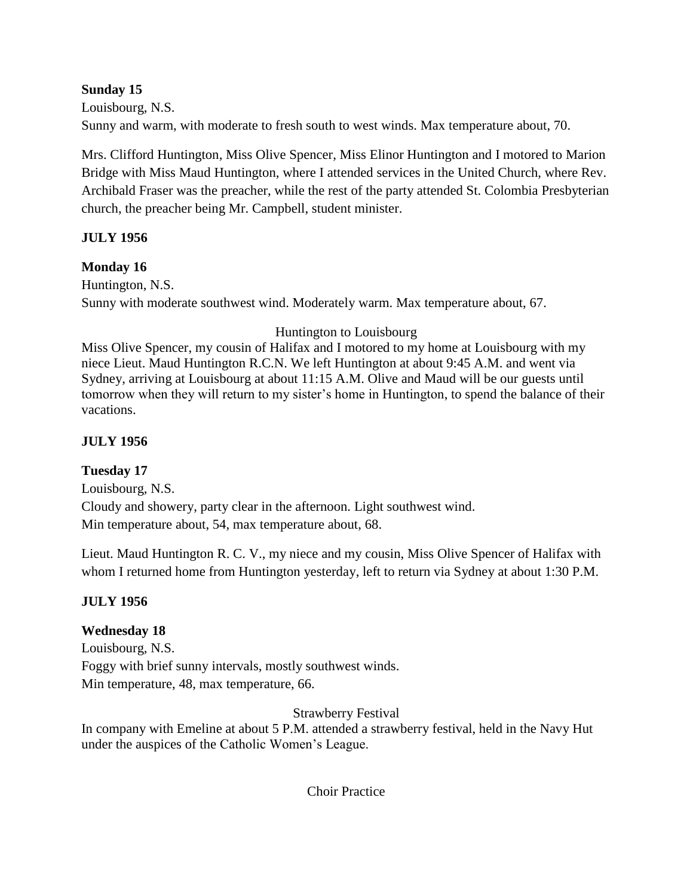## **Sunday 15**

Louisbourg, N.S. Sunny and warm, with moderate to fresh south to west winds. Max temperature about, 70.

Mrs. Clifford Huntington, Miss Olive Spencer, Miss Elinor Huntington and I motored to Marion Bridge with Miss Maud Huntington, where I attended services in the United Church, where Rev. Archibald Fraser was the preacher, while the rest of the party attended St. Colombia Presbyterian church, the preacher being Mr. Campbell, student minister.

## **JULY 1956**

## **Monday 16**

Huntington, N.S. Sunny with moderate southwest wind. Moderately warm. Max temperature about, 67.

## Huntington to Louisbourg

Miss Olive Spencer, my cousin of Halifax and I motored to my home at Louisbourg with my niece Lieut. Maud Huntington R.C.N. We left Huntington at about 9:45 A.M. and went via Sydney, arriving at Louisbourg at about 11:15 A.M. Olive and Maud will be our guests until tomorrow when they will return to my sister's home in Huntington, to spend the balance of their vacations.

# **JULY 1956**

## **Tuesday 17**

Louisbourg, N.S. Cloudy and showery, party clear in the afternoon. Light southwest wind. Min temperature about, 54, max temperature about, 68.

Lieut. Maud Huntington R. C. V., my niece and my cousin, Miss Olive Spencer of Halifax with whom I returned home from Huntington yesterday, left to return via Sydney at about 1:30 P.M.

## **JULY 1956**

## **Wednesday 18**

Louisbourg, N.S. Foggy with brief sunny intervals, mostly southwest winds. Min temperature, 48, max temperature, 66.

Strawberry Festival

In company with Emeline at about 5 P.M. attended a strawberry festival, held in the Navy Hut under the auspices of the Catholic Women's League.

Choir Practice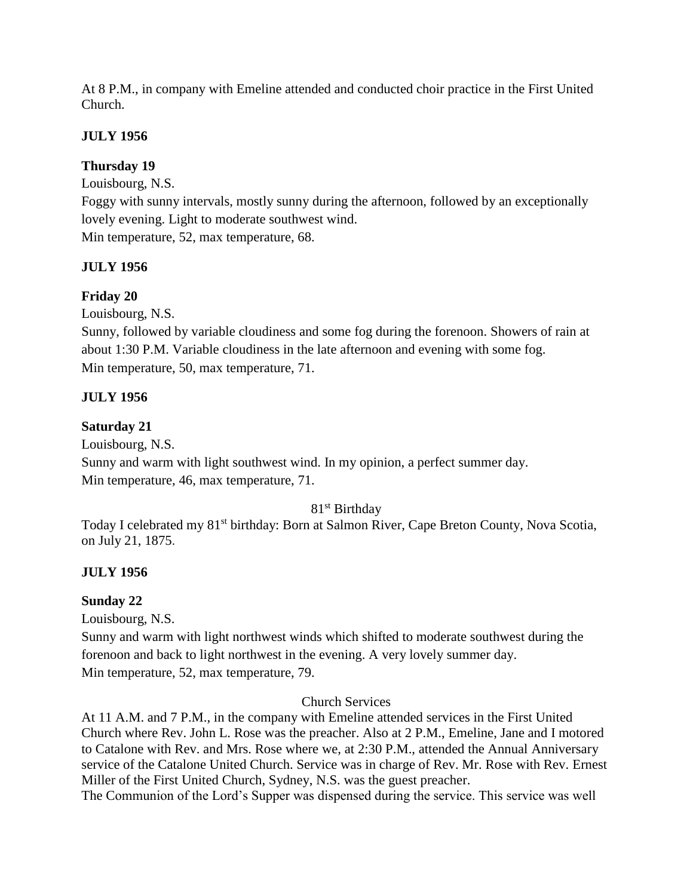At 8 P.M., in company with Emeline attended and conducted choir practice in the First United Church.

## **JULY 1956**

## **Thursday 19**

Louisbourg, N.S.

Foggy with sunny intervals, mostly sunny during the afternoon, followed by an exceptionally lovely evening. Light to moderate southwest wind.

Min temperature, 52, max temperature, 68.

## **JULY 1956**

# **Friday 20**

Louisbourg, N.S.

Sunny, followed by variable cloudiness and some fog during the forenoon. Showers of rain at about 1:30 P.M. Variable cloudiness in the late afternoon and evening with some fog. Min temperature, 50, max temperature, 71.

## **JULY 1956**

## **Saturday 21**

Louisbourg, N.S.

Sunny and warm with light southwest wind. In my opinion, a perfect summer day. Min temperature, 46, max temperature, 71.

## 81st Birthday

Today I celebrated my 81<sup>st</sup> birthday: Born at Salmon River, Cape Breton County, Nova Scotia, on July 21, 1875.

## **JULY 1956**

## **Sunday 22**

Louisbourg, N.S.

Sunny and warm with light northwest winds which shifted to moderate southwest during the forenoon and back to light northwest in the evening. A very lovely summer day. Min temperature, 52, max temperature, 79.

Church Services

At 11 A.M. and 7 P.M., in the company with Emeline attended services in the First United Church where Rev. John L. Rose was the preacher. Also at 2 P.M., Emeline, Jane and I motored to Catalone with Rev. and Mrs. Rose where we, at 2:30 P.M., attended the Annual Anniversary service of the Catalone United Church. Service was in charge of Rev. Mr. Rose with Rev. Ernest Miller of the First United Church, Sydney, N.S. was the guest preacher.

The Communion of the Lord's Supper was dispensed during the service. This service was well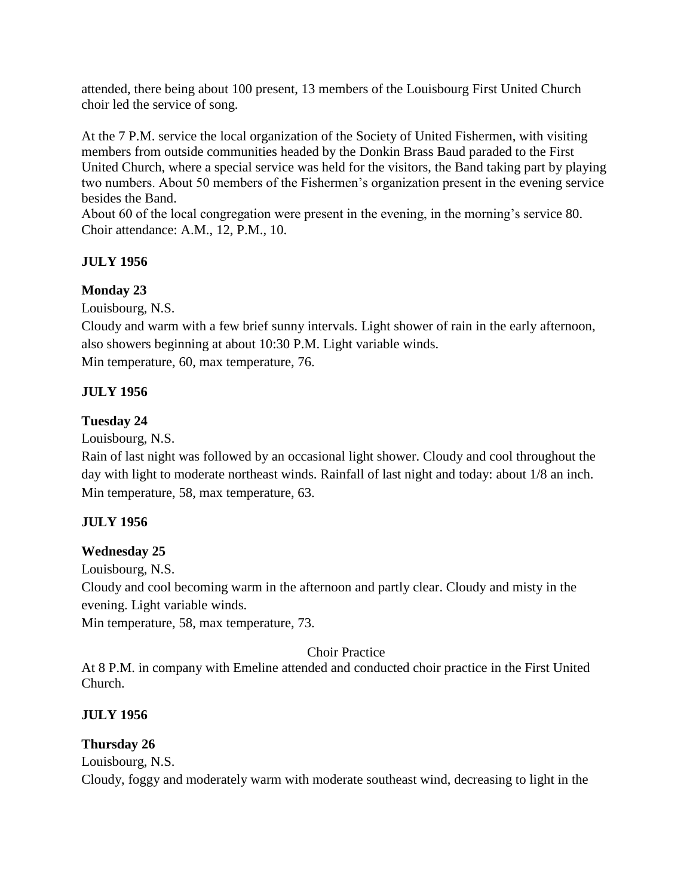attended, there being about 100 present, 13 members of the Louisbourg First United Church choir led the service of song.

At the 7 P.M. service the local organization of the Society of United Fishermen, with visiting members from outside communities headed by the Donkin Brass Baud paraded to the First United Church, where a special service was held for the visitors, the Band taking part by playing two numbers. About 50 members of the Fishermen's organization present in the evening service besides the Band.

About 60 of the local congregation were present in the evening, in the morning's service 80. Choir attendance: A.M., 12, P.M., 10.

## **JULY 1956**

## **Monday 23**

Louisbourg, N.S.

Cloudy and warm with a few brief sunny intervals. Light shower of rain in the early afternoon, also showers beginning at about 10:30 P.M. Light variable winds. Min temperature, 60, max temperature, 76.

## **JULY 1956**

## **Tuesday 24**

Louisbourg, N.S.

Rain of last night was followed by an occasional light shower. Cloudy and cool throughout the day with light to moderate northeast winds. Rainfall of last night and today: about 1/8 an inch. Min temperature, 58, max temperature, 63.

## **JULY 1956**

## **Wednesday 25**

Louisbourg, N.S.

Cloudy and cool becoming warm in the afternoon and partly clear. Cloudy and misty in the evening. Light variable winds.

Min temperature, 58, max temperature, 73.

## Choir Practice

At 8 P.M. in company with Emeline attended and conducted choir practice in the First United Church.

## **JULY 1956**

## **Thursday 26**

Louisbourg, N.S. Cloudy, foggy and moderately warm with moderate southeast wind, decreasing to light in the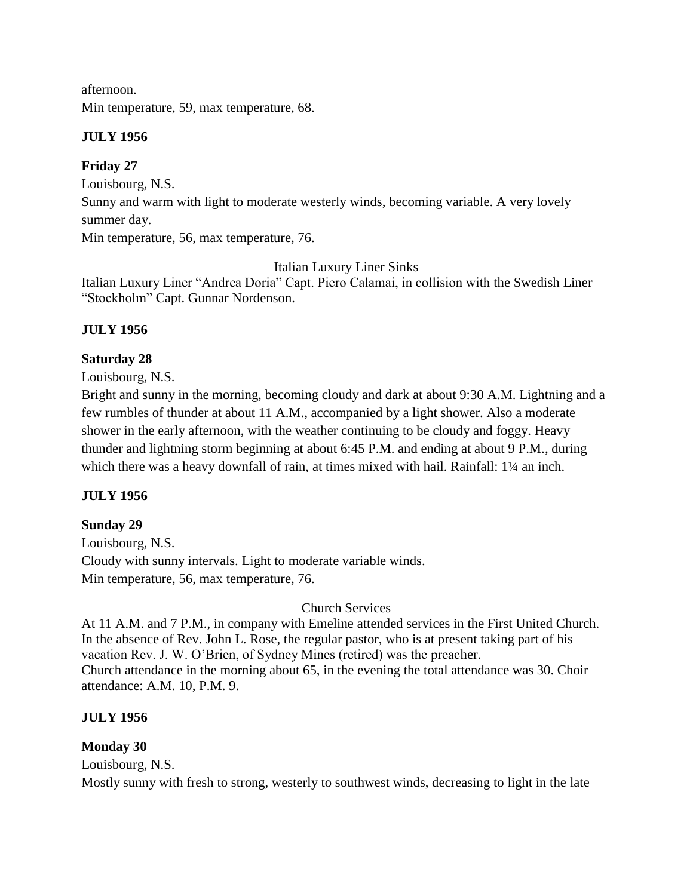afternoon. Min temperature, 59, max temperature, 68.

## **JULY 1956**

## **Friday 27**

Louisbourg, N.S.

Sunny and warm with light to moderate westerly winds, becoming variable. A very lovely summer day.

Min temperature, 56, max temperature, 76.

Italian Luxury Liner Sinks

Italian Luxury Liner "Andrea Doria" Capt. Piero Calamai, in collision with the Swedish Liner "Stockholm" Capt. Gunnar Nordenson.

## **JULY 1956**

## **Saturday 28**

Louisbourg, N.S.

Bright and sunny in the morning, becoming cloudy and dark at about 9:30 A.M. Lightning and a few rumbles of thunder at about 11 A.M., accompanied by a light shower. Also a moderate shower in the early afternoon, with the weather continuing to be cloudy and foggy. Heavy thunder and lightning storm beginning at about 6:45 P.M. and ending at about 9 P.M., during which there was a heavy downfall of rain, at times mixed with hail. Rainfall: 1¼ an inch.

## **JULY 1956**

## **Sunday 29**

Louisbourg, N.S. Cloudy with sunny intervals. Light to moderate variable winds. Min temperature, 56, max temperature, 76.

Church Services

At 11 A.M. and 7 P.M., in company with Emeline attended services in the First United Church. In the absence of Rev. John L. Rose, the regular pastor, who is at present taking part of his vacation Rev. J. W. O'Brien, of Sydney Mines (retired) was the preacher. Church attendance in the morning about 65, in the evening the total attendance was 30. Choir attendance: A.M. 10, P.M. 9.

## **JULY 1956**

## **Monday 30**

Louisbourg, N.S.

Mostly sunny with fresh to strong, westerly to southwest winds, decreasing to light in the late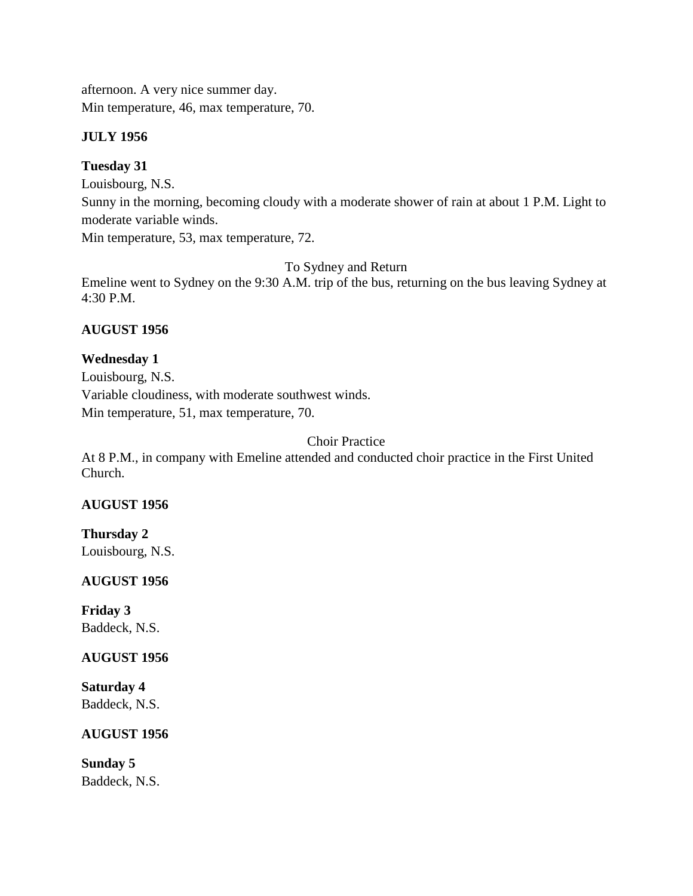afternoon. A very nice summer day. Min temperature, 46, max temperature, 70.

## **JULY 1956**

## **Tuesday 31**

Louisbourg, N.S.

Sunny in the morning, becoming cloudy with a moderate shower of rain at about 1 P.M. Light to moderate variable winds.

Min temperature, 53, max temperature, 72.

To Sydney and Return

Emeline went to Sydney on the 9:30 A.M. trip of the bus, returning on the bus leaving Sydney at 4:30 P.M.

## **AUGUST 1956**

## **Wednesday 1**

Louisbourg, N.S. Variable cloudiness, with moderate southwest winds. Min temperature, 51, max temperature, 70.

Choir Practice

At 8 P.M., in company with Emeline attended and conducted choir practice in the First United Church.

## **AUGUST 1956**

**Thursday 2**

Louisbourg, N.S.

## **AUGUST 1956**

**Friday 3** Baddeck, N.S.

## **AUGUST 1956**

**Saturday 4** Baddeck, N.S.

## **AUGUST 1956**

**Sunday 5** Baddeck, N.S.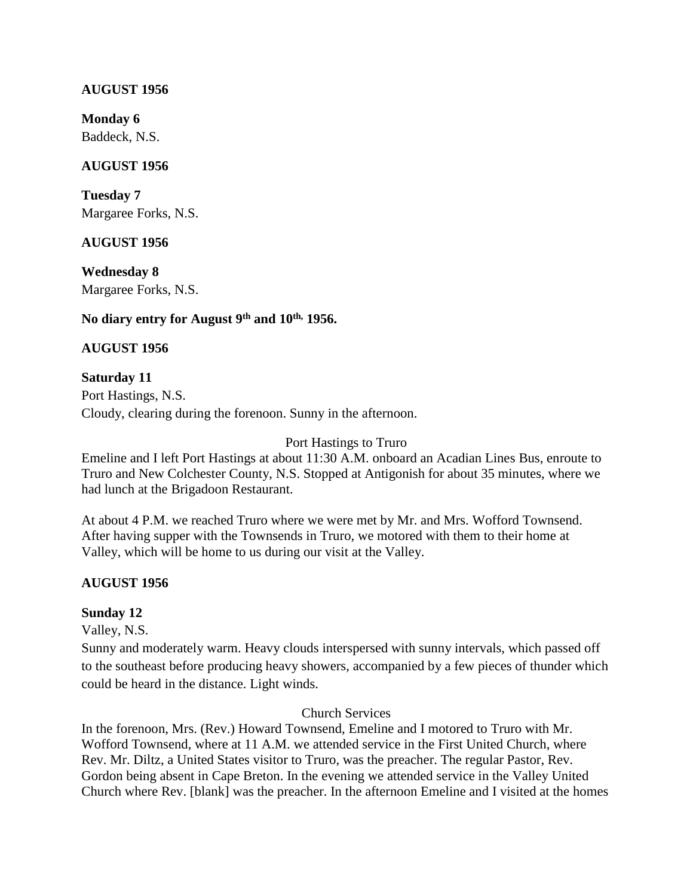#### **AUGUST 1956**

**Monday 6** Baddeck, N.S.

#### **AUGUST 1956**

**Tuesday 7** Margaree Forks, N.S.

#### **AUGUST 1956**

**Wednesday 8** Margaree Forks, N.S.

## **No diary entry for August 9th and 10th, 1956.**

## **AUGUST 1956**

#### **Saturday 11**

Port Hastings, N.S. Cloudy, clearing during the forenoon. Sunny in the afternoon.

#### Port Hastings to Truro

Emeline and I left Port Hastings at about 11:30 A.M. onboard an Acadian Lines Bus, enroute to Truro and New Colchester County, N.S. Stopped at Antigonish for about 35 minutes, where we had lunch at the Brigadoon Restaurant.

At about 4 P.M. we reached Truro where we were met by Mr. and Mrs. Wofford Townsend. After having supper with the Townsends in Truro, we motored with them to their home at Valley, which will be home to us during our visit at the Valley.

## **AUGUST 1956**

## **Sunday 12**

Valley, N.S.

Sunny and moderately warm. Heavy clouds interspersed with sunny intervals, which passed off to the southeast before producing heavy showers, accompanied by a few pieces of thunder which could be heard in the distance. Light winds.

## Church Services

In the forenoon, Mrs. (Rev.) Howard Townsend, Emeline and I motored to Truro with Mr. Wofford Townsend, where at 11 A.M. we attended service in the First United Church, where Rev. Mr. Diltz, a United States visitor to Truro, was the preacher. The regular Pastor, Rev. Gordon being absent in Cape Breton. In the evening we attended service in the Valley United Church where Rev. [blank] was the preacher. In the afternoon Emeline and I visited at the homes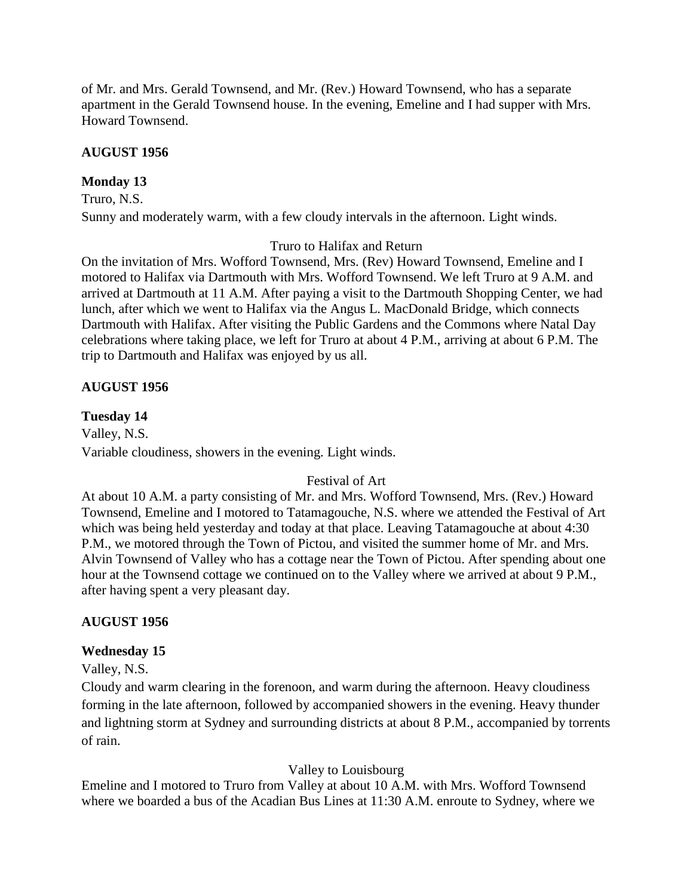of Mr. and Mrs. Gerald Townsend, and Mr. (Rev.) Howard Townsend, who has a separate apartment in the Gerald Townsend house. In the evening, Emeline and I had supper with Mrs. Howard Townsend.

## **AUGUST 1956**

## **Monday 13**

Truro, N.S. Sunny and moderately warm, with a few cloudy intervals in the afternoon. Light winds.

## Truro to Halifax and Return

On the invitation of Mrs. Wofford Townsend, Mrs. (Rev) Howard Townsend, Emeline and I motored to Halifax via Dartmouth with Mrs. Wofford Townsend. We left Truro at 9 A.M. and arrived at Dartmouth at 11 A.M. After paying a visit to the Dartmouth Shopping Center, we had lunch, after which we went to Halifax via the Angus L. MacDonald Bridge, which connects Dartmouth with Halifax. After visiting the Public Gardens and the Commons where Natal Day celebrations where taking place, we left for Truro at about 4 P.M., arriving at about 6 P.M. The trip to Dartmouth and Halifax was enjoyed by us all.

## **AUGUST 1956**

## **Tuesday 14**

Valley, N.S. Variable cloudiness, showers in the evening. Light winds.

## Festival of Art

At about 10 A.M. a party consisting of Mr. and Mrs. Wofford Townsend, Mrs. (Rev.) Howard Townsend, Emeline and I motored to Tatamagouche, N.S. where we attended the Festival of Art which was being held yesterday and today at that place. Leaving Tatamagouche at about 4:30 P.M., we motored through the Town of Pictou, and visited the summer home of Mr. and Mrs. Alvin Townsend of Valley who has a cottage near the Town of Pictou. After spending about one hour at the Townsend cottage we continued on to the Valley where we arrived at about 9 P.M., after having spent a very pleasant day.

## **AUGUST 1956**

## **Wednesday 15**

Valley, N.S.

Cloudy and warm clearing in the forenoon, and warm during the afternoon. Heavy cloudiness forming in the late afternoon, followed by accompanied showers in the evening. Heavy thunder and lightning storm at Sydney and surrounding districts at about 8 P.M., accompanied by torrents of rain.

## Valley to Louisbourg

Emeline and I motored to Truro from Valley at about 10 A.M. with Mrs. Wofford Townsend where we boarded a bus of the Acadian Bus Lines at 11:30 A.M. enroute to Sydney, where we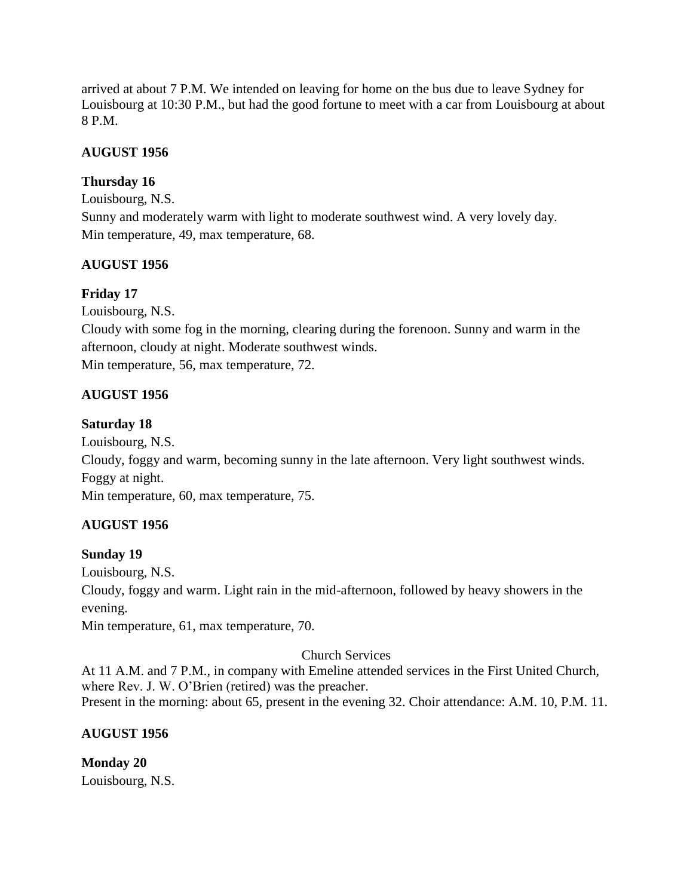arrived at about 7 P.M. We intended on leaving for home on the bus due to leave Sydney for Louisbourg at 10:30 P.M., but had the good fortune to meet with a car from Louisbourg at about 8 P.M.

## **AUGUST 1956**

## **Thursday 16**

Louisbourg, N.S. Sunny and moderately warm with light to moderate southwest wind. A very lovely day. Min temperature, 49, max temperature, 68.

## **AUGUST 1956**

## **Friday 17**

Louisbourg, N.S.

Cloudy with some fog in the morning, clearing during the forenoon. Sunny and warm in the afternoon, cloudy at night. Moderate southwest winds. Min temperature, 56, max temperature, 72.

## **AUGUST 1956**

## **Saturday 18**

Louisbourg, N.S.

Cloudy, foggy and warm, becoming sunny in the late afternoon. Very light southwest winds. Foggy at night.

Min temperature, 60, max temperature, 75.

## **AUGUST 1956**

## **Sunday 19**

Louisbourg, N.S.

Cloudy, foggy and warm. Light rain in the mid-afternoon, followed by heavy showers in the evening.

Min temperature, 61, max temperature, 70.

## Church Services

At 11 A.M. and 7 P.M., in company with Emeline attended services in the First United Church, where Rev. J. W. O'Brien (retired) was the preacher. Present in the morning: about 65, present in the evening 32. Choir attendance: A.M. 10, P.M. 11.

## **AUGUST 1956**

**Monday 20** Louisbourg, N.S.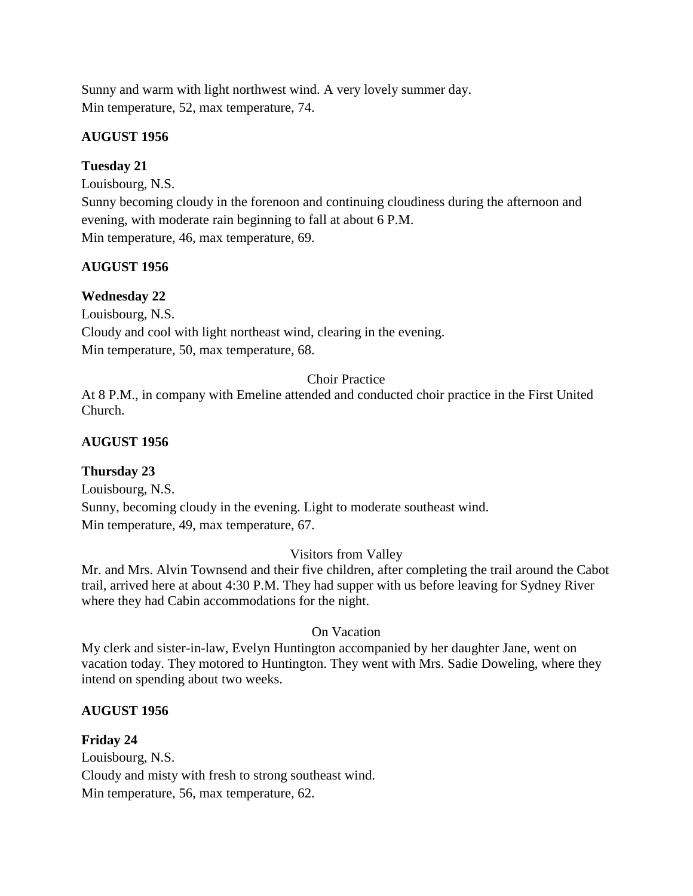Sunny and warm with light northwest wind. A very lovely summer day. Min temperature, 52, max temperature, 74.

## **AUGUST 1956**

## **Tuesday 21**

Louisbourg, N.S.

Sunny becoming cloudy in the forenoon and continuing cloudiness during the afternoon and evening, with moderate rain beginning to fall at about 6 P.M. Min temperature, 46, max temperature, 69.

## **AUGUST 1956**

**Wednesday 22** Louisbourg, N.S. Cloudy and cool with light northeast wind, clearing in the evening. Min temperature, 50, max temperature, 68.

## Choir Practice

At 8 P.M., in company with Emeline attended and conducted choir practice in the First United Church.

## **AUGUST 1956**

## **Thursday 23**

Louisbourg, N.S. Sunny, becoming cloudy in the evening. Light to moderate southeast wind. Min temperature, 49, max temperature, 67.

## Visitors from Valley

Mr. and Mrs. Alvin Townsend and their five children, after completing the trail around the Cabot trail, arrived here at about 4:30 P.M. They had supper with us before leaving for Sydney River where they had Cabin accommodations for the night.

## On Vacation

My clerk and sister-in-law, Evelyn Huntington accompanied by her daughter Jane, went on vacation today. They motored to Huntington. They went with Mrs. Sadie Doweling, where they intend on spending about two weeks.

## **AUGUST 1956**

# **Friday 24**

Louisbourg, N.S. Cloudy and misty with fresh to strong southeast wind. Min temperature, 56, max temperature, 62.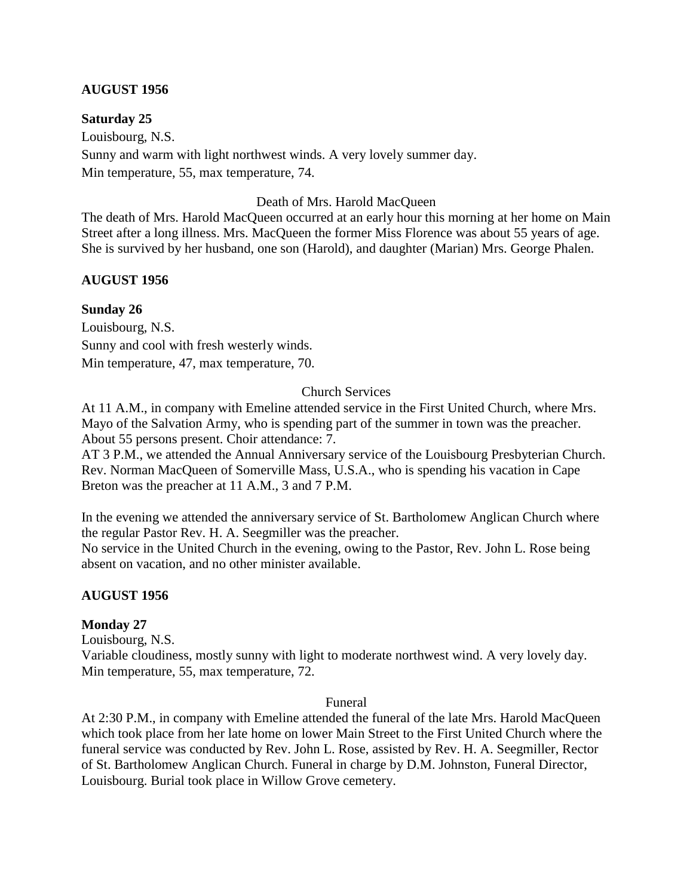#### **AUGUST 1956**

**Saturday 25**

Louisbourg, N.S. Sunny and warm with light northwest winds. A very lovely summer day. Min temperature, 55, max temperature, 74.

#### Death of Mrs. Harold MacQueen

The death of Mrs. Harold MacQueen occurred at an early hour this morning at her home on Main Street after a long illness. Mrs. MacQueen the former Miss Florence was about 55 years of age. She is survived by her husband, one son (Harold), and daughter (Marian) Mrs. George Phalen.

#### **AUGUST 1956**

#### **Sunday 26**

Louisbourg, N.S. Sunny and cool with fresh westerly winds. Min temperature, 47, max temperature, 70.

## Church Services

At 11 A.M., in company with Emeline attended service in the First United Church, where Mrs. Mayo of the Salvation Army, who is spending part of the summer in town was the preacher. About 55 persons present. Choir attendance: 7.

AT 3 P.M., we attended the Annual Anniversary service of the Louisbourg Presbyterian Church. Rev. Norman MacQueen of Somerville Mass, U.S.A., who is spending his vacation in Cape Breton was the preacher at 11 A.M., 3 and 7 P.M.

In the evening we attended the anniversary service of St. Bartholomew Anglican Church where the regular Pastor Rev. H. A. Seegmiller was the preacher.

No service in the United Church in the evening, owing to the Pastor, Rev. John L. Rose being absent on vacation, and no other minister available.

## **AUGUST 1956**

#### **Monday 27**

Louisbourg, N.S.

Variable cloudiness, mostly sunny with light to moderate northwest wind. A very lovely day. Min temperature, 55, max temperature, 72.

#### Funeral

At 2:30 P.M., in company with Emeline attended the funeral of the late Mrs. Harold MacQueen which took place from her late home on lower Main Street to the First United Church where the funeral service was conducted by Rev. John L. Rose, assisted by Rev. H. A. Seegmiller, Rector of St. Bartholomew Anglican Church. Funeral in charge by D.M. Johnston, Funeral Director, Louisbourg. Burial took place in Willow Grove cemetery.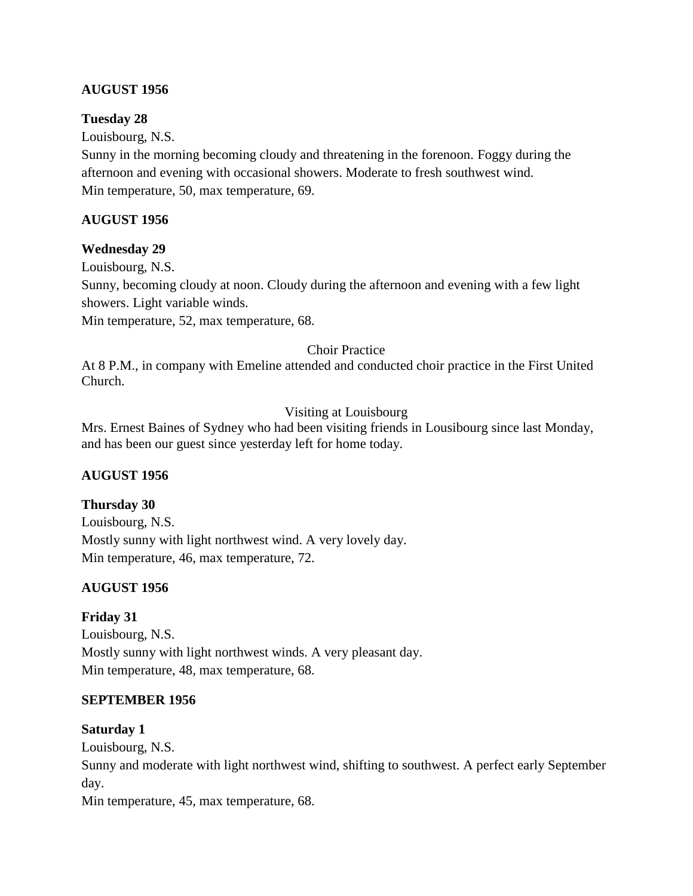## **AUGUST 1956**

#### **Tuesday 28**

Louisbourg, N.S.

Sunny in the morning becoming cloudy and threatening in the forenoon. Foggy during the afternoon and evening with occasional showers. Moderate to fresh southwest wind. Min temperature, 50, max temperature, 69.

## **AUGUST 1956**

#### **Wednesday 29**

Louisbourg, N.S.

Sunny, becoming cloudy at noon. Cloudy during the afternoon and evening with a few light showers. Light variable winds.

Min temperature, 52, max temperature, 68.

#### Choir Practice

At 8 P.M., in company with Emeline attended and conducted choir practice in the First United Church.

## Visiting at Louisbourg

Mrs. Ernest Baines of Sydney who had been visiting friends in Lousibourg since last Monday, and has been our guest since yesterday left for home today.

## **AUGUST 1956**

#### **Thursday 30**

Louisbourg, N.S. Mostly sunny with light northwest wind. A very lovely day. Min temperature, 46, max temperature, 72.

## **AUGUST 1956**

## **Friday 31**

Louisbourg, N.S. Mostly sunny with light northwest winds. A very pleasant day. Min temperature, 48, max temperature, 68.

## **SEPTEMBER 1956**

#### **Saturday 1**

Louisbourg, N.S.

Sunny and moderate with light northwest wind, shifting to southwest. A perfect early September day.

Min temperature, 45, max temperature, 68.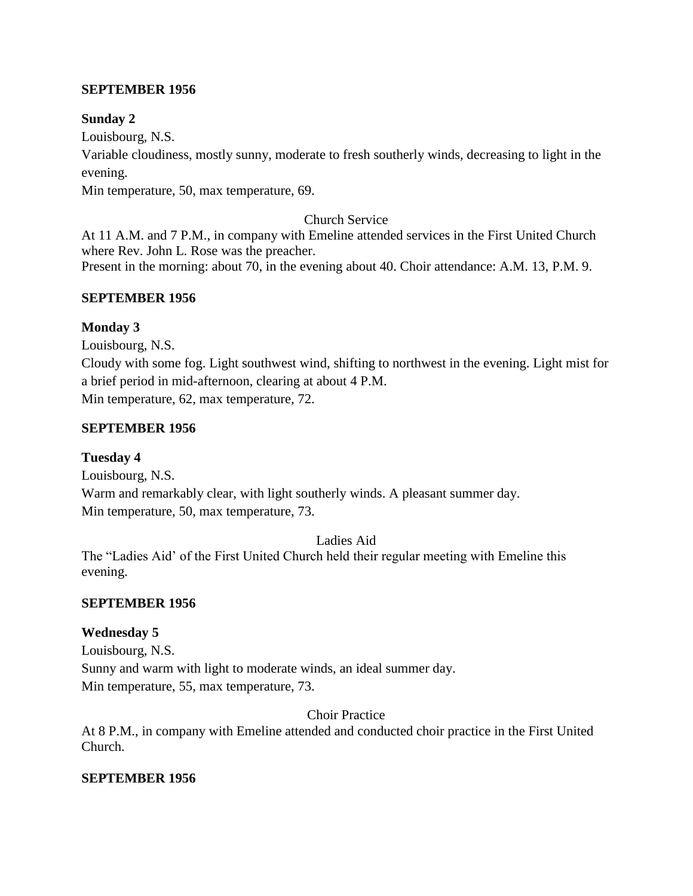#### **SEPTEMBER 1956**

#### **Sunday 2**

Louisbourg, N.S.

Variable cloudiness, mostly sunny, moderate to fresh southerly winds, decreasing to light in the evening.

Min temperature, 50, max temperature, 69.

#### Church Service

At 11 A.M. and 7 P.M., in company with Emeline attended services in the First United Church where Rev. John L. Rose was the preacher. Present in the morning: about 70, in the evening about 40. Choir attendance: A.M. 13, P.M. 9.

#### **SEPTEMBER 1956**

#### **Monday 3**

Louisbourg, N.S.

Cloudy with some fog. Light southwest wind, shifting to northwest in the evening. Light mist for a brief period in mid-afternoon, clearing at about 4 P.M. Min temperature, 62, max temperature, 72.

#### **SEPTEMBER 1956**

## **Tuesday 4**

Louisbourg, N.S. Warm and remarkably clear, with light southerly winds. A pleasant summer day. Min temperature, 50, max temperature, 73.

#### Ladies Aid

The "Ladies Aid' of the First United Church held their regular meeting with Emeline this evening.

## **SEPTEMBER 1956**

## **Wednesday 5**

Louisbourg, N.S. Sunny and warm with light to moderate winds, an ideal summer day. Min temperature, 55, max temperature, 73.

Choir Practice

At 8 P.M., in company with Emeline attended and conducted choir practice in the First United Church.

## **SEPTEMBER 1956**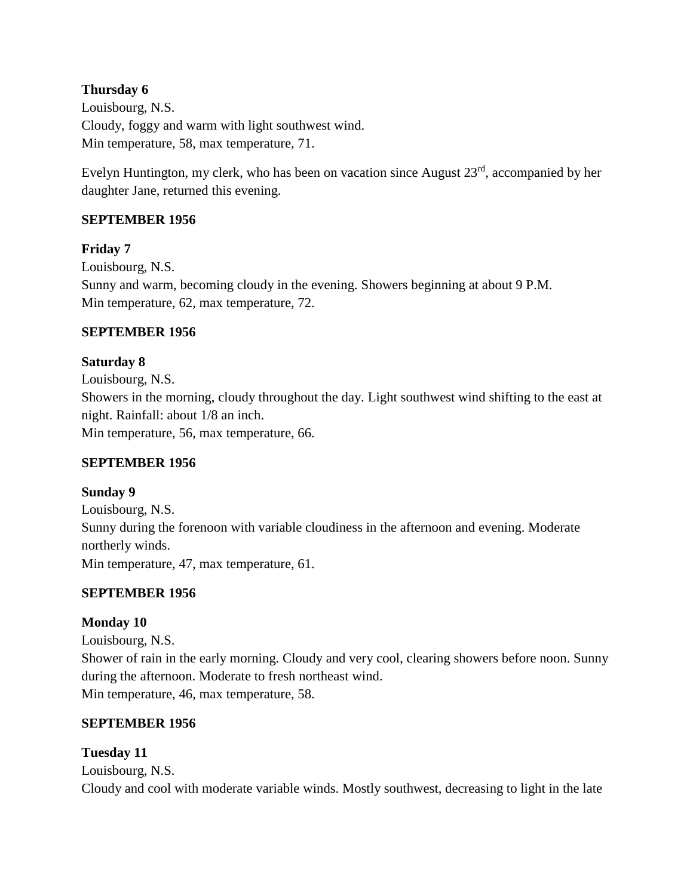## **Thursday 6**

Louisbourg, N.S. Cloudy, foggy and warm with light southwest wind. Min temperature, 58, max temperature, 71.

Evelyn Huntington, my clerk, who has been on vacation since August 23rd, accompanied by her daughter Jane, returned this evening.

## **SEPTEMBER 1956**

## **Friday 7**

Louisbourg, N.S. Sunny and warm, becoming cloudy in the evening. Showers beginning at about 9 P.M. Min temperature, 62, max temperature, 72.

## **SEPTEMBER 1956**

# **Saturday 8** Louisbourg, N.S. Showers in the morning, cloudy throughout the day. Light southwest wind shifting to the east at night. Rainfall: about 1/8 an inch. Min temperature, 56, max temperature, 66.

## **SEPTEMBER 1956**

## **Sunday 9**

Louisbourg, N.S. Sunny during the forenoon with variable cloudiness in the afternoon and evening. Moderate northerly winds. Min temperature, 47, max temperature, 61.

## **SEPTEMBER 1956**

## **Monday 10**

Louisbourg, N.S. Shower of rain in the early morning. Cloudy and very cool, clearing showers before noon. Sunny during the afternoon. Moderate to fresh northeast wind. Min temperature, 46, max temperature, 58.

## **SEPTEMBER 1956**

## **Tuesday 11**

Louisbourg, N.S. Cloudy and cool with moderate variable winds. Mostly southwest, decreasing to light in the late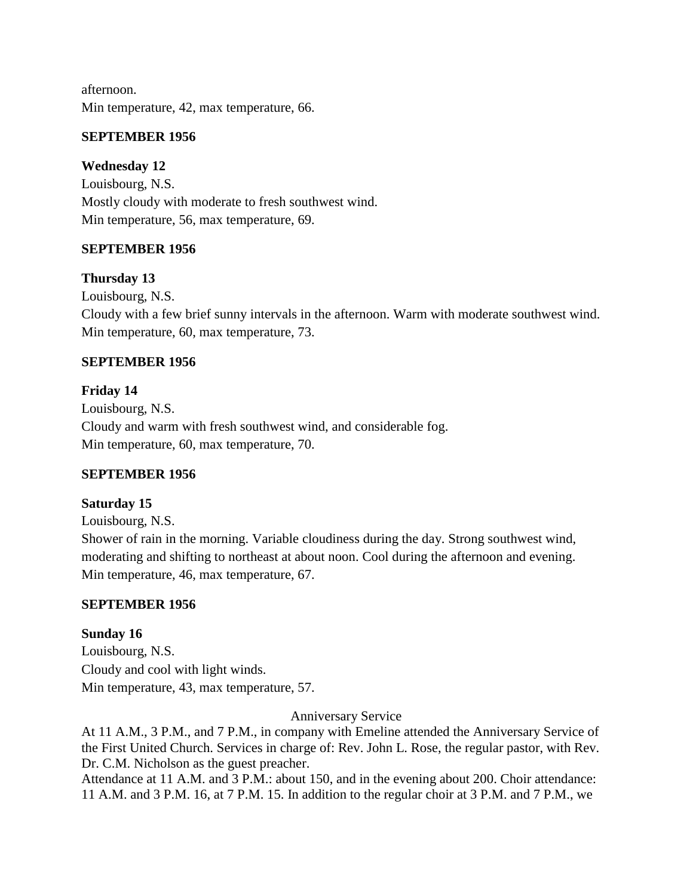afternoon. Min temperature, 42, max temperature, 66.

## **SEPTEMBER 1956**

## **Wednesday 12**

Louisbourg, N.S. Mostly cloudy with moderate to fresh southwest wind. Min temperature, 56, max temperature, 69.

## **SEPTEMBER 1956**

## **Thursday 13**

Louisbourg, N.S. Cloudy with a few brief sunny intervals in the afternoon. Warm with moderate southwest wind. Min temperature, 60, max temperature, 73.

## **SEPTEMBER 1956**

**Friday 14** Louisbourg, N.S. Cloudy and warm with fresh southwest wind, and considerable fog. Min temperature, 60, max temperature, 70.

## **SEPTEMBER 1956**

## **Saturday 15**

Louisbourg, N.S.

Shower of rain in the morning. Variable cloudiness during the day. Strong southwest wind, moderating and shifting to northeast at about noon. Cool during the afternoon and evening. Min temperature, 46, max temperature, 67.

## **SEPTEMBER 1956**

**Sunday 16** Louisbourg, N.S. Cloudy and cool with light winds. Min temperature, 43, max temperature, 57.

## Anniversary Service

At 11 A.M., 3 P.M., and 7 P.M., in company with Emeline attended the Anniversary Service of the First United Church. Services in charge of: Rev. John L. Rose, the regular pastor, with Rev. Dr. C.M. Nicholson as the guest preacher.

Attendance at 11 A.M. and 3 P.M.: about 150, and in the evening about 200. Choir attendance: 11 A.M. and 3 P.M. 16, at 7 P.M. 15. In addition to the regular choir at 3 P.M. and 7 P.M., we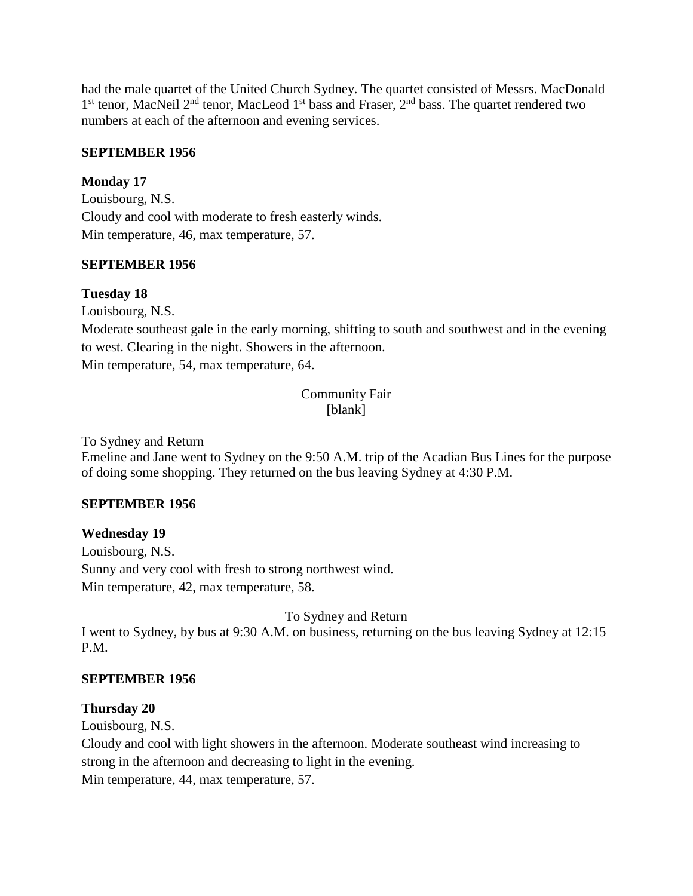had the male quartet of the United Church Sydney. The quartet consisted of Messrs. MacDonald 1<sup>st</sup> tenor, MacNeil 2<sup>nd</sup> tenor, MacLeod 1<sup>st</sup> bass and Fraser, 2<sup>nd</sup> bass. The quartet rendered two numbers at each of the afternoon and evening services.

## **SEPTEMBER 1956**

## **Monday 17**

Louisbourg, N.S. Cloudy and cool with moderate to fresh easterly winds. Min temperature, 46, max temperature, 57.

## **SEPTEMBER 1956**

## **Tuesday 18**

Louisbourg, N.S.

Moderate southeast gale in the early morning, shifting to south and southwest and in the evening to west. Clearing in the night. Showers in the afternoon. Min temperature, 54, max temperature, 64.

> Community Fair [blank]

To Sydney and Return

Emeline and Jane went to Sydney on the 9:50 A.M. trip of the Acadian Bus Lines for the purpose of doing some shopping. They returned on the bus leaving Sydney at 4:30 P.M.

## **SEPTEMBER 1956**

## **Wednesday 19**

Louisbourg, N.S. Sunny and very cool with fresh to strong northwest wind. Min temperature, 42, max temperature, 58.

To Sydney and Return

I went to Sydney, by bus at 9:30 A.M. on business, returning on the bus leaving Sydney at 12:15 P.M.

## **SEPTEMBER 1956**

## **Thursday 20**

Louisbourg, N.S.

Cloudy and cool with light showers in the afternoon. Moderate southeast wind increasing to strong in the afternoon and decreasing to light in the evening. Min temperature, 44, max temperature, 57.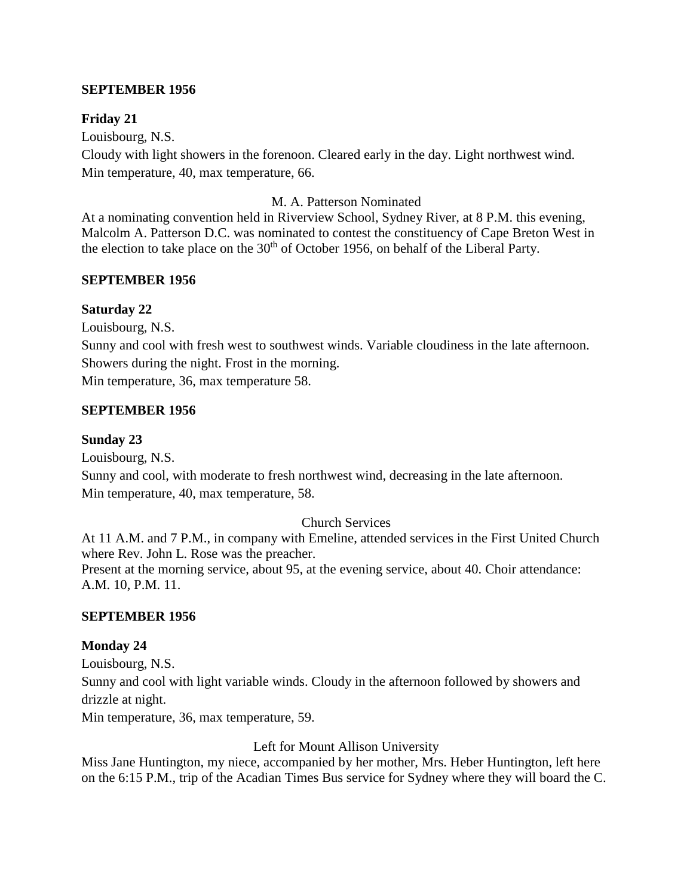#### **SEPTEMBER 1956**

#### **Friday 21**

Louisbourg, N.S. Cloudy with light showers in the forenoon. Cleared early in the day. Light northwest wind. Min temperature, 40, max temperature, 66.

#### M. A. Patterson Nominated

At a nominating convention held in Riverview School, Sydney River, at 8 P.M. this evening, Malcolm A. Patterson D.C. was nominated to contest the constituency of Cape Breton West in the election to take place on the  $30<sup>th</sup>$  of October 1956, on behalf of the Liberal Party.

#### **SEPTEMBER 1956**

#### **Saturday 22**

Louisbourg, N.S. Sunny and cool with fresh west to southwest winds. Variable cloudiness in the late afternoon. Showers during the night. Frost in the morning. Min temperature, 36, max temperature 58.

## **SEPTEMBER 1956**

#### **Sunday 23**

Louisbourg, N.S. Sunny and cool, with moderate to fresh northwest wind, decreasing in the late afternoon. Min temperature, 40, max temperature, 58.

#### Church Services

At 11 A.M. and 7 P.M., in company with Emeline, attended services in the First United Church where Rev. John L. Rose was the preacher. Present at the morning service, about 95, at the evening service, about 40. Choir attendance: A.M. 10, P.M. 11.

#### **SEPTEMBER 1956**

## **Monday 24**

Louisbourg, N.S. Sunny and cool with light variable winds. Cloudy in the afternoon followed by showers and drizzle at night.

Min temperature, 36, max temperature, 59.

Left for Mount Allison University

Miss Jane Huntington, my niece, accompanied by her mother, Mrs. Heber Huntington, left here on the 6:15 P.M., trip of the Acadian Times Bus service for Sydney where they will board the C.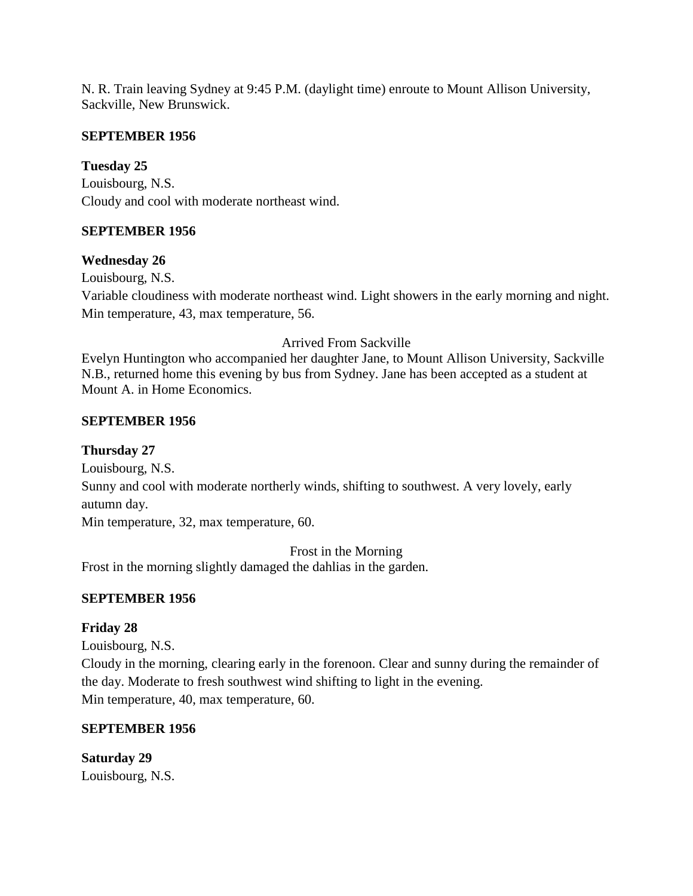N. R. Train leaving Sydney at 9:45 P.M. (daylight time) enroute to Mount Allison University, Sackville, New Brunswick.

#### **SEPTEMBER 1956**

## **Tuesday 25**

Louisbourg, N.S. Cloudy and cool with moderate northeast wind.

## **SEPTEMBER 1956**

#### **Wednesday 26**

Louisbourg, N.S. Variable cloudiness with moderate northeast wind. Light showers in the early morning and night. Min temperature, 43, max temperature, 56.

#### Arrived From Sackville

Evelyn Huntington who accompanied her daughter Jane, to Mount Allison University, Sackville N.B., returned home this evening by bus from Sydney. Jane has been accepted as a student at Mount A. in Home Economics.

#### **SEPTEMBER 1956**

#### **Thursday 27**

Louisbourg, N.S.

Sunny and cool with moderate northerly winds, shifting to southwest. A very lovely, early autumn day.

Min temperature, 32, max temperature, 60.

Frost in the Morning Frost in the morning slightly damaged the dahlias in the garden.

## **SEPTEMBER 1956**

## **Friday 28**

Louisbourg, N.S.

Cloudy in the morning, clearing early in the forenoon. Clear and sunny during the remainder of the day. Moderate to fresh southwest wind shifting to light in the evening. Min temperature, 40, max temperature, 60.

## **SEPTEMBER 1956**

**Saturday 29** Louisbourg, N.S.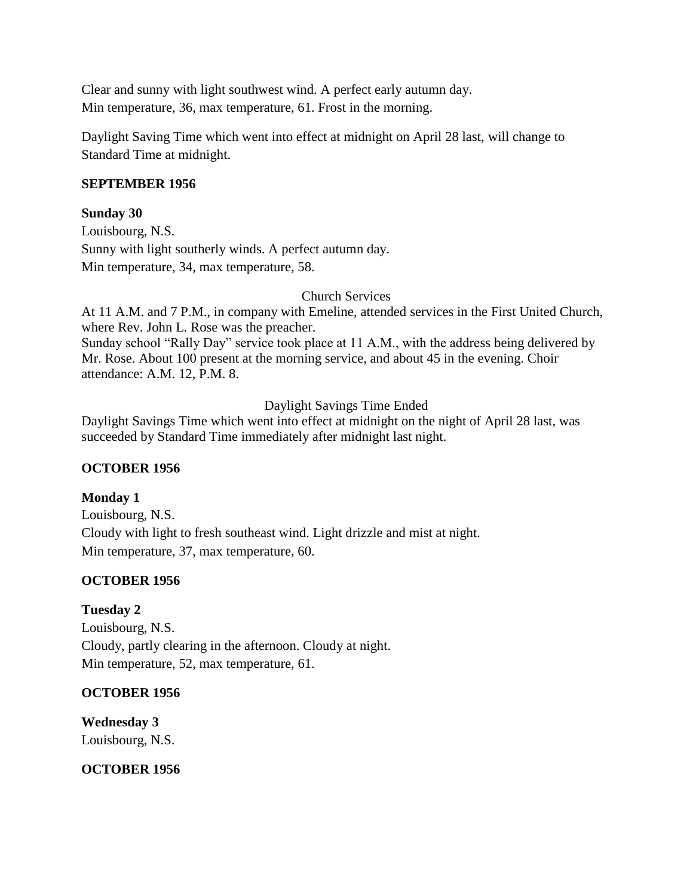Clear and sunny with light southwest wind. A perfect early autumn day. Min temperature, 36, max temperature, 61. Frost in the morning.

Daylight Saving Time which went into effect at midnight on April 28 last, will change to Standard Time at midnight.

#### **SEPTEMBER 1956**

#### **Sunday 30**

Louisbourg, N.S. Sunny with light southerly winds. A perfect autumn day. Min temperature, 34, max temperature, 58.

#### Church Services

At 11 A.M. and 7 P.M., in company with Emeline, attended services in the First United Church, where Rev. John L. Rose was the preacher.

Sunday school "Rally Day" service took place at 11 A.M., with the address being delivered by Mr. Rose. About 100 present at the morning service, and about 45 in the evening. Choir attendance: A.M. 12, P.M. 8.

Daylight Savings Time Ended

Daylight Savings Time which went into effect at midnight on the night of April 28 last, was succeeded by Standard Time immediately after midnight last night.

## **OCTOBER 1956**

## **Monday 1**

Louisbourg, N.S. Cloudy with light to fresh southeast wind. Light drizzle and mist at night. Min temperature, 37, max temperature, 60.

## **OCTOBER 1956**

## **Tuesday 2**

Louisbourg, N.S. Cloudy, partly clearing in the afternoon. Cloudy at night. Min temperature, 52, max temperature, 61.

## **OCTOBER 1956**

**Wednesday 3** Louisbourg, N.S.

#### **OCTOBER 1956**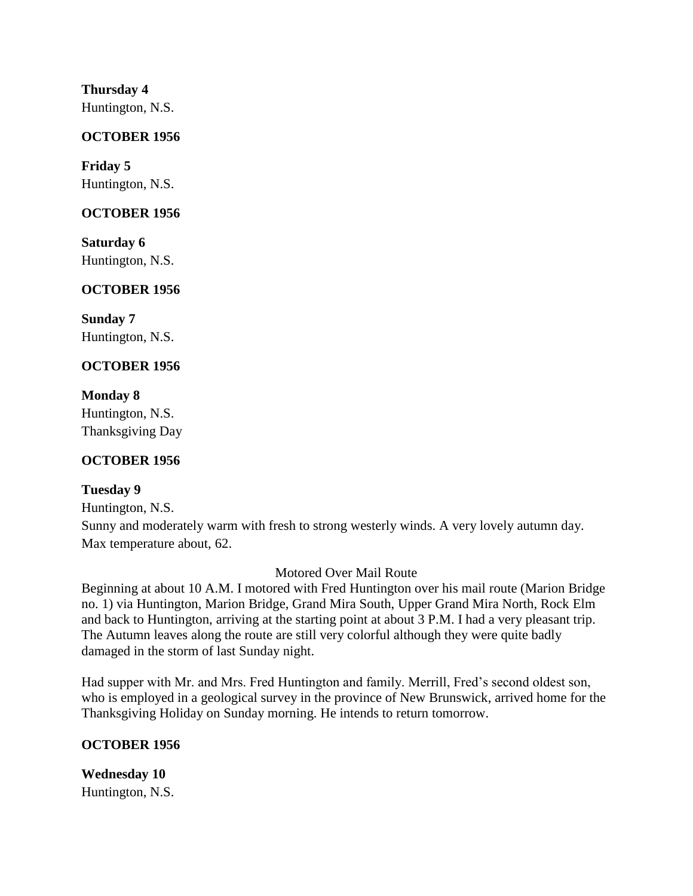**Thursday 4** Huntington, N.S.

#### **OCTOBER 1956**

**Friday 5** Huntington, N.S.

#### **OCTOBER 1956**

**Saturday 6** Huntington, N.S.

# **OCTOBER 1956**

**Sunday 7** Huntington, N.S.

# **OCTOBER 1956**

**Monday 8** Huntington, N.S. Thanksgiving Day

## **OCTOBER 1956**

## **Tuesday 9**

Huntington, N.S.

Sunny and moderately warm with fresh to strong westerly winds. A very lovely autumn day. Max temperature about, 62.

Motored Over Mail Route

Beginning at about 10 A.M. I motored with Fred Huntington over his mail route (Marion Bridge no. 1) via Huntington, Marion Bridge, Grand Mira South, Upper Grand Mira North, Rock Elm and back to Huntington, arriving at the starting point at about 3 P.M. I had a very pleasant trip. The Autumn leaves along the route are still very colorful although they were quite badly damaged in the storm of last Sunday night.

Had supper with Mr. and Mrs. Fred Huntington and family. Merrill, Fred's second oldest son, who is employed in a geological survey in the province of New Brunswick, arrived home for the Thanksgiving Holiday on Sunday morning. He intends to return tomorrow.

## **OCTOBER 1956**

**Wednesday 10** Huntington, N.S.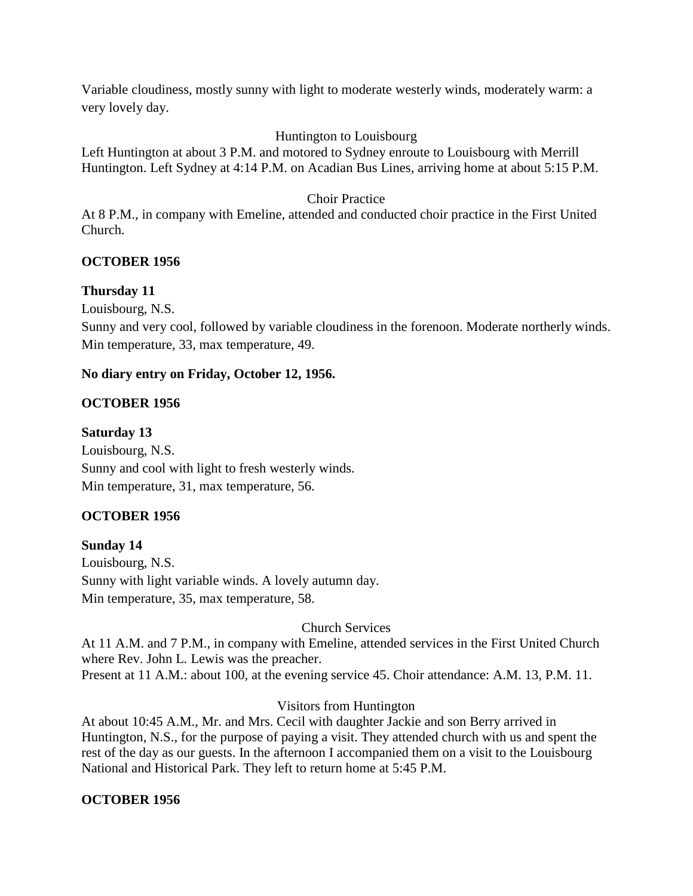Variable cloudiness, mostly sunny with light to moderate westerly winds, moderately warm: a very lovely day.

# Huntington to Louisbourg

Left Huntington at about 3 P.M. and motored to Sydney enroute to Louisbourg with Merrill Huntington. Left Sydney at 4:14 P.M. on Acadian Bus Lines, arriving home at about 5:15 P.M.

## Choir Practice

At 8 P.M., in company with Emeline, attended and conducted choir practice in the First United Church.

## **OCTOBER 1956**

## **Thursday 11**

Louisbourg, N.S.

Sunny and very cool, followed by variable cloudiness in the forenoon. Moderate northerly winds. Min temperature, 33, max temperature, 49.

#### **No diary entry on Friday, October 12, 1956.**

#### **OCTOBER 1956**

#### **Saturday 13**

Louisbourg, N.S. Sunny and cool with light to fresh westerly winds. Min temperature, 31, max temperature, 56.

## **OCTOBER 1956**

## **Sunday 14**

Louisbourg, N.S. Sunny with light variable winds. A lovely autumn day. Min temperature, 35, max temperature, 58.

Church Services

At 11 A.M. and 7 P.M., in company with Emeline, attended services in the First United Church where Rev. John L. Lewis was the preacher. Present at 11 A.M.: about 100, at the evening service 45. Choir attendance: A.M. 13, P.M. 11.

## Visitors from Huntington

At about 10:45 A.M., Mr. and Mrs. Cecil with daughter Jackie and son Berry arrived in Huntington, N.S., for the purpose of paying a visit. They attended church with us and spent the rest of the day as our guests. In the afternoon I accompanied them on a visit to the Louisbourg National and Historical Park. They left to return home at 5:45 P.M.

## **OCTOBER 1956**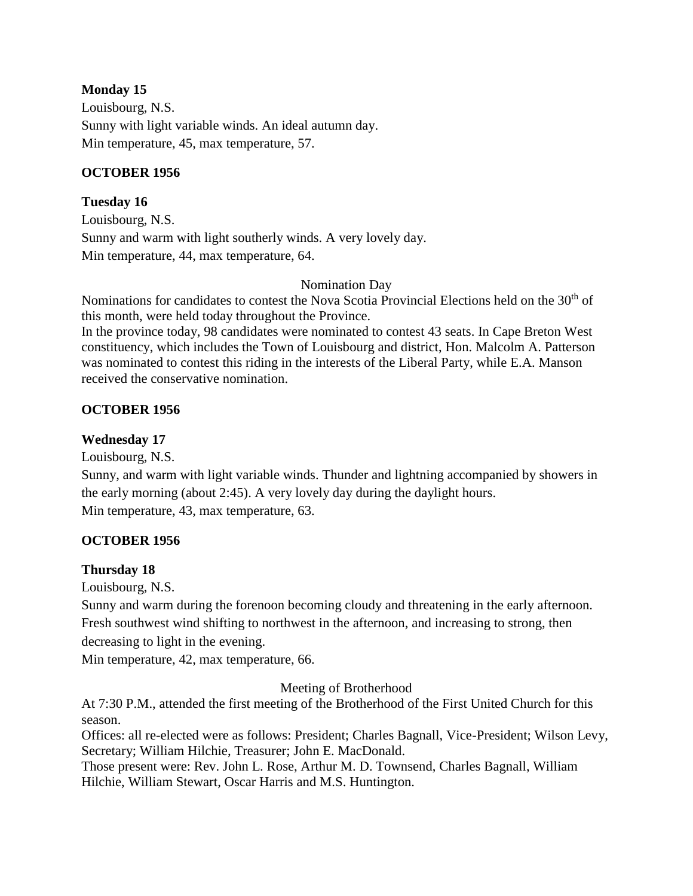#### **Monday 15**

Louisbourg, N.S. Sunny with light variable winds. An ideal autumn day. Min temperature, 45, max temperature, 57.

#### **OCTOBER 1956**

#### **Tuesday 16**

Louisbourg, N.S. Sunny and warm with light southerly winds. A very lovely day. Min temperature, 44, max temperature, 64.

#### Nomination Day

Nominations for candidates to contest the Nova Scotia Provincial Elections held on the 30<sup>th</sup> of this month, were held today throughout the Province.

In the province today, 98 candidates were nominated to contest 43 seats. In Cape Breton West constituency, which includes the Town of Louisbourg and district, Hon. Malcolm A. Patterson was nominated to contest this riding in the interests of the Liberal Party, while E.A. Manson received the conservative nomination.

## **OCTOBER 1956**

## **Wednesday 17**

Louisbourg, N.S.

Sunny, and warm with light variable winds. Thunder and lightning accompanied by showers in the early morning (about 2:45). A very lovely day during the daylight hours. Min temperature, 43, max temperature, 63.

## **OCTOBER 1956**

## **Thursday 18**

Louisbourg, N.S.

Sunny and warm during the forenoon becoming cloudy and threatening in the early afternoon. Fresh southwest wind shifting to northwest in the afternoon, and increasing to strong, then decreasing to light in the evening.

Min temperature, 42, max temperature, 66.

#### Meeting of Brotherhood

At 7:30 P.M., attended the first meeting of the Brotherhood of the First United Church for this season.

Offices: all re-elected were as follows: President; Charles Bagnall, Vice-President; Wilson Levy, Secretary; William Hilchie, Treasurer; John E. MacDonald.

Those present were: Rev. John L. Rose, Arthur M. D. Townsend, Charles Bagnall, William Hilchie, William Stewart, Oscar Harris and M.S. Huntington.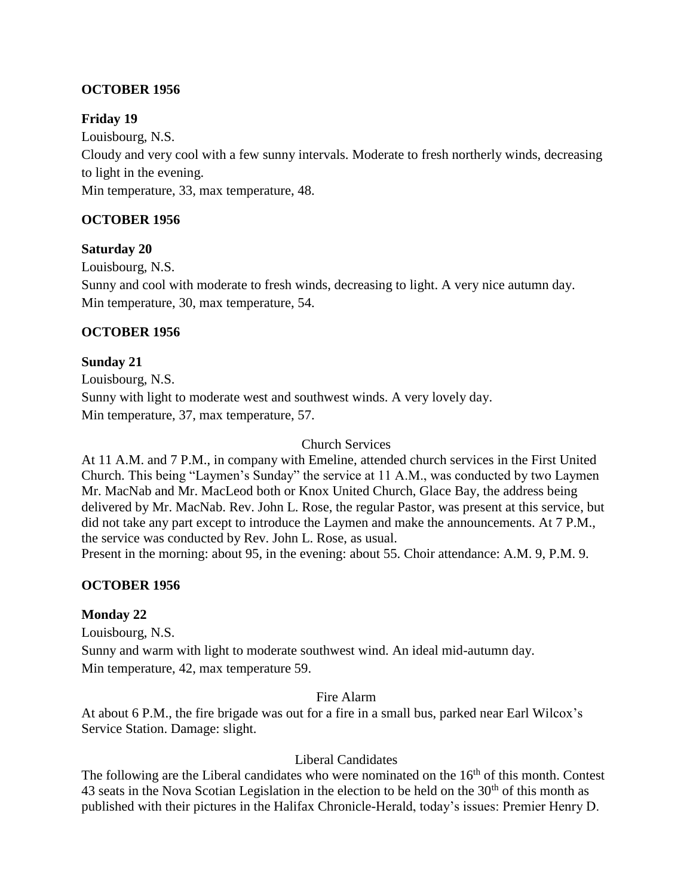# **OCTOBER 1956**

## **Friday 19**

Louisbourg, N.S. Cloudy and very cool with a few sunny intervals. Moderate to fresh northerly winds, decreasing to light in the evening. Min temperature, 33, max temperature, 48.

# **OCTOBER 1956**

## **Saturday 20**

Louisbourg, N.S.

Sunny and cool with moderate to fresh winds, decreasing to light. A very nice autumn day. Min temperature, 30, max temperature, 54.

## **OCTOBER 1956**

**Sunday 21** Louisbourg, N.S. Sunny with light to moderate west and southwest winds. A very lovely day. Min temperature, 37, max temperature, 57.

#### Church Services

At 11 A.M. and 7 P.M., in company with Emeline, attended church services in the First United Church. This being "Laymen's Sunday" the service at 11 A.M., was conducted by two Laymen Mr. MacNab and Mr. MacLeod both or Knox United Church, Glace Bay, the address being delivered by Mr. MacNab. Rev. John L. Rose, the regular Pastor, was present at this service, but did not take any part except to introduce the Laymen and make the announcements. At 7 P.M., the service was conducted by Rev. John L. Rose, as usual.

Present in the morning: about 95, in the evening: about 55. Choir attendance: A.M. 9, P.M. 9.

## **OCTOBER 1956**

## **Monday 22**

Louisbourg, N.S.

Sunny and warm with light to moderate southwest wind. An ideal mid-autumn day. Min temperature, 42, max temperature 59.

#### Fire Alarm

At about 6 P.M., the fire brigade was out for a fire in a small bus, parked near Earl Wilcox's Service Station. Damage: slight.

## Liberal Candidates

The following are the Liberal candidates who were nominated on the  $16<sup>th</sup>$  of this month. Contest 43 seats in the Nova Scotian Legislation in the election to be held on the  $30<sup>th</sup>$  of this month as published with their pictures in the Halifax Chronicle-Herald, today's issues: Premier Henry D.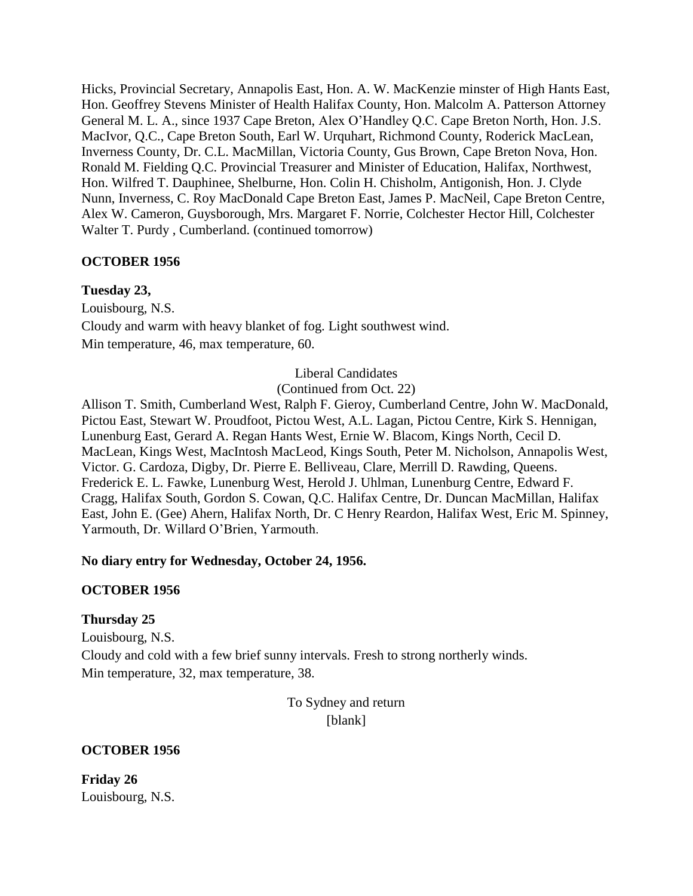Hicks, Provincial Secretary, Annapolis East, Hon. A. W. MacKenzie minster of High Hants East, Hon. Geoffrey Stevens Minister of Health Halifax County, Hon. Malcolm A. Patterson Attorney General M. L. A., since 1937 Cape Breton, Alex O'Handley Q.C. Cape Breton North, Hon. J.S. MacIvor, Q.C., Cape Breton South, Earl W. Urquhart, Richmond County, Roderick MacLean, Inverness County, Dr. C.L. MacMillan, Victoria County, Gus Brown, Cape Breton Nova, Hon. Ronald M. Fielding Q.C. Provincial Treasurer and Minister of Education, Halifax, Northwest, Hon. Wilfred T. Dauphinee, Shelburne, Hon. Colin H. Chisholm, Antigonish, Hon. J. Clyde Nunn, Inverness, C. Roy MacDonald Cape Breton East, James P. MacNeil, Cape Breton Centre, Alex W. Cameron, Guysborough, Mrs. Margaret F. Norrie, Colchester Hector Hill, Colchester Walter T. Purdy , Cumberland. (continued tomorrow)

## **OCTOBER 1956**

#### **Tuesday 23,**

Louisbourg, N.S. Cloudy and warm with heavy blanket of fog. Light southwest wind. Min temperature, 46, max temperature, 60.

Liberal Candidates

(Continued from Oct. 22)

Allison T. Smith, Cumberland West, Ralph F. Gieroy, Cumberland Centre, John W. MacDonald, Pictou East, Stewart W. Proudfoot, Pictou West, A.L. Lagan, Pictou Centre, Kirk S. Hennigan, Lunenburg East, Gerard A. Regan Hants West, Ernie W. Blacom, Kings North, Cecil D. MacLean, Kings West, MacIntosh MacLeod, Kings South, Peter M. Nicholson, Annapolis West, Victor. G. Cardoza, Digby, Dr. Pierre E. Belliveau, Clare, Merrill D. Rawding, Queens. Frederick E. L. Fawke, Lunenburg West, Herold J. Uhlman, Lunenburg Centre, Edward F. Cragg, Halifax South, Gordon S. Cowan, Q.C. Halifax Centre, Dr. Duncan MacMillan, Halifax East, John E. (Gee) Ahern, Halifax North, Dr. C Henry Reardon, Halifax West, Eric M. Spinney, Yarmouth, Dr. Willard O'Brien, Yarmouth.

#### **No diary entry for Wednesday, October 24, 1956.**

#### **OCTOBER 1956**

#### **Thursday 25**

Louisbourg, N.S. Cloudy and cold with a few brief sunny intervals. Fresh to strong northerly winds. Min temperature, 32, max temperature, 38.

> To Sydney and return [blank]

#### **OCTOBER 1956**

**Friday 26** Louisbourg, N.S.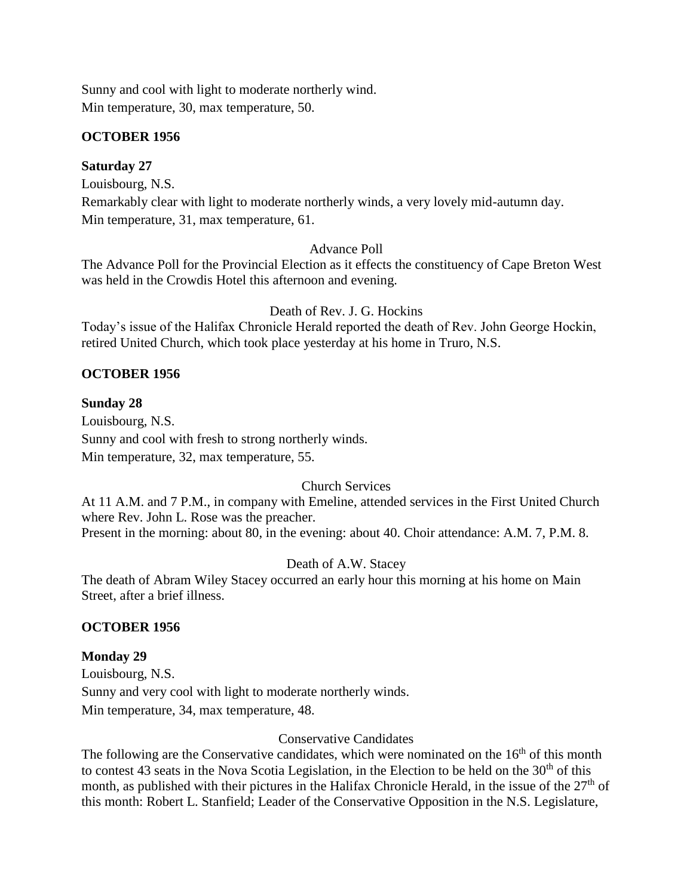Sunny and cool with light to moderate northerly wind. Min temperature, 30, max temperature, 50.

#### **OCTOBER 1956**

#### **Saturday 27**

Louisbourg, N.S.

Remarkably clear with light to moderate northerly winds, a very lovely mid-autumn day. Min temperature, 31, max temperature, 61.

#### Advance Poll

The Advance Poll for the Provincial Election as it effects the constituency of Cape Breton West was held in the Crowdis Hotel this afternoon and evening.

Death of Rev. J. G. Hockins

Today's issue of the Halifax Chronicle Herald reported the death of Rev. John George Hockin, retired United Church, which took place yesterday at his home in Truro, N.S.

# **OCTOBER 1956**

## **Sunday 28**

Louisbourg, N.S. Sunny and cool with fresh to strong northerly winds. Min temperature, 32, max temperature, 55.

## Church Services

At 11 A.M. and 7 P.M., in company with Emeline, attended services in the First United Church where Rev. John L. Rose was the preacher. Present in the morning: about 80, in the evening: about 40. Choir attendance: A.M. 7, P.M. 8.

## Death of A.W. Stacey

The death of Abram Wiley Stacey occurred an early hour this morning at his home on Main Street, after a brief illness.

## **OCTOBER 1956**

## **Monday 29**

Louisbourg, N.S. Sunny and very cool with light to moderate northerly winds. Min temperature, 34, max temperature, 48.

## Conservative Candidates

The following are the Conservative candidates, which were nominated on the  $16<sup>th</sup>$  of this month to contest 43 seats in the Nova Scotia Legislation, in the Election to be held on the  $30<sup>th</sup>$  of this month, as published with their pictures in the Halifax Chronicle Herald, in the issue of the  $27<sup>th</sup>$  of this month: Robert L. Stanfield; Leader of the Conservative Opposition in the N.S. Legislature,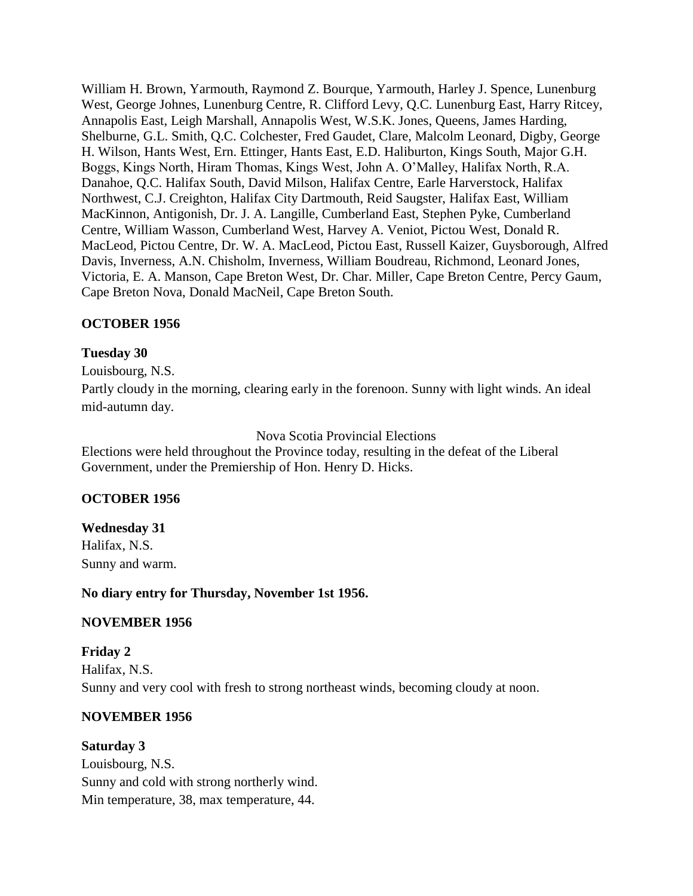William H. Brown, Yarmouth, Raymond Z. Bourque, Yarmouth, Harley J. Spence, Lunenburg West, George Johnes, Lunenburg Centre, R. Clifford Levy, Q.C. Lunenburg East, Harry Ritcey, Annapolis East, Leigh Marshall, Annapolis West, W.S.K. Jones, Queens, James Harding, Shelburne, G.L. Smith, Q.C. Colchester, Fred Gaudet, Clare, Malcolm Leonard, Digby, George H. Wilson, Hants West, Ern. Ettinger, Hants East, E.D. Haliburton, Kings South, Major G.H. Boggs, Kings North, Hiram Thomas, Kings West, John A. O'Malley, Halifax North, R.A. Danahoe, Q.C. Halifax South, David Milson, Halifax Centre, Earle Harverstock, Halifax Northwest, C.J. Creighton, Halifax City Dartmouth, Reid Saugster, Halifax East, William MacKinnon, Antigonish, Dr. J. A. Langille, Cumberland East, Stephen Pyke, Cumberland Centre, William Wasson, Cumberland West, Harvey A. Veniot, Pictou West, Donald R. MacLeod, Pictou Centre, Dr. W. A. MacLeod, Pictou East, Russell Kaizer, Guysborough, Alfred Davis, Inverness, A.N. Chisholm, Inverness, William Boudreau, Richmond, Leonard Jones, Victoria, E. A. Manson, Cape Breton West, Dr. Char. Miller, Cape Breton Centre, Percy Gaum, Cape Breton Nova, Donald MacNeil, Cape Breton South.

## **OCTOBER 1956**

#### **Tuesday 30**

Louisbourg, N.S.

Partly cloudy in the morning, clearing early in the forenoon. Sunny with light winds. An ideal mid-autumn day.

## Nova Scotia Provincial Elections

Elections were held throughout the Province today, resulting in the defeat of the Liberal Government, under the Premiership of Hon. Henry D. Hicks.

## **OCTOBER 1956**

**Wednesday 31** Halifax, N.S. Sunny and warm.

**No diary entry for Thursday, November 1st 1956.**

## **NOVEMBER 1956**

**Friday 2** Halifax, N.S. Sunny and very cool with fresh to strong northeast winds, becoming cloudy at noon.

## **NOVEMBER 1956**

**Saturday 3** Louisbourg, N.S. Sunny and cold with strong northerly wind. Min temperature, 38, max temperature, 44.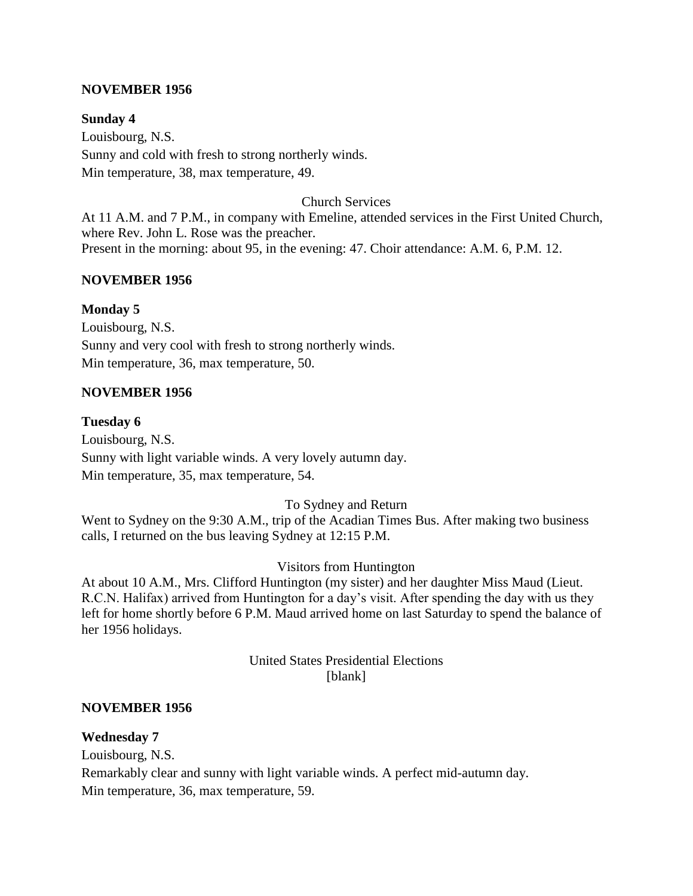#### **NOVEMBER 1956**

**Sunday 4** Louisbourg, N.S. Sunny and cold with fresh to strong northerly winds. Min temperature, 38, max temperature, 49.

Church Services

At 11 A.M. and 7 P.M., in company with Emeline, attended services in the First United Church, where Rev. John L. Rose was the preacher. Present in the morning: about 95, in the evening: 47. Choir attendance: A.M. 6, P.M. 12.

#### **NOVEMBER 1956**

#### **Monday 5**

Louisbourg, N.S. Sunny and very cool with fresh to strong northerly winds. Min temperature, 36, max temperature, 50.

#### **NOVEMBER 1956**

#### **Tuesday 6**

Louisbourg, N.S. Sunny with light variable winds. A very lovely autumn day. Min temperature, 35, max temperature, 54.

To Sydney and Return

Went to Sydney on the 9:30 A.M., trip of the Acadian Times Bus. After making two business calls, I returned on the bus leaving Sydney at 12:15 P.M.

#### Visitors from Huntington

At about 10 A.M., Mrs. Clifford Huntington (my sister) and her daughter Miss Maud (Lieut. R.C.N. Halifax) arrived from Huntington for a day's visit. After spending the day with us they left for home shortly before 6 P.M. Maud arrived home on last Saturday to spend the balance of her 1956 holidays.

> United States Presidential Elections [blank]

#### **NOVEMBER 1956**

#### **Wednesday 7**

Louisbourg, N.S.

Remarkably clear and sunny with light variable winds. A perfect mid-autumn day. Min temperature, 36, max temperature, 59.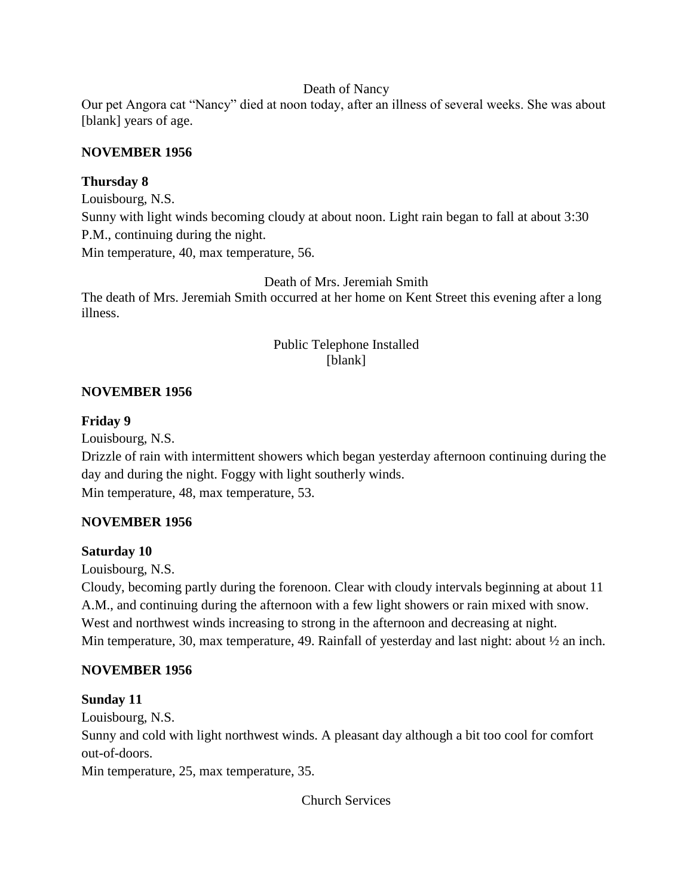#### Death of Nancy

Our pet Angora cat "Nancy" died at noon today, after an illness of several weeks. She was about [blank] years of age.

## **NOVEMBER 1956**

## **Thursday 8**

Louisbourg, N.S. Sunny with light winds becoming cloudy at about noon. Light rain began to fall at about 3:30 P.M., continuing during the night. Min temperature, 40, max temperature, 56.

Death of Mrs. Jeremiah Smith

The death of Mrs. Jeremiah Smith occurred at her home on Kent Street this evening after a long illness.

# Public Telephone Installed [blank]

# **NOVEMBER 1956**

## **Friday 9**

Louisbourg, N.S.

Drizzle of rain with intermittent showers which began yesterday afternoon continuing during the day and during the night. Foggy with light southerly winds. Min temperature, 48, max temperature, 53.

# **NOVEMBER 1956**

## **Saturday 10**

Louisbourg, N.S.

Cloudy, becoming partly during the forenoon. Clear with cloudy intervals beginning at about 11 A.M., and continuing during the afternoon with a few light showers or rain mixed with snow. West and northwest winds increasing to strong in the afternoon and decreasing at night. Min temperature, 30, max temperature, 49. Rainfall of yesterday and last night: about  $\frac{1}{2}$  an inch.

# **NOVEMBER 1956**

## **Sunday 11**

Louisbourg, N.S.

Sunny and cold with light northwest winds. A pleasant day although a bit too cool for comfort out-of-doors.

Min temperature, 25, max temperature, 35.

Church Services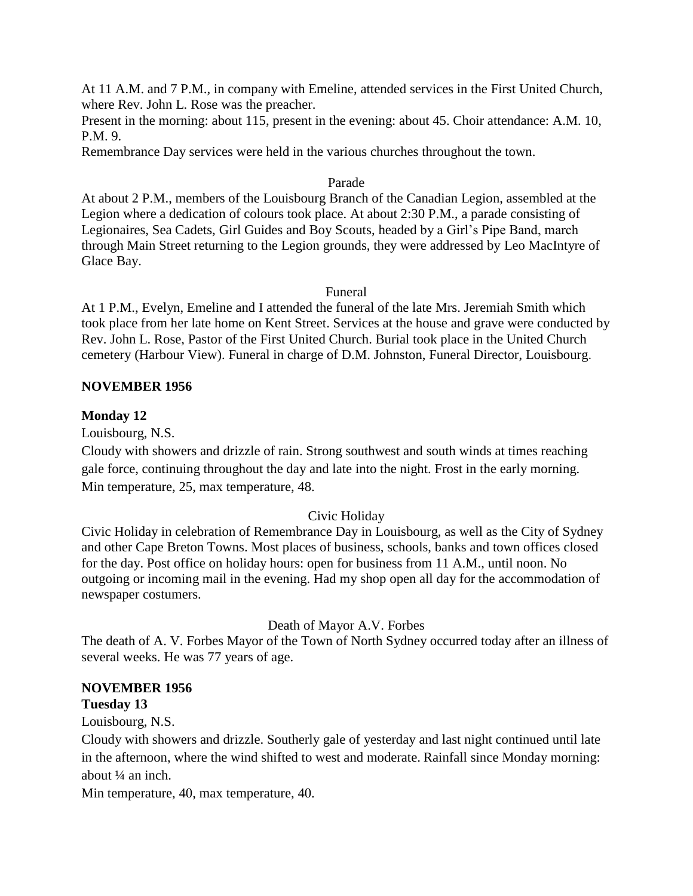At 11 A.M. and 7 P.M., in company with Emeline, attended services in the First United Church, where Rev. John L. Rose was the preacher.

Present in the morning: about 115, present in the evening: about 45. Choir attendance: A.M. 10, P.M. 9.

Remembrance Day services were held in the various churches throughout the town.

#### Parade

At about 2 P.M., members of the Louisbourg Branch of the Canadian Legion, assembled at the Legion where a dedication of colours took place. At about 2:30 P.M., a parade consisting of Legionaires, Sea Cadets, Girl Guides and Boy Scouts, headed by a Girl's Pipe Band, march through Main Street returning to the Legion grounds, they were addressed by Leo MacIntyre of Glace Bay.

#### Funeral

At 1 P.M., Evelyn, Emeline and I attended the funeral of the late Mrs. Jeremiah Smith which took place from her late home on Kent Street. Services at the house and grave were conducted by Rev. John L. Rose, Pastor of the First United Church. Burial took place in the United Church cemetery (Harbour View). Funeral in charge of D.M. Johnston, Funeral Director, Louisbourg.

#### **NOVEMBER 1956**

#### **Monday 12**

Louisbourg, N.S.

Cloudy with showers and drizzle of rain. Strong southwest and south winds at times reaching gale force, continuing throughout the day and late into the night. Frost in the early morning. Min temperature, 25, max temperature, 48.

## Civic Holiday

Civic Holiday in celebration of Remembrance Day in Louisbourg, as well as the City of Sydney and other Cape Breton Towns. Most places of business, schools, banks and town offices closed for the day. Post office on holiday hours: open for business from 11 A.M., until noon. No outgoing or incoming mail in the evening. Had my shop open all day for the accommodation of newspaper costumers.

#### Death of Mayor A.V. Forbes

The death of A. V. Forbes Mayor of the Town of North Sydney occurred today after an illness of several weeks. He was 77 years of age.

## **NOVEMBER 1956**

## **Tuesday 13**

Louisbourg, N.S.

Cloudy with showers and drizzle. Southerly gale of yesterday and last night continued until late in the afternoon, where the wind shifted to west and moderate. Rainfall since Monday morning: about ¼ an inch.

Min temperature, 40, max temperature, 40.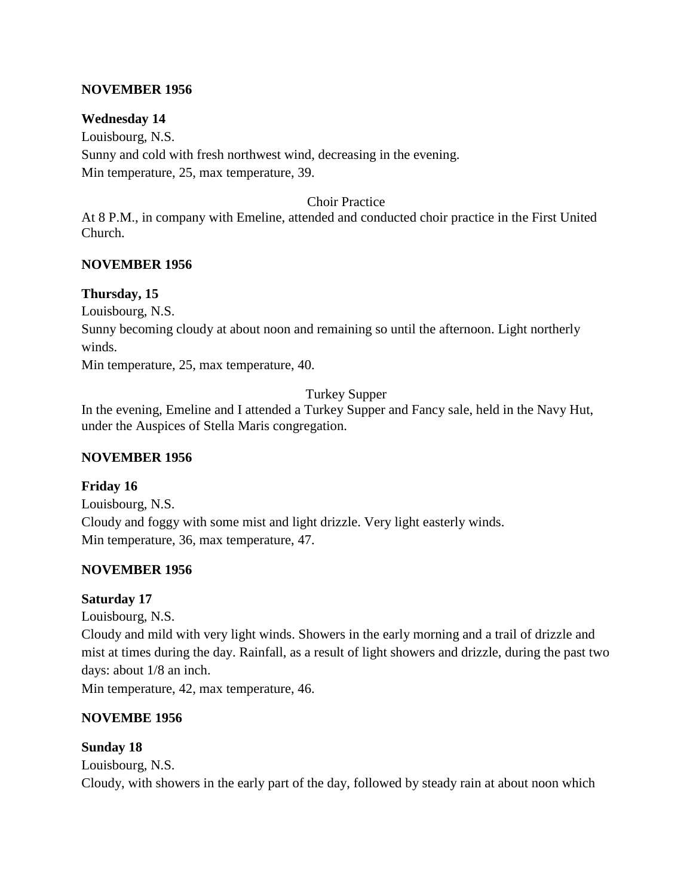#### **NOVEMBER 1956**

#### **Wednesday 14**

Louisbourg, N.S. Sunny and cold with fresh northwest wind, decreasing in the evening. Min temperature, 25, max temperature, 39.

#### Choir Practice

At 8 P.M., in company with Emeline, attended and conducted choir practice in the First United Church.

#### **NOVEMBER 1956**

#### **Thursday, 15**

Louisbourg, N.S.

Sunny becoming cloudy at about noon and remaining so until the afternoon. Light northerly winds.

Min temperature, 25, max temperature, 40.

## Turkey Supper

In the evening, Emeline and I attended a Turkey Supper and Fancy sale, held in the Navy Hut, under the Auspices of Stella Maris congregation.

#### **NOVEMBER 1956**

#### **Friday 16**

Louisbourg, N.S. Cloudy and foggy with some mist and light drizzle. Very light easterly winds. Min temperature, 36, max temperature, 47.

## **NOVEMBER 1956**

#### **Saturday 17**

Louisbourg, N.S.

Cloudy and mild with very light winds. Showers in the early morning and a trail of drizzle and mist at times during the day. Rainfall, as a result of light showers and drizzle, during the past two days: about 1/8 an inch.

Min temperature, 42, max temperature, 46.

#### **NOVEMBE 1956**

#### **Sunday 18**

Louisbourg, N.S. Cloudy, with showers in the early part of the day, followed by steady rain at about noon which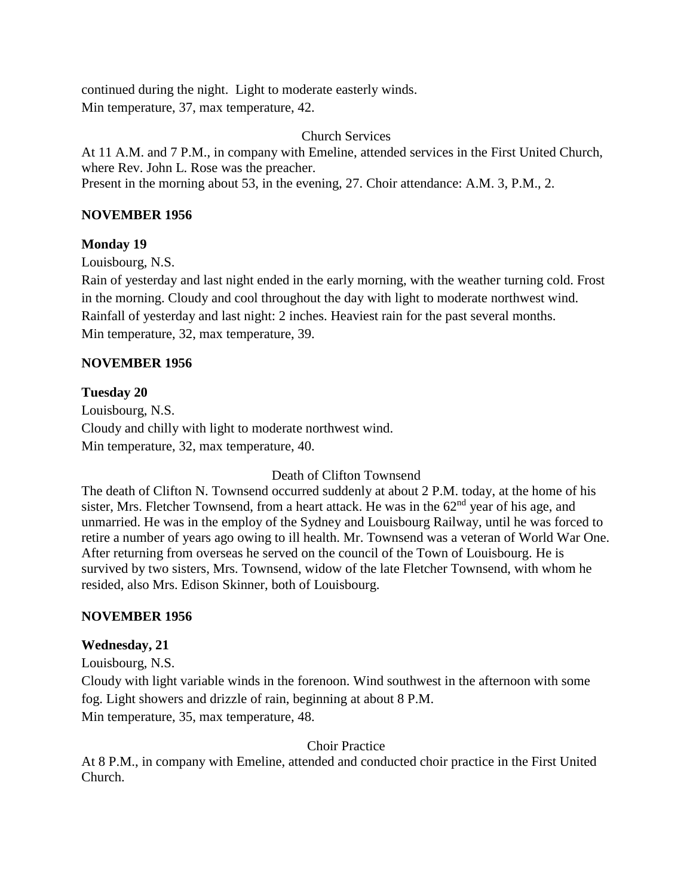continued during the night. Light to moderate easterly winds. Min temperature, 37, max temperature, 42.

Church Services

At 11 A.M. and 7 P.M., in company with Emeline, attended services in the First United Church, where Rev. John L. Rose was the preacher. Present in the morning about 53, in the evening, 27. Choir attendance: A.M. 3, P.M., 2.

## **NOVEMBER 1956**

## **Monday 19**

Louisbourg, N.S.

Rain of yesterday and last night ended in the early morning, with the weather turning cold. Frost in the morning. Cloudy and cool throughout the day with light to moderate northwest wind. Rainfall of yesterday and last night: 2 inches. Heaviest rain for the past several months. Min temperature, 32, max temperature, 39.

## **NOVEMBER 1956**

## **Tuesday 20**

Louisbourg, N.S. Cloudy and chilly with light to moderate northwest wind. Min temperature, 32, max temperature, 40.

## Death of Clifton Townsend

The death of Clifton N. Townsend occurred suddenly at about 2 P.M. today, at the home of his sister, Mrs. Fletcher Townsend, from a heart attack. He was in the  $62<sup>nd</sup>$  year of his age, and unmarried. He was in the employ of the Sydney and Louisbourg Railway, until he was forced to retire a number of years ago owing to ill health. Mr. Townsend was a veteran of World War One. After returning from overseas he served on the council of the Town of Louisbourg. He is survived by two sisters, Mrs. Townsend, widow of the late Fletcher Townsend, with whom he resided, also Mrs. Edison Skinner, both of Louisbourg.

## **NOVEMBER 1956**

## **Wednesday, 21**

Louisbourg, N.S.

Cloudy with light variable winds in the forenoon. Wind southwest in the afternoon with some fog. Light showers and drizzle of rain, beginning at about 8 P.M. Min temperature, 35, max temperature, 48.

## Choir Practice

At 8 P.M., in company with Emeline, attended and conducted choir practice in the First United Church.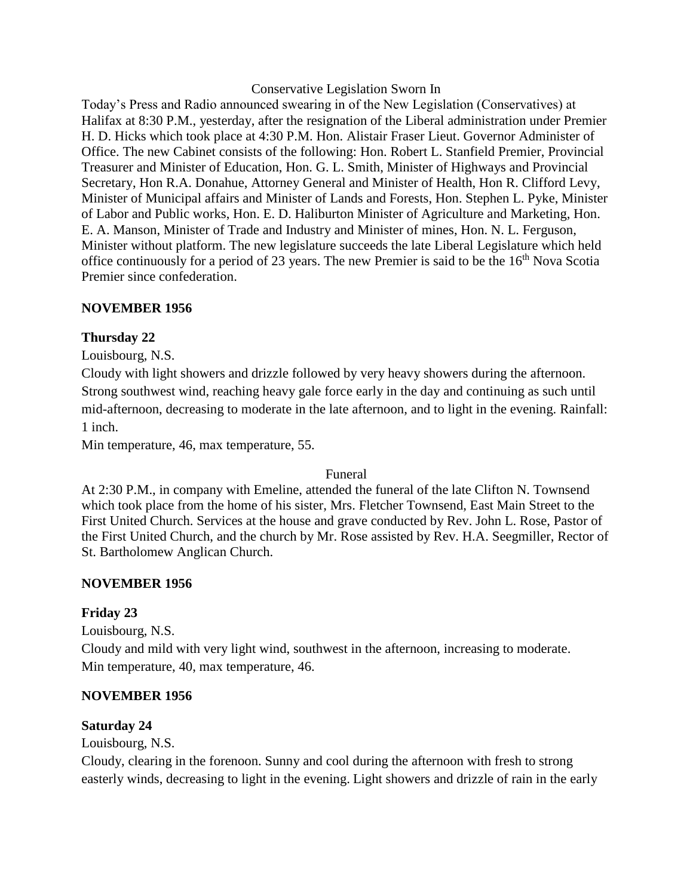#### Conservative Legislation Sworn In

Today's Press and Radio announced swearing in of the New Legislation (Conservatives) at Halifax at 8:30 P.M., yesterday, after the resignation of the Liberal administration under Premier H. D. Hicks which took place at 4:30 P.M. Hon. Alistair Fraser Lieut. Governor Administer of Office. The new Cabinet consists of the following: Hon. Robert L. Stanfield Premier, Provincial Treasurer and Minister of Education, Hon. G. L. Smith, Minister of Highways and Provincial Secretary, Hon R.A. Donahue, Attorney General and Minister of Health, Hon R. Clifford Levy, Minister of Municipal affairs and Minister of Lands and Forests, Hon. Stephen L. Pyke, Minister of Labor and Public works, Hon. E. D. Haliburton Minister of Agriculture and Marketing, Hon. E. A. Manson, Minister of Trade and Industry and Minister of mines, Hon. N. L. Ferguson, Minister without platform. The new legislature succeeds the late Liberal Legislature which held office continuously for a period of 23 years. The new Premier is said to be the  $16<sup>th</sup>$  Nova Scotia Premier since confederation.

#### **NOVEMBER 1956**

#### **Thursday 22**

Louisbourg, N.S.

Cloudy with light showers and drizzle followed by very heavy showers during the afternoon. Strong southwest wind, reaching heavy gale force early in the day and continuing as such until mid-afternoon, decreasing to moderate in the late afternoon, and to light in the evening. Rainfall: 1 inch.

Min temperature, 46, max temperature, 55.

#### Funeral

At 2:30 P.M., in company with Emeline, attended the funeral of the late Clifton N. Townsend which took place from the home of his sister, Mrs. Fletcher Townsend, East Main Street to the First United Church. Services at the house and grave conducted by Rev. John L. Rose, Pastor of the First United Church, and the church by Mr. Rose assisted by Rev. H.A. Seegmiller, Rector of St. Bartholomew Anglican Church.

#### **NOVEMBER 1956**

#### **Friday 23**

Louisbourg, N.S. Cloudy and mild with very light wind, southwest in the afternoon, increasing to moderate. Min temperature, 40, max temperature, 46.

#### **NOVEMBER 1956**

#### **Saturday 24**

Louisbourg, N.S.

Cloudy, clearing in the forenoon. Sunny and cool during the afternoon with fresh to strong easterly winds, decreasing to light in the evening. Light showers and drizzle of rain in the early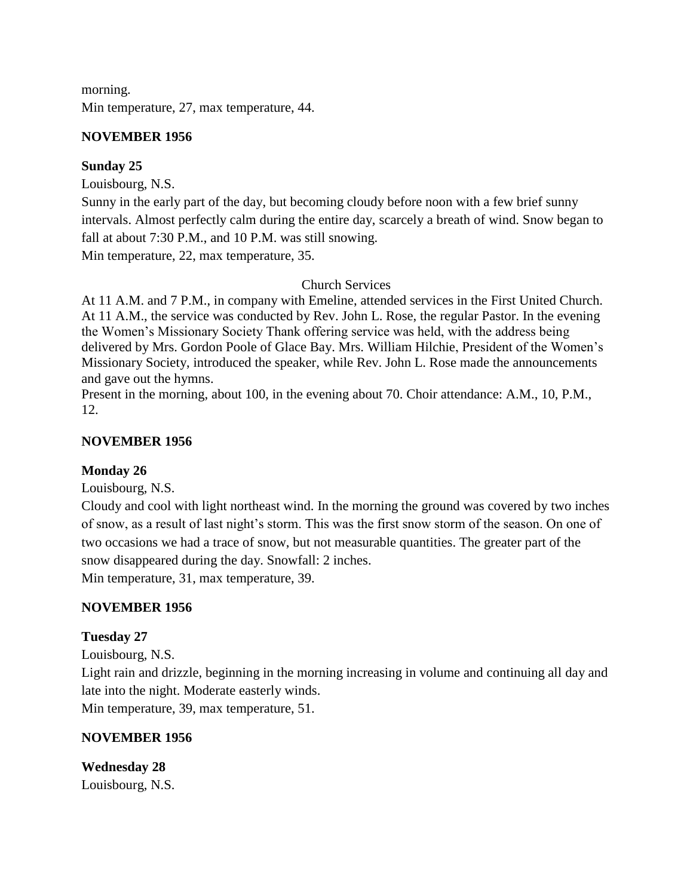morning. Min temperature, 27, max temperature, 44.

## **NOVEMBER 1956**

# **Sunday 25**

Louisbourg, N.S.

Sunny in the early part of the day, but becoming cloudy before noon with a few brief sunny intervals. Almost perfectly calm during the entire day, scarcely a breath of wind. Snow began to fall at about 7:30 P.M., and 10 P.M. was still snowing.

Min temperature, 22, max temperature, 35.

## Church Services

At 11 A.M. and 7 P.M., in company with Emeline, attended services in the First United Church. At 11 A.M., the service was conducted by Rev. John L. Rose, the regular Pastor. In the evening the Women's Missionary Society Thank offering service was held, with the address being delivered by Mrs. Gordon Poole of Glace Bay. Mrs. William Hilchie, President of the Women's Missionary Society, introduced the speaker, while Rev. John L. Rose made the announcements and gave out the hymns.

Present in the morning, about 100, in the evening about 70. Choir attendance: A.M., 10, P.M., 12.

## **NOVEMBER 1956**

## **Monday 26**

Louisbourg, N.S.

Cloudy and cool with light northeast wind. In the morning the ground was covered by two inches of snow, as a result of last night's storm. This was the first snow storm of the season. On one of two occasions we had a trace of snow, but not measurable quantities. The greater part of the snow disappeared during the day. Snowfall: 2 inches.

Min temperature, 31, max temperature, 39.

## **NOVEMBER 1956**

## **Tuesday 27**

Louisbourg, N.S.

Light rain and drizzle, beginning in the morning increasing in volume and continuing all day and late into the night. Moderate easterly winds.

Min temperature, 39, max temperature, 51.

## **NOVEMBER 1956**

**Wednesday 28** Louisbourg, N.S.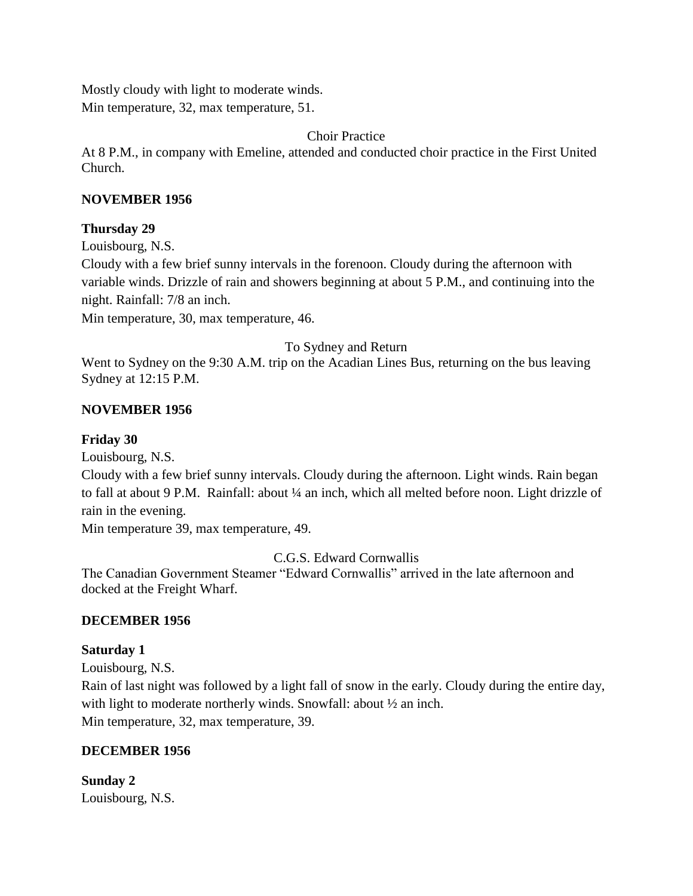Mostly cloudy with light to moderate winds. Min temperature, 32, max temperature, 51.

Choir Practice

At 8 P.M., in company with Emeline, attended and conducted choir practice in the First United Church.

#### **NOVEMBER 1956**

#### **Thursday 29**

Louisbourg, N.S.

Cloudy with a few brief sunny intervals in the forenoon. Cloudy during the afternoon with variable winds. Drizzle of rain and showers beginning at about 5 P.M., and continuing into the night. Rainfall: 7/8 an inch.

Min temperature, 30, max temperature, 46.

#### To Sydney and Return

Went to Sydney on the 9:30 A.M. trip on the Acadian Lines Bus, returning on the bus leaving Sydney at 12:15 P.M.

## **NOVEMBER 1956**

#### **Friday 30**

Louisbourg, N.S.

Cloudy with a few brief sunny intervals. Cloudy during the afternoon. Light winds. Rain began to fall at about 9 P.M. Rainfall: about ¼ an inch, which all melted before noon. Light drizzle of rain in the evening.

Min temperature 39, max temperature, 49.

C.G.S. Edward Cornwallis

The Canadian Government Steamer "Edward Cornwallis" arrived in the late afternoon and docked at the Freight Wharf.

## **DECEMBER 1956**

#### **Saturday 1**

Louisbourg, N.S.

Rain of last night was followed by a light fall of snow in the early. Cloudy during the entire day, with light to moderate northerly winds. Snowfall: about  $\frac{1}{2}$  an inch. Min temperature, 32, max temperature, 39.

#### **DECEMBER 1956**

**Sunday 2** Louisbourg, N.S.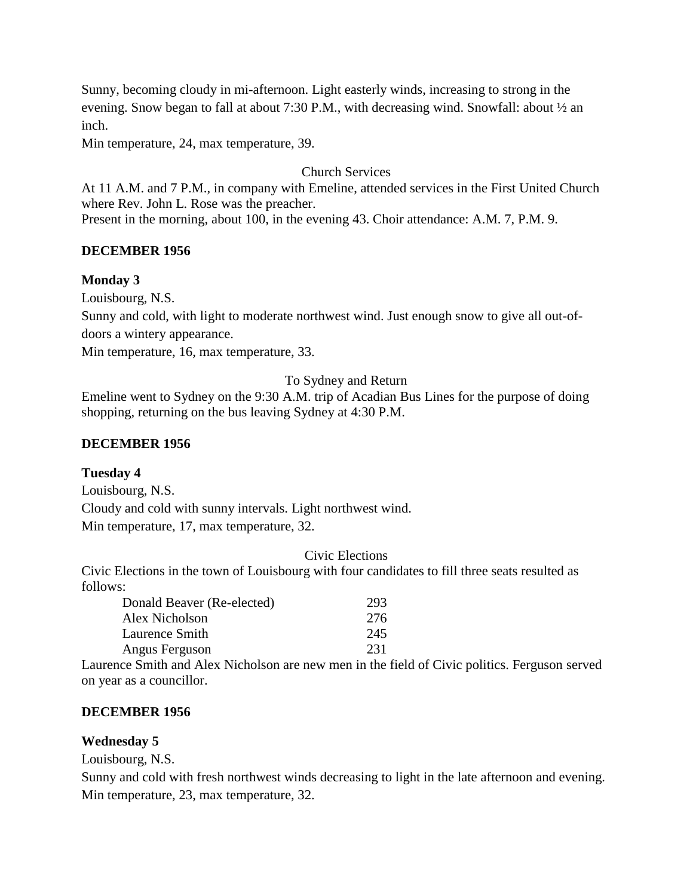Sunny, becoming cloudy in mi-afternoon. Light easterly winds, increasing to strong in the evening. Snow began to fall at about 7:30 P.M., with decreasing wind. Snowfall: about ½ an inch.

Min temperature, 24, max temperature, 39.

#### Church Services

At 11 A.M. and 7 P.M., in company with Emeline, attended services in the First United Church where Rev. John L. Rose was the preacher.

Present in the morning, about 100, in the evening 43. Choir attendance: A.M. 7, P.M. 9.

#### **DECEMBER 1956**

#### **Monday 3**

Louisbourg, N.S.

Sunny and cold, with light to moderate northwest wind. Just enough snow to give all out-of-

doors a wintery appearance.

Min temperature, 16, max temperature, 33.

#### To Sydney and Return

Emeline went to Sydney on the 9:30 A.M. trip of Acadian Bus Lines for the purpose of doing shopping, returning on the bus leaving Sydney at 4:30 P.M.

#### **DECEMBER 1956**

#### **Tuesday 4**

Louisbourg, N.S. Cloudy and cold with sunny intervals. Light northwest wind. Min temperature, 17, max temperature, 32.

#### Civic Elections

Civic Elections in the town of Louisbourg with four candidates to fill three seats resulted as follows:

| Donald Beaver (Re-elected) | 293 |
|----------------------------|-----|
| Alex Nicholson             | 276 |
| Laurence Smith             | 245 |
| Angus Ferguson             | 231 |

Laurence Smith and Alex Nicholson are new men in the field of Civic politics. Ferguson served on year as a councillor.

#### **DECEMBER 1956**

#### **Wednesday 5**

Louisbourg, N.S.

Sunny and cold with fresh northwest winds decreasing to light in the late afternoon and evening. Min temperature, 23, max temperature, 32.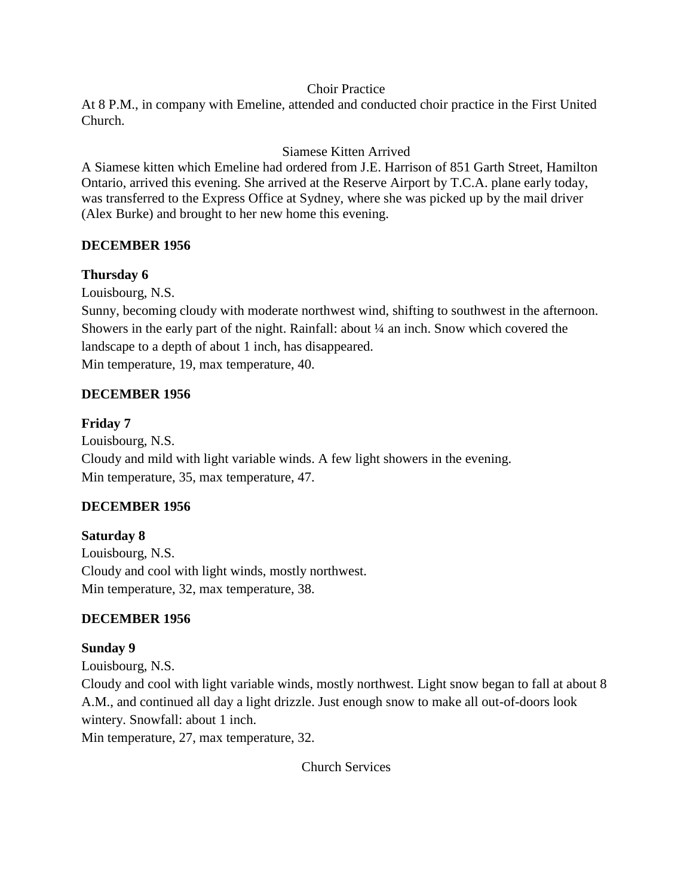#### Choir Practice

At 8 P.M., in company with Emeline, attended and conducted choir practice in the First United Church.

# Siamese Kitten Arrived

A Siamese kitten which Emeline had ordered from J.E. Harrison of 851 Garth Street, Hamilton Ontario, arrived this evening. She arrived at the Reserve Airport by T.C.A. plane early today, was transferred to the Express Office at Sydney, where she was picked up by the mail driver (Alex Burke) and brought to her new home this evening.

## **DECEMBER 1956**

# **Thursday 6**

Louisbourg, N.S.

Sunny, becoming cloudy with moderate northwest wind, shifting to southwest in the afternoon. Showers in the early part of the night. Rainfall: about ¼ an inch. Snow which covered the landscape to a depth of about 1 inch, has disappeared.

Min temperature, 19, max temperature, 40.

# **DECEMBER 1956**

# **Friday 7**

Louisbourg, N.S. Cloudy and mild with light variable winds. A few light showers in the evening. Min temperature, 35, max temperature, 47.

## **DECEMBER 1956**

**Saturday 8** Louisbourg, N.S. Cloudy and cool with light winds, mostly northwest. Min temperature, 32, max temperature, 38.

# **DECEMBER 1956**

## **Sunday 9**

Louisbourg, N.S. Cloudy and cool with light variable winds, mostly northwest. Light snow began to fall at about 8 A.M., and continued all day a light drizzle. Just enough snow to make all out-of-doors look wintery. Snowfall: about 1 inch.

Min temperature, 27, max temperature, 32.

Church Services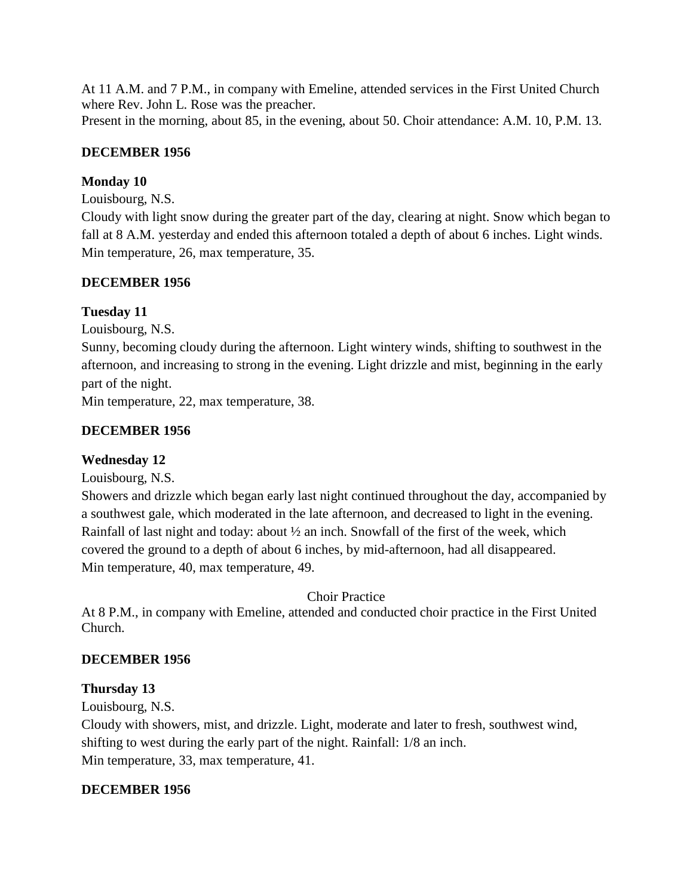At 11 A.M. and 7 P.M., in company with Emeline, attended services in the First United Church where Rev. John L. Rose was the preacher.

Present in the morning, about 85, in the evening, about 50. Choir attendance: A.M. 10, P.M. 13.

# **DECEMBER 1956**

# **Monday 10**

Louisbourg, N.S.

Cloudy with light snow during the greater part of the day, clearing at night. Snow which began to fall at 8 A.M. yesterday and ended this afternoon totaled a depth of about 6 inches. Light winds. Min temperature, 26, max temperature, 35.

# **DECEMBER 1956**

# **Tuesday 11**

Louisbourg, N.S.

Sunny, becoming cloudy during the afternoon. Light wintery winds, shifting to southwest in the afternoon, and increasing to strong in the evening. Light drizzle and mist, beginning in the early part of the night.

Min temperature, 22, max temperature, 38.

# **DECEMBER 1956**

# **Wednesday 12**

Louisbourg, N.S.

Showers and drizzle which began early last night continued throughout the day, accompanied by a southwest gale, which moderated in the late afternoon, and decreased to light in the evening. Rainfall of last night and today: about ½ an inch. Snowfall of the first of the week, which covered the ground to a depth of about 6 inches, by mid-afternoon, had all disappeared. Min temperature, 40, max temperature, 49.

Choir Practice

At 8 P.M., in company with Emeline, attended and conducted choir practice in the First United Church.

# **DECEMBER 1956**

# **Thursday 13**

Louisbourg, N.S.

Cloudy with showers, mist, and drizzle. Light, moderate and later to fresh, southwest wind, shifting to west during the early part of the night. Rainfall: 1/8 an inch. Min temperature, 33, max temperature, 41.

# **DECEMBER 1956**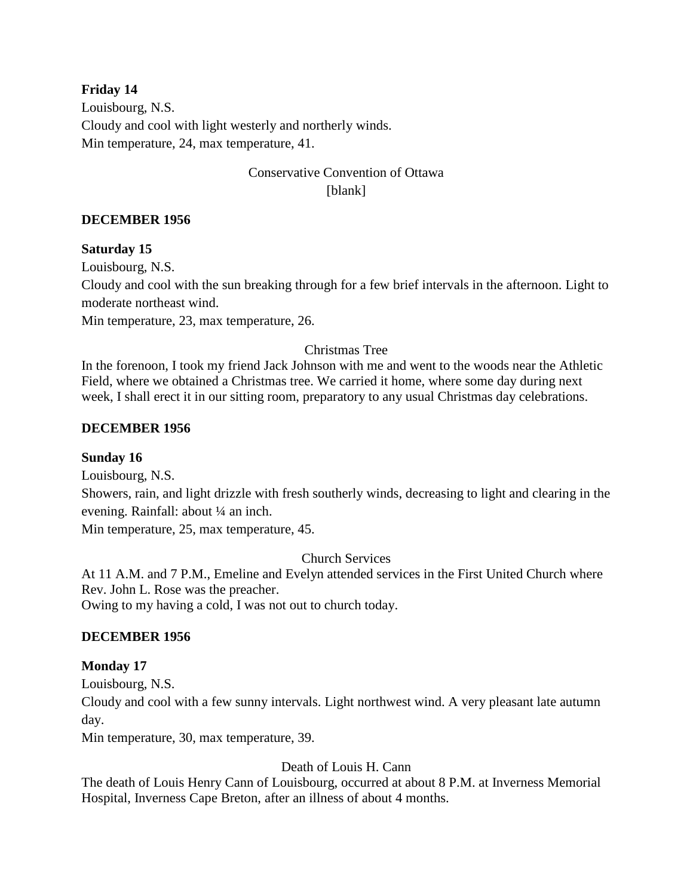#### **Friday 14**

Louisbourg, N.S. Cloudy and cool with light westerly and northerly winds. Min temperature, 24, max temperature, 41.

# Conservative Convention of Ottawa [blank]

#### **DECEMBER 1956**

#### **Saturday 15**

Louisbourg, N.S.

Cloudy and cool with the sun breaking through for a few brief intervals in the afternoon. Light to moderate northeast wind.

Min temperature, 23, max temperature, 26.

#### Christmas Tree

In the forenoon, I took my friend Jack Johnson with me and went to the woods near the Athletic Field, where we obtained a Christmas tree. We carried it home, where some day during next week, I shall erect it in our sitting room, preparatory to any usual Christmas day celebrations.

#### **DECEMBER 1956**

#### **Sunday 16**

Louisbourg, N.S.

Showers, rain, and light drizzle with fresh southerly winds, decreasing to light and clearing in the evening. Rainfall: about ¼ an inch.

Min temperature, 25, max temperature, 45.

#### Church Services

At 11 A.M. and 7 P.M., Emeline and Evelyn attended services in the First United Church where Rev. John L. Rose was the preacher.

Owing to my having a cold, I was not out to church today.

#### **DECEMBER 1956**

#### **Monday 17**

Louisbourg, N.S.

Cloudy and cool with a few sunny intervals. Light northwest wind. A very pleasant late autumn day.

Min temperature, 30, max temperature, 39.

#### Death of Louis H. Cann

The death of Louis Henry Cann of Louisbourg, occurred at about 8 P.M. at Inverness Memorial Hospital, Inverness Cape Breton, after an illness of about 4 months.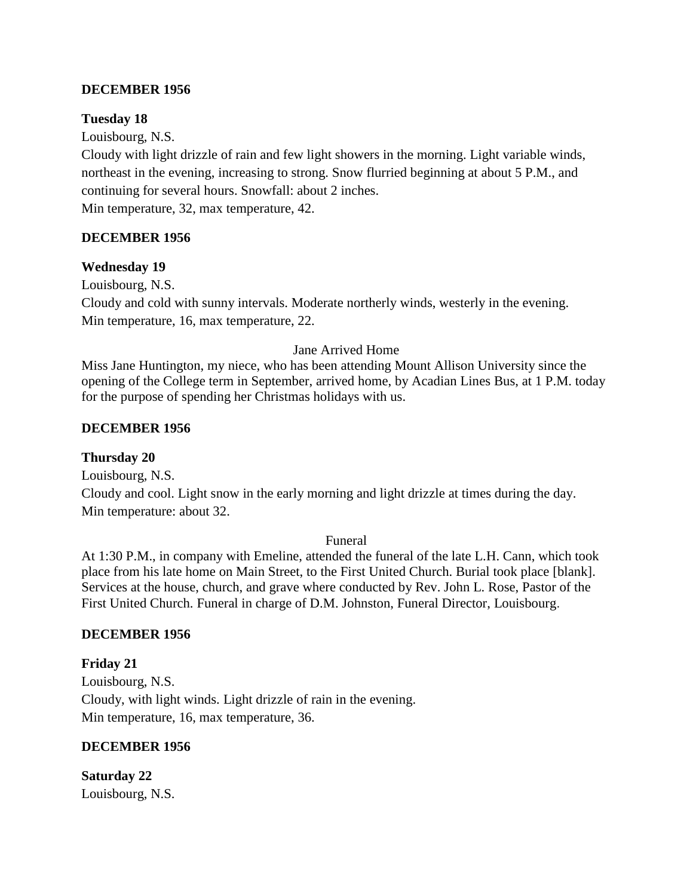#### **DECEMBER 1956**

#### **Tuesday 18**

Louisbourg, N.S.

Cloudy with light drizzle of rain and few light showers in the morning. Light variable winds, northeast in the evening, increasing to strong. Snow flurried beginning at about 5 P.M., and continuing for several hours. Snowfall: about 2 inches. Min temperature, 32, max temperature, 42.

#### **DECEMBER 1956**

#### **Wednesday 19**

Louisbourg, N.S.

Cloudy and cold with sunny intervals. Moderate northerly winds, westerly in the evening. Min temperature, 16, max temperature, 22.

#### Jane Arrived Home

Miss Jane Huntington, my niece, who has been attending Mount Allison University since the opening of the College term in September, arrived home, by Acadian Lines Bus, at 1 P.M. today for the purpose of spending her Christmas holidays with us.

#### **DECEMBER 1956**

#### **Thursday 20**

Louisbourg, N.S. Cloudy and cool. Light snow in the early morning and light drizzle at times during the day. Min temperature: about 32.

#### Funeral

At 1:30 P.M., in company with Emeline, attended the funeral of the late L.H. Cann, which took place from his late home on Main Street, to the First United Church. Burial took place [blank]. Services at the house, church, and grave where conducted by Rev. John L. Rose, Pastor of the First United Church. Funeral in charge of D.M. Johnston, Funeral Director, Louisbourg.

#### **DECEMBER 1956**

**Friday 21** Louisbourg, N.S. Cloudy, with light winds. Light drizzle of rain in the evening. Min temperature, 16, max temperature, 36.

#### **DECEMBER 1956**

**Saturday 22** Louisbourg, N.S.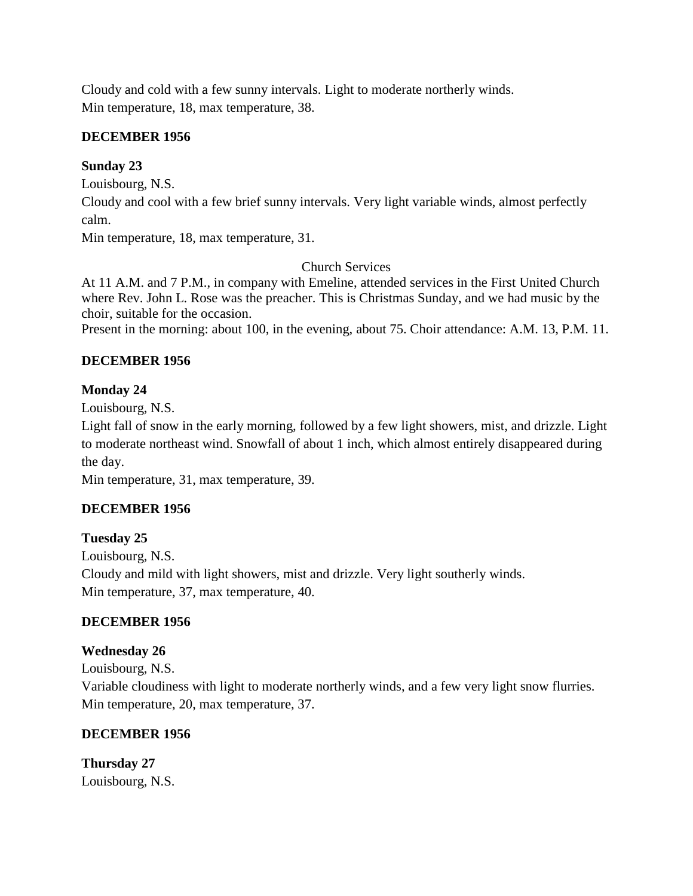Cloudy and cold with a few sunny intervals. Light to moderate northerly winds. Min temperature, 18, max temperature, 38.

# **DECEMBER 1956**

# **Sunday 23**

Louisbourg, N.S.

Cloudy and cool with a few brief sunny intervals. Very light variable winds, almost perfectly calm.

Min temperature, 18, max temperature, 31.

# Church Services

At 11 A.M. and 7 P.M., in company with Emeline, attended services in the First United Church where Rev. John L. Rose was the preacher. This is Christmas Sunday, and we had music by the choir, suitable for the occasion.

Present in the morning: about 100, in the evening, about 75. Choir attendance: A.M. 13, P.M. 11.

# **DECEMBER 1956**

# **Monday 24**

Louisbourg, N.S.

Light fall of snow in the early morning, followed by a few light showers, mist, and drizzle. Light to moderate northeast wind. Snowfall of about 1 inch, which almost entirely disappeared during the day.

Min temperature, 31, max temperature, 39.

# **DECEMBER 1956**

**Tuesday 25** Louisbourg, N.S. Cloudy and mild with light showers, mist and drizzle. Very light southerly winds.

Min temperature, 37, max temperature, 40.

# **DECEMBER 1956**

# **Wednesday 26**

Louisbourg, N.S. Variable cloudiness with light to moderate northerly winds, and a few very light snow flurries. Min temperature, 20, max temperature, 37.

# **DECEMBER 1956**

**Thursday 27** Louisbourg, N.S.